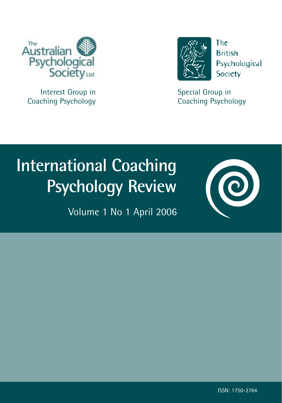

The **British** Psychological Society

Special Group in Coaching Psychology



Interest Group in Coaching Psychology

# **International Coaching Psychology Review**

Volume 1 No 1 April 2006

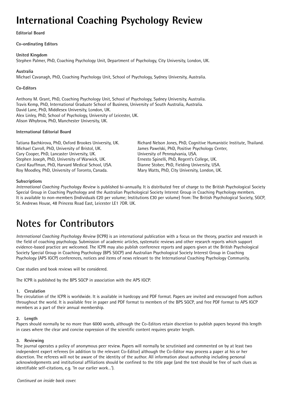# **International Coaching Psychology Review**

#### **Editorial Board**

#### **Co-ordinating Editors**

#### **United Kingdom**

Stephen Palmer, PhD, Coaching Psychology Unit, Department of Psychology, City University, London, UK.

#### **Australia**

Michael Cavanagh, PhD, Coaching Psychology Unit, School of Psychology, Sydney University, Australia.

#### **Co-Editors**

Anthony M. Grant, PhD, Coaching Psychology Unit, School of Psychology, Sydney University, Australia. Travis Kemp, PhD, International Graduate School of Business, University of South Australia, Australia. David Lane, PhD, Middlesex University, London, UK. Alex Linley, PhD, School of Psychology, University of Leicester, UK. Alison Whybrow, PhD, Manchester University, UK.

#### **International Editorial Board**

Cary Cooper, PhD, Lancaster University, UK. University of Pennsylvania, USA. Stephen Joseph, PhD, University of Warwick, UK. Carol Kauffman, PhD, Harvard Medical School, USA. Dianne Stober, PhD, Fielding University, USA. Roy Moodley, PhD, University of Toronto, Canada.

Tatiana Bachkirova, PhD, Oxford Brookes University, UK. Richard Nelson Jones, PhD, Cognitive Humanistic Institute, Thailand.<br>Michael Carroll, PhD, University of Bristol, UK. James Pawelski, PhD, Positive Psychology Center, James Pawelski, PhD, Positive Psychology Center, Mary Watts, PhD, City University, London, UK. Ernesto Spinelli, PhD, Regent's College, UK.

#### **Subscriptions**

*International Coaching Psychology Review* is published bi-annually. It is distributed free of charge to the British Psychological Society Special Group in Coaching Psychology and the Australian Psychological Society Interest Group in Coaching Psychology members. It is available to non-members (Individuals £20 per volume; Institutions £30 per volume) from: The British Psychological Society, SGCP, St. Andrews House, 48 Princess Road East, Leicester LE1 7DR. UK.

# **Notes for Contributors**

*International Coaching Psychology Review* (ICPR) is an international publication with a focus on the theory, practice and research in the field of coaching psychology. Submission of academic articles, systematic reviews and other research reports which support evidence-based practice are welcomed. The ICPR may also publish conference reports and papers given at the British Psychological Society Special Group in Coaching Psychology (BPS SGCP) and Australian Psychological Society Interest Group in Coaching Psychology (APS IGCP) conferences, notices and items of news relevant to the International Coaching Psychology Community.

Case studies and book reviews will be considered.

The ICPR is published by the BPS SGCP in association with the APS IGCP.

#### **1. Circulation**

The circulation of the ICPR is worldwide. It is available in hardcopy and PDF format. Papers are invited and encouraged from authors throughout the world. It is available free in paper and PDF format to members of the BPS SGCP, and free PDF format to APS IGCP members as a part of their annual membership.

#### **2. Length**

Papers should normally be no more than 6000 words, although the Co-Editors retain discretion to publish papers beyond this length in cases where the clear and concise expression of the scientific content requires greater length.

#### **3. Reviewing**

The journal operates a policy of anonymous peer review. Papers will normally be scrutinised and commented on by at least two independent expert referees (in addition to the relevant Co-Editor) although the Co-Editor may process a paper at his or her discretion. The referees will not be aware of the identity of the author. All information about authorship including personal acknowledgements and institutional affiliations should be confined to the title page (and the text should be free of such clues as identifiable self-citations, e.g. 'In our earlier work…').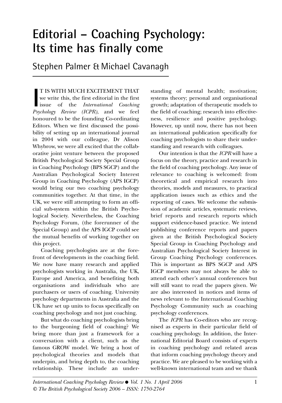# **Editorial – Coaching Psychology: Its time has finally come**

Stephen Palmer & Michael Cavanagh

# T IS WITH MUCH EXCITEMENT THAT

**I I** IS WITH MUCH EXCITEMENT THAT we write this, the first editorial in the first issue of the *International Coaching Psychology Review (ICPR)*, and we feel we write this, the first editorial in the first issue of the *International Coaching* honoured to be the founding Co-ordinating Editors. When we first discussed the possibility of setting up an international journal in 2004 with our colleague, Dr Alison Whybrow, we were all excited that the collaborative joint venture between the proposed British Psychological Society Special Group in Coaching Psychology (BPS SGCP) and the Australian Psychological Society Interest Group in Coaching Psychology (APS IGCP) would bring our two coaching psychology communities together. At that time, in the UK, we were still attempting to form an official sub-system within the British Psychological Society. Nevertheless, the Coaching Psychology Forum, (the forerunner of the Special Group) and the APS IGCP could see the mutual benefits of working together on this project.

Coaching psychologists are at the forefront of developments in the coaching field. We now have many research and applied psychologists working in Australia, the UK, Europe and America, and benefiting both organisations and individuals who are purchasers or users of coaching. University psychology departments in Australia and the UK have set up units to focus specifically on coaching psychology and not just coaching.

But what do coaching psychologists bring to the burgeoning field of coaching? We bring more than just a framework for a conversation with a client, such as the famous GROW model. We bring a host of psychological theories and models that underpin, and bring depth to, the coaching relationship. These include an understanding of mental health; motivation; systems theory; personal and organisational growth; adaptation of therapeutic models to the field of coaching; research into effectiveness, resilience and positive psychology. However, up until now, there has not been an international publication specifically for coaching psychologists to share their understanding and research with colleagues.

Our intention is that the *ICPR* will have a focus on the theory, practice and research in the field of coaching psychology. Any issue of relevance to coaching is welcomed: from theoretical and empirical research into theories, models and measures, to practical application issues such as ethics and the reporting of cases. We welcome the submission of academic articles, systematic reviews, brief reports and research reports which support evidence-based practice. We intend publishing conference reports and papers given at the British Psychological Society Special Group in Coaching Psychology and Australian Psychological Society Interest in Group Coaching Psychology conferences. This is important as BPS SGCP and APS IGCP members may not always be able to attend each other's annual conferences but will still want to read the papers given. We are also interested in notices and items of news relevant to the International Coaching Psychology Community such as coaching psychology conferences.

The *ICPR* has Co-editors who are recognised as experts in their particular field of coaching psychology. In addition, the International Editorial Board consists of experts in coaching psychology and related areas that inform coaching psychology theory and practice. We are pleased to be working with a well-known international team and we thank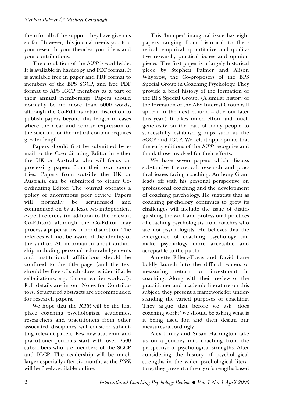them for all of the support they have given us so far. However, this journal needs you too: your research, your theories, your ideas and your contributions.

The circulation of the *ICPR* is worldwide. It is available in hardcopy and PDF format. It is available free in paper and PDF format to members of the BPS SGCP, and free PDF format to APS IGCP members as a part of their annual membership. Papers should normally be no more than 6000 words, although the Co-Editors retain discretion to publish papers beyond this length in cases where the clear and concise expression of the scientific or theoretical content requires greater length.

Papers should first be submitted by email to the Co-ordinating Editor in either the UK or Australia who will focus on processing papers from their own countries. Papers from outside the UK or Australia can be submitted to either Coordinating Editor. The journal operates a policy of anonymous peer review. Papers will normally be scrutinised and commented on by at least two independent expert referees (in addition to the relevant Co-Editor) although the Co-Editor may process a paper at his or her discretion. The referees will not be aware of the identity of the author. All information about authorship including personal acknowledgements and institutional affiliations should be confined to the title page (and the text should be free of such clues as identifiable self-citations, e.g. 'In our earlier work…'). Full details are in our Notes for Contributors. Structured abstracts are recommended for research papers.

We hope that the *ICPR* will be the first place coaching psychologists, academics, researchers and practitioners from other associated disciplines will consider submitting relevant papers. Few new academic and practitioner journals start with over 2500 subscribers who are members of the SGCP and IGCP. The readership will be much larger especially after six months as the *ICPR* will be freely available online.

This 'bumper' inaugural issue has eight papers ranging from historical to theoretical, empirical, quantitative and qualitative research, practical issues and opinion pieces. The first paper is a largely historical piece by Stephen Palmer and Alison Whybrow, the Co-proposers of the BPS Special Group in Coaching Psychology. They provide a brief history of the formation of the BPS Special Group. (A similar history of the formation of the APS Interest Group will appear in the next edition – due out later this year.) It takes much effort and much generosity on the part of many people to successfully establish groups such as the SGCP and IGCP. We felt it appropriate that the early editions of the *ICPR* recognise and thank those involved for their efforts.

We have seven papers which discuss substantive theoretical, research and practical issues facing coaching. Anthony Grant leads off with his personal perspective on professional coaching and the development of coaching psychology. He suggests that as coaching psychology continues to grow its challenges will include the issue of distinguishing the work and professional practices of coaching psychologists from coaches who are not psychologists. He believes that the emergence of coaching psychology can make psychology more accessible and acceptable to the public.

Annette Fillery-Travis and David Lane boldly launch into the difficult waters of measuring return on investment in coaching. Along with their review of the practitioner and academic literature on this subject, they present a framework for understanding the varied purposes of coaching. They argue that before we ask 'does coaching work?' we should be asking what is it being used for, and then design our measures accordingly.

Alex Linley and Susan Harrington take us on a journey into coaching from the perspective of psychological strengths. After considering the history of psychological strengths in the wider psychological literature, they present a theory of strengths based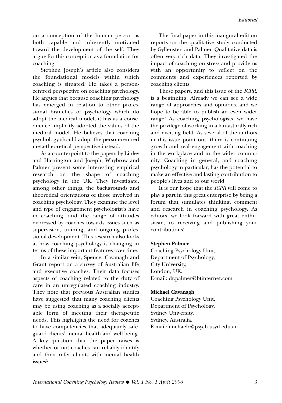on a conception of the human person as both capable and inherently motivated toward the development of the self. They argue for this conception as a foundation for coaching.

Stephen Joseph's article also considers the foundational models within which coaching is situated. He takes a personcentred perspective on coaching psychology. He argues that because coaching psychology has emerged in relation to other professional branches of psychology which do adopt the medical model, it has as a consequence implicitly adopted the values of the medical model. He believes that coaching psychology should adopt the person-centred meta-theoretical perspective instead.

As a counterpoint to the papers by Linley and Harrington and Joseph, Whybrow and Palmer present some interesting empirical research on the shape of coaching psychology in the UK. They investigate, among other things, the backgrounds and theoretical orientations of those involved in coaching psychology. They examine the level and type of engagement psychologist's have in coaching, and the range of attitudes expressed by coaches towards issues such as supervision, training, and ongoing professional development. This research also looks at how coaching psychology is changing in terms of these important features over time.

In a similar vein, Spence, Cavanagh and Grant report on a survey of Australian life and executive coaches. Their data focuses aspects of coaching related to the duty of care in an unregulated coaching industry. They note that previous Australian studies have suggested that many coaching clients may be using coaching as a socially acceptable form of meeting their therapeutic needs. This highlights the need for coaches to have competencies that adequately safeguard clients' mental health and well-being. A key question that the paper raises is whether or not coaches can reliably identify and then refer clients with mental health issues?

The final paper in this inaugural edition reports on the qualitative study conducted by Gyllensten and Palmer. Qualitative data is often very rich data. They investigated the impact of coaching on stress and provide us with an opportunity to reflect on the comments and experiences reported by coaching clients.

These papers, and this issue of the *ICPR*, is a beginning. Already we can see a wide range of approaches and opinions, and we hope to be able to publish an even wider range! As coaching psychologists, we have the privilege of working in a fantastically rich and exciting field. As several of the authors in this issue point out, there is continuing growth and real engagement with coaching in the workplace and in the wider community. Coaching in general, and coaching psychology in particular, has the potential to make an effective and lasting contribution to people's lives and to our world.

It is our hope that the *ICPR* will come to play a part in this great enterprise by being a forum that stimulates thinking, comment and research in coaching psychology. As editors, we look forward with great enthusiasm, to receiving and publishing your contributions!

### **Stephen Palmer**

Coaching Psychology Unit, Department of Psychology, City University, London, UK. E-mail: dr.palmer@btinternet.com

### **Michael Cavanagh**

Coaching Psychology Unit, Department of Psychology, Sydney University, Sydney, Australia. E-mail: michaelc@psych.usyd.edu.au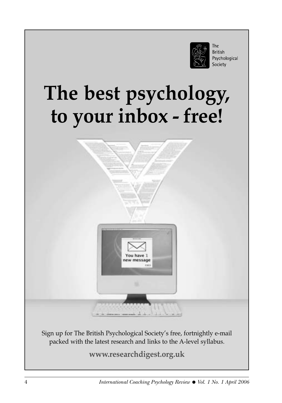

The **British** Psychological Society

# **The best psychology, to your inbox - free!**



Sign up for The British Psychological Society's free, fortnightly e-mail packed with the latest research and links to the A-level syllabus.

**www.researchdigest.org.uk**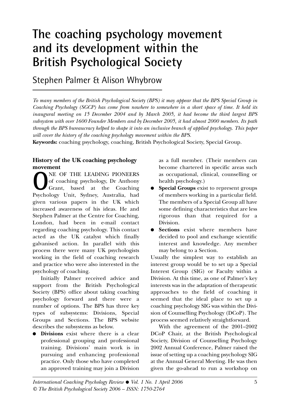# **The coaching psychology movement and its development within the British Psychological Society**

Stephen Palmer & Alison Whybrow

*To many members of the British Psychological Society (BPS) it may appear that the BPS Special Group in Coaching Psychology (SGCP) has come from nowhere to somewhere in a short space of time. It held its inaugural meeting on 15 December 2004 and by March 2005, it had become the third largest BPS subsystem with over 1600 Founder Members and by December 2005, it had almost 2000 members. Its path through the BPS bureaucracy helped to shape it into an inclusive branch of applied psychology. This paper will cover the history of the coaching psychology movement within the BPS.*

**Keywords:** coaching psychology, coaching, British Psychological Society, Special Group.

# **History of the UK coaching psychology movement**

**O**NE OF THE LEADING PIONEERS<br>
of coaching psychology, Dr Anthony<br>
Grant, based at the Coaching<br>
Psychology Unit Sydney Australia had of coaching psychology, Dr Anthony Psychology Unit, Sydney, Australia, had given various papers in the UK which increased awareness of his ideas. He and Stephen Palmer at the Centre for Coaching, London, had been in e-mail contact regarding coaching psychology. This contact acted as the UK catalyst which finally galvanised action. In parallel with this process there were many UK psychologists working in the field of coaching research and practice who were also interested in the psychology of coaching.

Initially Palmer received advice and support from the British Psychological Society (BPS) office about taking coaching psychology forward and there were a number of options. The BPS has three key types of subsystems: Divisions, Special Groups and Sections. The BPS website describes the subsystems as below.

**Divisions** exist where there is a clear professional grouping and professional training. Divisions' main work is in pursuing and enhancing professional practice. Only those who have completed an approved training may join a Division

as a full member. (Their members can become chartered in specific areas such as occupational, clinical, counselling or health psychology.)

- **Special Groups** exist to represent groups of members working in a particular field. The members of a Special Group all have some defining characteristics that are less rigorous than that required for a Division.
- **Sections** exist where members have decided to pool and exchange scientific interest and knowledge. Any member may belong to a Section.

Usually the simplest way to establish an interest group would be to set up a Special Interest Group (SIG) or Faculty within a Division. At this time, as one of Palmer's key interests was in the adaptation of therapeutic approaches to the field of coaching it seemed that the ideal place to set up a coaching psychology SIG was within the Division of Counselling Psychology (DCoP). The process seemed relatively straightforward.

With the agreement of the 2001–2002 DCoP Chair, at the British Psychological Society, Division of Counselling Psychology 2002 Annual Conference, Palmer raised the issue of setting up a coaching psychology SIG at the Annual General Meeting. He was then given the go-ahead to run a workshop on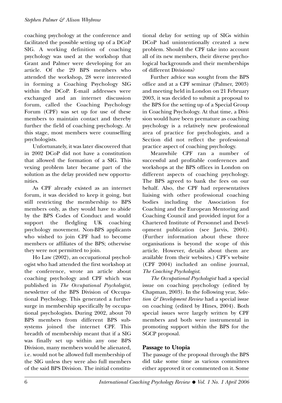coaching psychology at the conference and facilitated the possible setting up of a DCoP SIG. A working definition of coaching psychology was used at the workshop that Grant and Palmer were developing for an article. Of the 29 BPS members who attended the workshop, 28 were interested in forming a Coaching Psychology SIG within the DCoP. E-mail addresses were exchanged and an internet discussion forum, called the Coaching Psychology Forum (CPF) was set up for use of these members to maintain contact and thereby further the field of coaching psychology. At this stage, most members were counselling psychologists.

Unfortunately, it was later discovered that in 2002 DCoP did not have a constitution that allowed the formation of a SIG. This vexing problem later became part of the solution as the delay provided new opportunities.

As CPF already existed as an internet forum, it was decided to keep it going, but still restricting the membership to BPS members only, as they would have to abide by the BPS Codes of Conduct and would support the fledgling UK coaching psychology movement. Non-BPS applicants who wished to join CPF had to become members or affiliates of the BPS; otherwise they were not permitted to join.

Ho Law (2002), an occupational psychologist who had attended the first workshop at the conference, wrote an article about coaching psychology and CPF which was published in *The Occupational Psychologist*, newsletter of the BPS Division of Occupational Psychology. This generated a further surge in membership specifically by occupational psychologists. During 2002, about 70 BPS members from different BPS subsystems joined the internet CPF. This breadth of membership meant that if a SIG was finally set up within any one BPS Division, many members would be alienated, i.e. would not be allowed full membership of the SIG unless they were also full members of the said BPS Division. The initial constitutional delay for setting up of SIGs within DCoP had unintentionally created a new problem. Should the CPF take into account all of its new members, their diverse psychological backgrounds and their memberships of different Divisions?

Further advice was sought from the BPS office and at a CPF seminar (Palmer, 2003) and meeting held in London on 21 February 2003, it was decided to submit a proposal to the BPS for the setting up of a Special Group in Coaching Psychology. At that time, a Division would have been premature as coaching psychology is a relatively new professional area of practice for psychologists, and a Section did not reflect the professional practice aspect of coaching psychology.

Meanwhile CPF ran a number of successful and profitable conferences and workshops at the BPS offices in London on different aspects of coaching psychology. The BPS agreed to bank the fees on our behalf. Also, the CPF had representatives liaising with other professional coaching bodies including the Association for Coaching and the European Mentoring and Coaching Council and provided input for a Chartered Institute of Personnel and Development publication (see Jarvis, 2004). (Further information about these three organisations is beyond the scope of this article. However, details about them are available from their websites.) CPF's website (CPF 2004) included an online journal, *The Coaching Psychologist*.

*The Occupational Psychologist* had a special issue on coaching psychology (edited by Chapman, 2003). In the following year, *Selection & Development Review* had a special issue on coaching (edited by Hines, 2004). Both special issues were largely written by CPF members and both were instrumental in promoting support within the BPS for the SGCP proposal.

# **Passage to Utopia**

The passage of the proposal through the BPS did take some time as various committees either approved it or commented on it. Some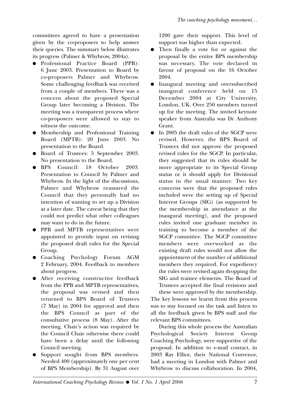committees agreed to have a presentation given by the co-proposers to help answer their queries. The summary below illustrates its progress (Palmer & Whybrow, 2004a).

- Professional Practice Board (PPB): 6 June 2003. Presentation to Board by co-proposers Palmer and Whybrow. Some challenging feedback was received from a couple of members. There was a concern about the proposed Special Group later becoming a Division. The meeting was a transparent process where co-proposers were allowed to stay to witness the outcome.
- Membership and Professional Training Board (MPTB): 20 June 2003. No presentation to the Board.
- Board of Trustees: 5 September 2003. No presentation to the Board.
- BPS Council: 18 October 2003. Presentation to Council by Palmer and Whybrow. In the light of the discussions, Palmer and Whybrow reassured the Council that they personally had no intention of wanting to set up a Division at a later date. The caveat being that they could not predict what other colleagues may want to do in the future.
- PPB and MPTB representatives were appointed to provide input on revising the proposed draft rules for the Special Group.
- Coaching Psychology Forum AGM 2 February, 2004. Feedback to members about progress.
- After receiving constructive feedback from the PPB and MPTB representatives, the proposal was revised and then returned to BPS Board of Trustees (7 May) in 2004 for approval and then the BPS Council as part of the consultative process (8 May). After the meeting, Chair's action was required by the Council Chair otherwise there could have been a delay until the following Council meeting.
- Support sought from BPS members. Needed 400 (approximately one per cent of BPS Membership). By 31 August over

1200 gave their support. This level of support was higher than expected.

- Then finally a vote for or against the proposal by the entire BPS membership was necessary. The vote declared in favour of proposal on the 16 October 2004.
- Inaugural meeting and oversubscribed inaugural conference held on 15 December 2004 at City University, London, UK. Over 250 members turned up for the meeting. The invited keynote speaker from Australia was Dr Anthony Grant.
- In 2005 the draft rules of the SGCP were revised. However, the BPS Board of Trustees did not approve the proposed revised rules for the SGCP. In particular, they suggested that its rules should be more appropriate to its Special Group status or it should apply for Divisional status in the usual manner. Two key concerns were that the proposed rules included were the setting up of Special Interest Groups (SIG) (as supported by the membership in attendance at the inaugural meeting), and the proposed rules invited one graduate member in training to become a member of the SGCP committee. The SGCP committee members were overworked as the existing draft rules would not allow the appointment of the number of additional members they required. For expediency the rules were revised again dropping the SIG and trainee elements. The Board of Trustees accepted the final revisions and these were approved by the membership.

The key lessons we learnt from this process was to stay focused on the task and listen to all the feedback given by BPS staff and the relevant BPS committees.

During this whole process the Australian Psychological Society Interest Group Coaching Psychology, were supportive of the proposal. In addition to e-mail contact, in 2003 Ray Elliot, their National Convenor, had a meeting in London with Palmer and Whybrow to discuss collaboration. In 2004,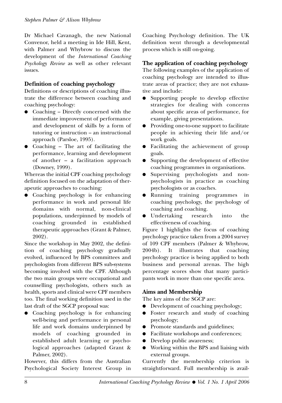Dr Michael Cavanagh, the new National Convenor, held a meeting in Ide Hill, Kent, with Palmer and Whybrow to discuss the development of the *International Coaching Psychology Review* as well as other relevant issues.

# **Definition of coaching psychology**

Definitions or descriptions of coaching illustrate the difference between coaching and coaching psychology:

- Coaching Directly concerned with the immediate improvement of performance and development of skills by a form of tutoring or instruction – an instructional approach (Parsloe, 1995).
- Coaching The art of facilitating the performance, learning and development of another – a facilitation approach (Downey, 1999).

Whereas the initial CPF coaching psychology definition focused on the adaptation of therapeutic approaches to coaching:

● Coaching psychology is for enhancing performance in work and personal life domains with normal, non-clinical populations, underpinned by models of coaching grounded in established therapeutic approaches (Grant & Palmer, 2002).

Since the workshop in May 2002, the definition of coaching psychology gradually evolved, influenced by BPS committees and psychologists from different BPS sub-systems becoming involved with the CPF. Although the two main groups were occupational and counselling psychologists, others such as health, sports and clinical were CPF members too. The final working definition used in the last draft of the SGCP proposal was:

● Coaching psychology is for enhancing well-being and performance in personal life and work domains underpinned by models of coaching grounded in established adult learning or psychological approaches (adapted Grant & Palmer, 2002).

However, this differs from the Australian Psychological Society Interest Group in Coaching Psychology definition. The UK definition went through a developmental process which is still on-going.

# **The application of coaching psychology**

The following examples of the application of coaching psychology are intended to illustrate areas of practice; they are not exhaustive and include:

- Supporting people to develop effective strategies for dealing with concerns about specific areas of performance, for example, giving presentations.
- Providing one-to-one support to facilitate people in achieving their life and/or work goals.
- Facilitating the achievement of group goals.
- Supporting the development of effective coaching programmes in organisations.
- Supervising psychologists and nonpsychologists in practice as coaching psychologists or as coaches.
- Running training programmes in coaching psychology, the psychology of coaching and coaching.
- Undertaking research into the effectiveness of coaching.

Figure 1 highlights the focus of coaching psychology practice taken from a 2004 survey of 109 CPF members (Palmer & Whybrow, 2004b). It illustrates that coaching psychology practice is being applied to both business and personal arenas. The high percentage scores show that many participants work in more than one specific area.

# **Aims and Membership**

The key aims of the SGCP are:

- Development of coaching psychology;
- Foster research and study of coaching psychology;
- Promote standards and guidelines;
- Facilitate workshops and conferences;
- Develop public awareness;
- Working within the BPS and liaising with external groups.

Currently the membership criterion is straightforward. Full membership is avail-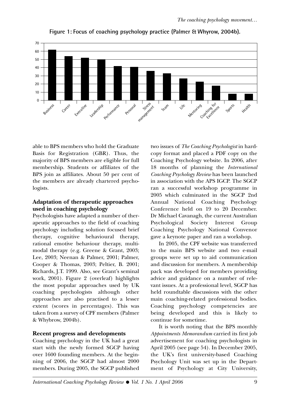

**Figure 1: Focus of coaching psychology practice (Palmer & Whyrow, 2004b).**

able to BPS members who hold the Graduate Basis for Registration (GBR). Thus, the majority of BPS members are eligible for full membership. Students or affiliates of the BPS join as affiliates. About 50 per cent of the members are already chartered psychologists.

# **Adaptation of therapeutic approaches used in coaching psychology**

Psychologists have adapted a number of therapeutic approaches to the field of coaching psychology including solution focused brief therapy, cognitive behavioural therapy, rational emotive behaviour therapy, multimodal therapy (e.g. Greene & Grant, 2003; Lee, 2003; Neenan & Palmer, 2001; Palmer, Cooper & Thomas, 2003; Peltier, B. 2001; Richards, J.T. 1999. Also, see Grant's seminal work, 2001). Figure 2 (overleaf) highlights the most popular approaches used by UK coaching psychologists although other approaches are also practised to a lesser extent (scores in percentages). This was taken from a survey of CPF members (Palmer & Whybrow, 2004b).

# **Recent progress and developments**

Coaching psychology in the UK had a great start with the newly formed SGCP having over 1600 founding members. At the beginning of 2006, the SGCP had almost 2000 members. During 2005, the SGCP published

two issues of *The Coaching Psychologist* in hardcopy format and placed a PDF copy on the Coaching Psychology website. In 2006, after 18 months of planning the *International Coaching Psychology Review* has been launched in association with the APS IGCP. The SGCP ran a successful workshop programme in 2005 which culminated in the SGCP 2nd Annual National Coaching Psychology Conference held on 19 to 20 December. Dr Michael Cavanagh, the current Australian Psychological Society Interest Group Coaching Psychology National Convenor gave a keynote paper and ran a workshop.

In 2005, the CPF website was transferred to the main BPS website and two e-mail groups were set up to aid communication and discussion for members. A membership pack was developed for members providing advice and guidance on a number of relevant issues. At a professional level, SGCP has held roundtable discussions with the other main coaching-related professional bodies. Coaching psychology competencies are being developed and this is likely to continue for sometime.

It is worth noting that the BPS monthly *Appointments Memorandum* carried its first job advertisement for coaching psychologists in April 2005 (see page 54). In December 2005, the UK's first university-based Coaching Psychology Unit was set up in the Department of Psychology at City University,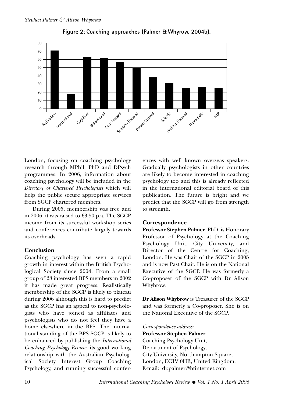

**Figure 2: Coaching approaches (Palmer & Whyrow, 2004b).**

London, focusing on coaching psychology research through MPhil, PhD and DPsych programmes. In 2006, information about coaching psychology will be included in the *Directory of Chartered Psychologists* which will help the public secure appropriate services from SGCP chartered members.

During 2005, membership was free and in 2006, it was raised to £3.50 p.a. The SGCP income from its successful workshop series and conferences contribute largely towards its overheads.

# **Conclusion**

Coaching psychology has seen a rapid growth in interest within the British Psychological Society since 2004. From a small group of 28 interested BPS members in 2002 it has made great progress. Realistically membership of the SGCP is likely to plateau during 2006 although this is hard to predict as the SGCP has an appeal to non-psychologists who have joined as affiliates and psychologists who do not feel they have a home elsewhere in the BPS. The international standing of the BPS SGCP is likely to be enhanced by publishing the *International Coaching Psychology Review*, its good working relationship with the Australian Psychological Society Interest Group Coaching Psychology, and running successful conferences with well known overseas speakers. Gradually psychologists in other countries are likely to become interested in coaching psychology too and this is already reflected in the international editorial board of this publication. The future is bright and we predict that the SGCP will go from strength to strength.

# **Correspondence**

**Professor Stephen Palmer**, PhD, is Honorary Professor of Psychology at the Coaching Psychology Unit, City University, and Director of the Centre for Coaching, London. He was Chair of the SGCP in 2005 and is now Past Chair. He is on the National Executive of the SGCP. He was formerly a Co-proposer of the SGCP with Dr Alison Whybrow.

**Dr Alison Whybrow** is Treasurer of the SGCP and was formerly a Co-proposer. She is on the National Executive of the SGCP.

*Correspondence address:* **Professor Stephen Palmer** Coaching Psychology Unit, Department of Psychology, City University, Northampton Square, London, EC1V 0HB, United Kingdom. E-mail: dr.palmer@btinternet.com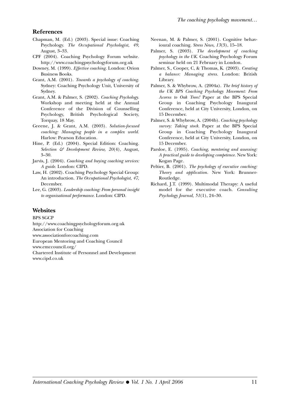#### **References**

- Chapman, M. (Ed.) (2003). Special issue: Coaching Psychology. *The Occupational Psychologist, 49,* August, 3–33.
- CPF (2004). Coaching Psychology Forum website. http://www.coachingpsychologyforum.org.uk
- Downey, M. (1999). *Effective coaching.* London: Orion Business Books.
- Grant, A.M. (2001). *Towards a psychology of coaching.* Sydney: Coaching Psychology Unit, University of Sydney.
- Grant, A.M. & Palmer, S. (2002). *Coaching Psychology.* Workshop and meeting held at the Annual Conference of the Division of Counselling<br>Psychology, British Psychological Society, British Psychological Society, Torquay, 18 May.
- Greene, J. & Grant, A.M. (2003). *Solution-focused coaching: Managing people in a complex world.* Harlow: Pearson Education.
- Hine, P. (Ed.) (2004). Special Edition: Coaching. *Selection & Development Review, 20*(4), August, 3–30.
- Jarvis, J. (2004). *Coaching and buying coaching services: A guide.* London: CIPD.
- Law, H. (2002). Coaching Psychology Special Group: An introduction. *The Occupational Psychologist, 47,* December.
- Lee, G. (2003). *Leadership coaching: From personal insight to organisational performance.* London: CIPD.

### **Websites**

#### BPS SGCP

http://www.coachingpsychologyforum.org.uk Association for Coaching www.associationforcoaching.com European Mentoring and Coaching Council www.emccouncil.org/ Chartered Institute of Personnel and Development www.cipd.co.uk

- Neenan, M. & Palmer, S. (2001). Cognitive behavioural coaching. *Stress News, 13*(3), 15–18.
- Palmer, S. (2003). *The development of coaching psychology in the UK.* Coaching Psychology Forum seminar held on 21 February in London.
- Palmer, S., Cooper, C, & Thomas, K. (2003). *Creating a balance: Managing stress.* London: British Library.
- Palmer, S. & Whybrow, A. (2004a). *The brief history of the UK BPS Coaching Psychology Movement: From Acorns to Oak Trees!* Paper at the BPS Special Group in Coaching Psychology Inaugural Conference, held at City University, London, on 15 December.
- Palmer, S. & Whybrow, A. (2004b). *Coaching psychology survey: Taking stock.* Paper at the BPS Special Group in Coaching Psychology Inaugural Conference, held at City University, London, on 15 December.
- Parsloe, E. (1995). *Coaching, mentoring and assessing: A practical guide to developing competence.* New York: Kogan Page.
- Peltier, B. (2001). *The psychology of executive coaching: Theory and application.* New York: Brunner-Routledge.
- Richard, J.T. (1999). Multimodal Therapy: A useful model for the executive coach. *Consulting Psychology Journal, 51*(1), 24–30.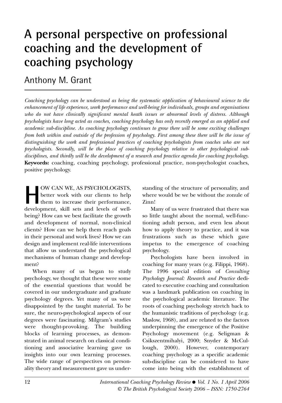# **A personal perspective on professional coaching and the development of coaching psychology**

Anthony M. Grant

*Coaching psychology can be understood as being the systematic application of behavioural science to the enhancement of life experience, work performance and well-being for individuals, groups and organisations who do not have clinically significant mental heath issues or abnormal levels of distress. Although psychologists have long acted as coaches, coaching psychology has only recently emerged as an applied and academic sub-discipline. As coaching psychology continues to grow there will be some exciting challenges from both within and outside of the profession of psychology. First among these there will be the issue of distinguishing the work and professional practices of coaching psychologists from coaches who are not psychologists. Secondly, will be the place of coaching psychology relative to other psychological subdisciplines, and thirdly will be the development of a research and practice agenda for coaching psychology.* **Keywords:** coaching, coaching psychology, professional practice, non-psychologist coaches, positive psychology.

WE, AS PSYCHOLOGISTS,<br>better work with our clients to help<br>them to increase their performance,<br>development skill sets and levels of wellbetter work with our clients to help them to increase their performance, development, skill sets and levels of wellbeing? How can we best facilitate the growth and development of normal, non-clinical clients? How can we help them reach goals in their personal and work lives? How we can design and implement real-life interventions that allow us understand the psychological mechanisms of human change and development?

When many of us began to study psychology, we thought that these were some of the essential questions that would be covered in our undergraduate and graduate psychology degrees. Yet many of us were disappointed by the taught material. To be sure, the neuro-psychological aspects of our degrees were fascinating. Milgram's studies were thought-provoking. The building blocks of learning processes, as demonstrated in animal research on classical conditioning and associative learning gave us insights into our own learning processes. The wide range of perspectives on personality theory and measurement gave us understanding of the structure of personality, and where would be we be without the zonule of Zinn!

Many of us were frustrated that there was so little taught about the normal, well-functioning adult person, and even less about how to apply theory to practice, and it was frustrations such as these which gave impetus to the emergence of coaching psychology.

Psychologists have been involved in coaching for many years (e.g. Filippi, 1968). The 1996 special edition of *Consulting Psychology Journal: Research and Practice* dedicated to executive coaching and consultation was a landmark publication on coaching in the psychological academic literature. The roots of coaching psychology stretch back to the humanistic traditions of psychology (e.g. Maslow, 1968), and are related to the factors underpinning the emergence of the Positive Psychology movement (e.g. Seligman & Csikszentmihalyi, 2000; Snyder & McCullough, 2000). However, contemporary coaching psychology as a specific academic sub-discipline can be considered to have come into being with the establishment of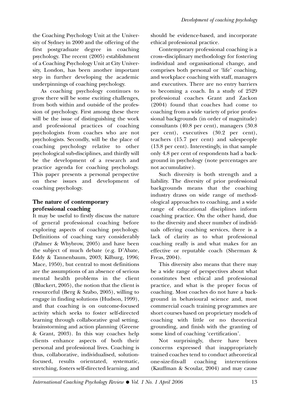the Coaching Psychology Unit at the University of Sydney in 2000 and the offering of the first postgraduate degree in coaching psychology. The recent (2005) establishment of a Coaching Psychology Unit at City University, London, has been another important step in further developing the academic underpinnings of coaching psychology.

As coaching psychology continues to grow there will be some exciting challenges, from both within and outside of the profession of psychology. First among these there will be the issue of distinguishing the work and professional practices of coaching psychologists from coaches who are not psychologists. Secondly, will be the place of coaching psychology relative to other psychological sub-disciplines, and thirdly will be the development of a research and practice agenda for coaching psychology. This paper presents a personal perspective on these issues and development of coaching psychology.

# **The nature of contemporary professional coaching**

It may be useful to firstly discuss the nature of general professional coaching before exploring aspects of coaching psychology. Definitions of coaching vary considerably (Palmer & Whybrow, 2005) and have been the subject of much debate (e.g. D'Abate, Eddy & Tannenbaum, 2003; Kilburg, 1996; Mace, 1950), but central to most definitions are the assumptions of an absence of serious mental health problems in the client (Bluckert, 2005), the notion that the client is resourceful (Berg & Szabo, 2005), willing to engage in finding solutions (Hudson, 1999), and that coaching is on outcome-focused activity which seeks to foster self-directed learning through collaborative goal setting, brainstorming and action planning (Greene & Grant, 2003). In this way coaches help clients enhance aspects of both their personal and professional lives. Coaching is thus, collaborative, individualised, solutionfocused, results orientated, systematic, stretching, fosters self-directed learning, and should be evidence-based, and incorporate ethical professional practice.

Contemporary professional coaching is a cross–disciplinary methodology for fostering individual and organisational change, and comprises both personal or 'life' coaching, and workplace coaching with staff, managers and executives. There are no entry barriers to becoming a coach. In a study of 2529 professional coaches Grant and Zackon (2004) found that coaches had come to coaching from a wide variety of prior professional backgrounds (in order of magnitude) consultants (40.8 per cent), managers (30.8 per cent), executives (30.2 per cent), teachers (15.7 per cent) and salespeople (13.8 per cent). Interestingly, in that sample only 4.8 per cent of respondents had a background in psychology (note percentages are not accumulative).

Such diversity is both strength and a liability. The diversity of prior professional backgrounds means that the coaching industry draws on wide range of methodological approaches to coaching, and a wide range of educational disciplines inform coaching practice. On the other hand, due to the diversity and sheer number of individuals offering coaching services, there is a lack of clarity as to what professional coaching really is and what makes for an effective or reputable coach (Sherman & Freas, 2004).

This diversity also means that there may be a wide range of perspectives about what constitutes best ethical and professional practice, and what is the proper focus of coaching. Most coaches do not have a background in behavioural science and, most commercial coach training programmes are short courses based on proprietary models of coaching with little or no theoretical grounding, and finish with the granting of some kind of coaching 'certification'.

Not surprisingly, there have been concerns expressed that inappropriately trained coaches tend to conduct atheoretical one-size-fits-all coaching interventions (Kauffman & Scoular, 2004) and may cause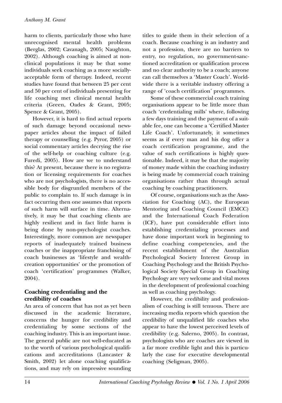harm to clients, particularly those who have unrecognised mental health problems (Berglas, 2002; Cavanagh, 2005; Naughton, 2002). Although coaching is aimed at nonclinical populations it may be that some individuals seek coaching as a more sociallyacceptable form of therapy. Indeed, recent studies have found that between 25 per cent and 50 per cent of individuals presenting for life coaching met clinical mental health criteria (Green, Oades & Grant, 2005; Spence & Grant, 2005).

However, it is hard to find actual reports of such damage beyond occasional newspaper articles about the impact of failed therapy or counselling (e.g. Pyror, 2005) or social commentary articles decrying the rise of the self-help or coaching culture (e.g. Furedi, 2005). How are we to understand this? At present, because there is no registration or licensing requirements for coaches who are not psychologists, there is no accessible body for disgruntled members of the public to complain to. If such damage is in fact occurring then one assumes that reports of such harm will surface in time. Alternatively, it may be that coaching clients are highly resilient and in fact little harm is being done by non-psychologist coaches. Interestingly, more common are newspaper reports of inadequately trained business coaches or the inappropriate franchising of coach businesses as 'lifestyle and wealthcreation opportunities' or the promotion of coach 'certification' programmes (Walker, 2004).

# **Coaching credentialing and the credibility of coaches**

An area of concern that has not as yet been discussed in the academic literature, concerns the hunger for credibility and credentialing by some sections of the coaching industry. This is an important issue. The general public are not well-educated as to the worth of various psychological qualifications and accreditations (Lancaster & Smith, 2002) let alone coaching qualifications, and may rely on impressive sounding titles to guide them in their selection of a coach. Because coaching is an industry and not a profession, there are no barriers to entry, no regulation, no government-sanctioned accreditation or qualification process and no clear authority to be a coach; anyone can call themselves a 'Master Coach'. Worldwide there is a veritable industry offering a range of 'coach certification' programmes.

Some of these commercial coach training organisations appear to be little more than coach 'credentialing mills' where, following a few days training and the payment of a suitable fee, one can become a 'Certified Master Life Coach'. Unfortunately, it sometimes seems as if every man and his dog offer a coach certification programme, and the value of such certifications is highly questionable. Indeed, it may be that the majority of money made within the coaching industry is being made by commercial coach training organisations rather than through actual coaching by coaching practitioners.

Of course, organisations such as the Association for Coaching (AC), the European Mentoring and Coaching Council (EMCC) and the International Coach Federation (ICF), have put considerable effort into establishing credentialing processes and have done important work in beginning to define coaching competencies, and the recent establishment of the Australian Psychological Society Interest Group in Coaching Psychology and the British Psychological Society Special Group in Coaching Psychology are very welcome and vital moves in the development of professional coaching as well as coaching psychology.

However, the credibility and professionalism of coaching is still tenuous. There are increasing media reports which question the credibility of unqualified life coaches who appear to have the lowest perceived levels of credibility (e.g. Salerno, 2005). In contrast, psychologists who are coaches are viewed in a far more credible light and this is particularly the case for executive developmental coaching (Seligman, 2005).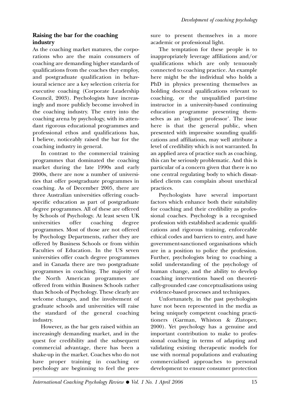# **Raising the bar for the coaching industry**

As the coaching market matures, the corporations who are the main consumers of coaching are demanding higher standards of qualifications from the coaches they employ, and postgraduate qualification in behavioural science are a key selection criteria for executive coaching (Corporate Leadership Council, 2003). Psychologists have increasingly and more publicly become involved in the coaching industry. The entry into the coaching arena by psychology, with its attendant rigorous educational programmes and professional ethos and qualifications has, I believe, noticeably raised the bar for the coaching industry in general.

In contrast to the commercial training programmes that dominated the coaching market during the late 1990s and early 2000s, there are now a number of universities that offer postgraduate programmes in coaching. As of December 2005, there are three Australian universities offering coachspecific education as part of postgraduate degree programmes. All of these are offered by Schools of Psychology. At least seven UK universities offer coaching degree programmes. Most of those are not offered by Psychology Departments, rather they are offered by Business Schools or from within Faculties of Education. In the US seven universities offer coach degree programmes and in Canada there are two postgraduate programmes in coaching. The majority of the North American programmes are offered from within Business Schools rather than Schools of Psychology. These clearly are welcome changes, and the involvement of graduate schools and universities will raise the standard of the general coaching industry.

However, as the bar gets raised within an increasingly demanding market, and in the quest for credibility and the subsequent commercial advantage, there has been a shake-up in the market. Coaches who do not have proper training in coaching or psychology are beginning to feel the pressure to present themselves in a more academic or professional light.

The temptation for these people is to inappropriately leverage affiliations and/or qualifications which are only tenuously connected to coaching practice. An example here might be the individual who holds a PhD in physics presenting themselves as holding doctoral qualifications relevant to coaching, or the unqualified part-time instructor in a university-based continuing education programme presenting themselves as an 'adjunct professor'. The issue here is that the general public, when presented with impressive sounding qualifications and affiliations, may well attribute a level of credibility which is not warranted. In an applied area of practice such as coaching, this can be seriously problematic. And this is particular of a concern given that there is no one central regulating body to which dissatisfied clients can complain about unethical practices.

Psychologists have several important factors which enhance both their suitability for coaching and their credibility as professional coaches. Psychology is a recognised profession with established academic qualifications and rigorous training, enforceable ethical codes and barriers to entry, and have government-sanctioned organisations which are in a position to police the profession. Further, psychologists bring to coaching a solid understanding of the psychology of human change, and the ability to develop coaching interventions based on theoretically-grounded case conceptualisations using evidence-based processes and techniques.

Unfortunately, in the past psychologists have not been represented in the media as being uniquely competent coaching practitioners (Garman, Whiston & Zlatoper, 2000). Yet psychology has a genuine and important contribution to make to professional coaching in terms of adapting and validating existing therapeutic models for use with normal populations and evaluating commercialised approaches to personal development to ensure consumer protection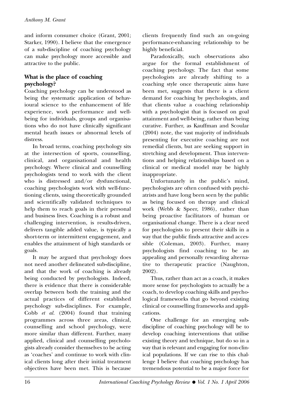and inform consumer choice (Grant, 2001; Starker, 1990). I believe that the emergence of a sub-discipline of coaching psychology can make psychology more accessible and attractive to the public.

# **What is the place of coaching psychology?**

Coaching psychology can be understood as being the systematic application of behavioural science to the enhancement of life experience, work performance and wellbeing for individuals, groups and organisations who do not have clinically significant mental heath issues or abnormal levels of distress.

In broad terms, coaching psychology sits at the intersection of sports, counselling, clinical, and organisational and health psychology. Where clinical and counselling psychologists tend to work with the client who is distressed and/or dysfunctional, coaching psychologists work with well-functioning clients, using theoretically grounded and scientifically validated techniques to help them to reach goals in their personal and business lives. Coaching is a robust and challenging intervention, is results-driven, delivers tangible added value, is typically a short-term or intermittent engagement, and enables the attainment of high standards or goals.

It may be argued that psychology does not need another delineated sub-discipline, and that the work of coaching is already being conducted by psychologists. Indeed, there is evidence that there is considerable overlap between both the training and the actual practices of different established psychology sub-disciplines. For example, Cobb *et al.* (2004) found that training programmes across three areas, clinical, counselling and school psychology, were more similar than different. Further, many applied, clinical and counselling psychologists already consider themselves to be acting as 'coaches' and continue to work with clinical clients long after their initial treatment objectives have been met. This is because clients frequently find such an on-going performance-enhancing relationship to be highly beneficial.

Paradoxically, such observations also argue for the formal establishment of coaching psychology. The fact that some psychologists are already shifting to a coaching style once therapeutic aims have been met, suggests that there is a client demand for coaching by psychologists, and that clients value a coaching relationship with a psychologist that is focused on goal attainment and well-being, rather than being curative. Further, as Kauffman and Scoular (2004) note, the vast majority of individuals presenting for executive coaching are not remedial clients, but are seeking support in stretching and development. Thus interventions and helping relationships based on a clinical or medical model may be highly inappropriate.

Unfortunately in the public's mind, psychologists are often confused with psychiatrists and have long been seen by the public as being focused on therapy and clinical work (Webb & Speer, 1986), rather than being proactive facilitators of human or organisational change. There is a clear need for psychologists to present their skills in a way that the public finds attractive and accessible (Coleman, 2003). Further, many psychologists find coaching to be an appealing and personally rewarding alternative to therapeutic practice (Naughton, 2002).

Thus, rather than act as a coach, it makes more sense for psychologists to actually be a coach, to develop coaching skills and psychological frameworks that go beyond existing clinical or counselling frameworks and applications.

One challenge for an emerging subdiscipline of coaching psychology will be to develop coaching interventions that utilise existing theory and technique, but do so in a way that is relevant and engaging for non-clinical populations. If we can rise to this challenge I believe that coaching psychology has tremendous potential to be a major force for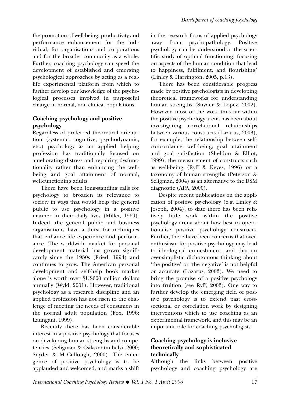the promotion of well-being, productivity and performance enhancement for the individual, for organisations and corporations and for the broader community as a whole. Further, coaching psychology can speed the development of established and emerging psychological approaches by acting as a reallife experimental platform from which to further develop our knowledge of the psychological processes involved in purposeful change in normal, non-clinical populations.

# **Coaching psychology and positive psychology**

Regardless of preferred theoretical orientation (systemic, cognitive, psychodynamic, etc.) psychology as an applied helping profession has traditionally focused on ameliorating distress and repairing dysfunctionality rather than enhancing the wellbeing and goal attainment of normal, well-functioning adults.

There have been long-standing calls for psychology to broaden its relevance to society in ways that would help the general public to use psychology in a positive manner in their daily lives (Miller, 1969). Indeed, the general public and business organisations have a thirst for techniques that enhance life experience and performance. The worldwide market for personal development material has grown significantly since the 1950s (Fried, 1994) and continues to grow. The American personal development and self-help book market alone is worth over \$US600 million dollars annually (Wyld, 2001). However, traditional psychology as a research discipline and an applied profession has not risen to the challenge of meeting the needs of consumers in the normal adult population (Fox, 1996; Laungani, 1999).

Recently there has been considerable interest in a positive psychology that focuses on developing human strengths and competencies (Seligman & Csikszentmihalyi, 2000; Snyder & McCullough, 2000). The emergence of positive psychology is to be applauded and welcomed, and marks a shift in the research focus of applied psychology away from psychopathology. Positive psychology can be understood a 'the scientific study of optimal functioning, focusing on aspects of the human condition that lead to happiness, fulfilment, and flourishing' (Linley & Harrington, 2005, p.13).

There has been considerable progress made by positive psychologists in developing theoretical frameworks for understanding human strengths (Snyder & Lopez, 2002). However, most of the work thus far within the positive psychology arena has been about investigating correlational relationships between various constructs (Lazarus, 2003), for example, the relationship between selfconcordance, well-being, goal attainment and goal satisfaction (Sheldon & Elliot, 1999), the measurement of constructs such as well-being (Ryff & Keyes, 1996) or a taxonomy of human strengths (Peterson & Seligman, 2004) as an alternative to the DSM diagnostic (APA, 2000).

Despite recent publications on the application of positive psychology (e.g. Linley & Joseph, 2004), to date there has been relatively little work within the positive psychology arena about how best to operationalise positive psychology constructs. Further, there have been concerns that overenthusiasm for positive psychology may lead to ideological enmeshment, and that an over-simplistic dichotomous thinking about 'the positive' or 'the negative' is not helpful or accurate (Lazarus, 2003). We need to bring the promise of a positive psychology into fruition (see Ryff, 2003). One way to further develop the emerging field of positive psychology is to extend past crosssectional or correlation work by designing interventions which to use coaching as an experimental framework, and this may be an important role for coaching psychologists.

# **Coaching psychology is inclusive theoretically and sophisticated technically**

Although the links between positive psychology and coaching psychology are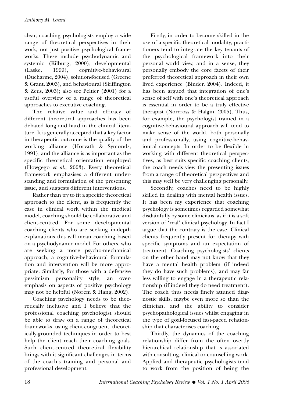clear, coaching psychologists employ a wide range of theoretical perspectives in their work, not just positive psychological frameworks. These include psychodynamic and systemic (Kilburg, 2000), developmental (Laske, 1999), cognitive-behavioural (Ducharme, 2004), solution-focused (Greene & Grant, 2003), and behavioural (Skiffington & Zeus, 2003); also see Peltier (2001) for a useful overview of a range of theoretical approaches to executive coaching.

The relative value and efficacy of different theoretical approaches has been debated long and hard in the clinical literature. It is generally accepted that a key factor in therapeutic outcome is the quality of the working alliance (Horvath & Symonds, 1991), and the alliance is as important as the specific theoretical orientation employed (Howgego *et al.*, 2003). Every theoretical framework emphasises a different understanding and formulation of the presenting issue, and suggests different interventions.

Rather than try to fit a specific theoretical approach to the client, as is frequently the case in clinical work within the medical model, coaching should be collaborative and client-centred. For some developmental coaching clients who are seeking in-depth explanations this will mean coaching based on a psychodynamic model. For others, who are seeking a more psycho-mechanical approach, a cognitive-behavioural formulation and intervention will be more appropriate. Similarly, for those with a defensive pessimism personality style, an overemphasis on aspects of positive psychology may not be helpful (Norem & Hang, 2002).

Coaching psychology needs to be theoretically inclusive and I believe that the professional coaching psychologist should be able to draw on a range of theoretical frameworks, using client-congruent, theoretically-grounded techniques in order to best help the client reach their coaching goals. Such client-centred theoretical flexibility brings with it significant challenges in terms of the coach's training and personal and professional development.

Firstly, in order to become skilled in the use of a specific theoretical modality, practitioners tend to integrate the key tenants of the psychological framework into their personal world view, and in a sense, they personally embody the core facets of their preferred theoretical approach in their own lived experience (Binder, 2004). Indeed, it has been argued that integration of one's sense of self with one's theoretical approach is essential in order to be a truly effective therapist (Norcross & Halgin, 2005). Thus, for example, the psychologist trained in a cognitive-behavioural approach will tend to make sense of the world, both personally and professionally, using cognitive-behavioural concepts. In order to be flexible in working with different theoretical perspectives, as best suits specific coaching clients, the coach needs view the presenting issues from a range of theoretical perspectives and this may well be very challenging personally.

Secondly, coaches need to be highly skilled in dealing with mental health issues. It has been my experience that coaching psychology is sometimes regarded somewhat disdainfully by some clinicians, as if it is a soft version of 'real' clinical psychology. In fact I argue that the contrary is the case. Clinical clients frequently present for therapy with specific symptoms and an expectation of treatment. Coaching psychologists' clients on the other hand may not know that they have a mental health problem (if indeed they do have such problems), and may far less willing to engage in a therapeutic relationship (if indeed they do need treatment). The coach thus needs finely attuned diagnostic skills, maybe even more so than the clinician, and the ability to consider psychopathological issues whilst engaging in the type of goal-focused fast-paced relationship that characterises coaching.

Thirdly, the dynamics of the coaching relationship differ from the often overtly hierarchical relationship that is associated with consulting, clinical or counselling work. Applied and therapeutic psychologists tend to work from the position of being the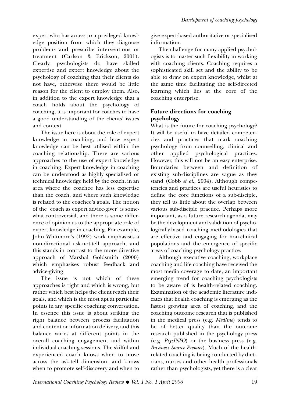expert who has access to a privileged knowledge position from which they diagnose problems and prescribe interventions or treatment (Carlson & Erickson, 2001). Clearly, psychologists do have skilled expertise and expert knowledge about the psychology of coaching that their clients do not have, otherwise there would be little reason for the client to employ them. Also, in addition to the expert knowledge that a coach holds about the psychology of coaching, it is important for coaches to have a good understanding of the clients' issues and context.

The issue here is about the role of expert knowledge in coaching, and how expert knowledge can be best utilised within the coaching relationship. There are various approaches to the use of expert knowledge in coaching. Expert knowledge in coaching can be understood as highly specialised or technical knowledge held by the coach, in an area where the coachee has less expertise than the coach, and where such knowledge is related to the coachee's goals. The notion of the 'coach as expert advice-giver' is somewhat controversial, and there is some difference of opinion as to the appropriate role of expert knowledge in coaching. For example, John Whitmore's (1992) work emphasises a non-directional ask-not-tell approach, and this stands in contrast to the more directive approach of Marshal Goldsmith (2000) which emphasises robust feedback and advice-giving.

The issue is not which of these approaches is right and which is wrong, but rather which best helps the client reach their goals, and which is the most apt at particular points in any specific coaching conversation. In essence this issue is about striking the right balance between process facilitation and content or information delivery, and this balance varies at different points in the overall coaching engagement and within individual coaching sessions. The skilful and experienced coach knows when to move across the ask-tell dimension, and knows when to promote self-discovery and when to

give expert-based authoritative or specialised information.

The challenge for many applied psychologists is to master such flexibility in working with coaching clients. Coaching requires a sophisticated skill set and the ability to be able to draw on expert knowledge, whilst at the same time facilitating the self-directed learning which lies at the core of the coaching enterprise.

# **Future directions for coaching psychology**

What is the future for coaching psychology? It will be useful to have detailed competencies and practices that mark coaching psychology from counselling, clinical and other applied psychological practices. However, this will not be an easy enterprise. Boundaries between and definition of existing sub-disciplines are vague as they stand (Cobb *et al.*, 2004). Although competencies and practices are useful heuristics to define the core functions of a sub-disciple, they tell us little about the overlap between various sub-disciple practice. Perhaps more important, as a future research agenda, may be the development and validation of psychologically-based coaching methodologies that are effective and engaging for non-clinical populations and the emergence of specific areas of coaching psychology practice.

Although executive coaching, workplace coaching and life coaching have received the most media coverage to date, an important emerging trend for coaching psychologists to be aware of is health-related coaching. Examination of the academic literature indicates that health coaching is emerging as the fastest growing area of coaching, and the coaching outcome research that is published in the medical press (e.g. *Medline*) tends to be of better quality than the outcome research published in the psychology press (e.g. *PsycINFO*) or the business press (e.g. *Business Source Premier*). Much of the healthrelated coaching is being conducted by dieticians, nurses and other health professionals rather than psychologists, yet there is a clear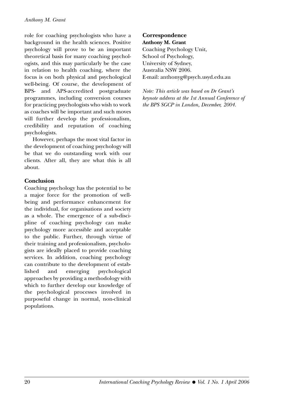role for coaching psychologists who have a background in the health sciences. Positive psychology will prove to be an important theoretical basis for many coaching psychologists, and this may particularly be the case in relation to health coaching, where the focus is on both physical and psychological well-being. Of course, the development of BPS- and APS-accredited postgraduate programmes, including conversion courses for practicing psychologists who wish to work as coaches will be important and such moves will further develop the professionalism, credibility and reputation of coaching psychologists.

However, perhaps the most vital factor in the development of coaching psychology will be that we do outstanding work with our clients. After all, they are what this is all about.

# **Conclusion**

Coaching psychology has the potential to be a major force for the promotion of wellbeing and performance enhancement for the individual, for organisations and society as a whole. The emergence of a sub-discipline of coaching psychology can make psychology more accessible and acceptable to the public. Further, through virtue of their training and professionalism, psychologists are ideally placed to provide coaching services. In addition, coaching psychology can contribute to the development of established and emerging psychological approaches by providing a methodology with which to further develop our knowledge of the psychological processes involved in purposeful change in normal, non-clinical populations.

**Correspondence Anthony M. Grant**  Coaching Psychology Unit, School of Psychology, University of Sydney, Australia NSW 2006. E-mail: anthonyg@psych.usyd.edu.au

*Note: This article was based on Dr Grant's keynote address at the 1st Annual Conference of the BPS SGCP in London, December, 2004.*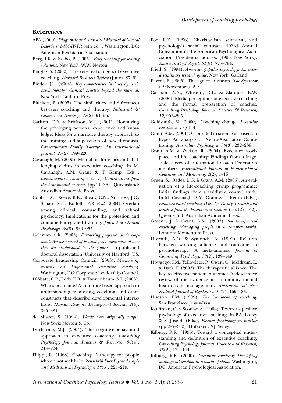#### **References**

- APA (2000). *Diagnostic and Statistical Manual of Mental Disorders: DSM-IV-TR* (4th ed.). Washington, DC: American Psychiatric Association.
- Berg, I.K. & Szabo, P. (2005). *Brief coaching for lasting solutions.* New York: W.W. Norton.
- Berglas, S. (2002). The very real dangers of executive coaching. *Harvard Business Review* (June), 87–92.
- Binder, J.L. (2004). *Key competencies in brief dynamic psychotherapy: Clinical practice beyond the manual.* New York: Guilford Press.
- Bluckert, P. (2005). The similarities and differences between coaching and therapy. *Industrial & Commercial Training, 37*(2), 91–96.
- Carlson, T.D. & Erickson, M.J. (2001). Honouring the privileging personal experience and knowledge: Ideas for a narrative therapy approach to the training and supervision of new therapists. *Contemporary Family Therapy: An International Journal, 23*(2), 199–220.
- Cavanagh, M. (2005). Mental-health issues and challenging cleints in executive coaching. In M. Cavanagh, A.M. Grant & T. Kemp (Eds.), *Evidence-based coaching (Vol. 1): Contributions from the behavioural sciences* (pp.21–36). Queensland: Australian Academic Press.
- Cobb, H.C., Reeve, R.E., Shealy, C.N., Norcross, J.C., Schare, M.L., Rodolfa, E.R. *et al.* (2004). Overlap among clinical, counselling, and school psychology: Implications for the profession and combined-integrated training. *Journal of Clinical Psychology, 60*(9), 939–955.
- Coleman, S.K. (2003). *Furthering professional development: An assessment of psychologists' awareness of how they are understood by the public.* Unpublished doctoral dissertation. University of Hartford, US.
- Corporate Leadership Council. (2003). *Maximising returns on professional executive coaching.* Washington, DC: Corporate Leadership Council.
- D'Abate, C.P., Eddy, E.R. & Tannenbaum, S.I. (2003). What's in a name? A literature-based approach to understanding mentoring, coaching, and other constructs that describe developmental interactions. *Human Resource Development Review, 2*(4), 360–384.
- de Shazer, S. (1994). *Words were originally magic.* New York: Norton & Co.
- Ducharme, M.J. (2004). The cognitive-behavioural approach to executive coaching. *Consulting Psychology Journal: Practice & Research, 56*(4), 214–224.
- Filippi, R. (1968). Coaching: A therapy for people who do not seek help. *Zeitschrift Fuer Psychotherapie und Medizinische Psychologie, 18*(6), 225–229.
- Fox, R.E. (1996). Charlatanism, scientism, and psychology's social contract. 103rd Annual Convention of the American Psychological Association: Presidential address (1995, New York). *American Psychologist, 51*(8), 777–784.
- Fried, S. (1994). *American popular psychology: An interdisciplinary research guide.* New York: Garland.
- Furedi, F. (2005). The age of unreason. *The Spectator* (19 November), 2–3.
- Garman, A.N., Whiston, D.L. & Zlatoper, K.W. (2000). Media perceptions of executive coaching and the formal preparation of coaches. *Consulting Psychology Journal: Practice & Research, 52,* 203–205.
- Goldsmith, M. (2000). Coaching change. *Executive Excellence, 17*(6), 4.
- Grant, A.M. (2001). Grounded in science or based on hype? An analysis of Neuro-Associative Conditioning. *Australian Psychologist, 36*(3), 232–238.
- Grant, A.M. & Zackon, R. (2004). Executive, workplace and life coaching: Findings from a largescale survey of International Coach Federation members. *International Journal of Evidence-based Coaching and Mentoring, 2*(2), 1–15.
- Green, S., Oades, L.G. & Grant, A.M. (2005). An evaluation of a life-coaching group programme: Initial findings from a waitlisted control study. In M. Cavanagh, A.M. Grant & T. Kemp (Eds.), *Evidence-based coaching (Vol. 1): Theory, research and practice from the behavioural sciences* (pp.127–142). Queensland: Australian Academic Press.
- Greene, J. & Grant, A.M. (2003). *Solution-focused coaching: Managing people in a complex world.* London: Momentum Press.
- Horvath, A.O. & Symonds, B. (1991). Relation between working alliance and outcome in psychotherapy: A meta-analysis. *Journal of Counseling Psychology, 38*(2), 139–149.
- Howgego, I.M., Yellowlees, P., Owen, C., Meldrum, L. & Dark, F. (2003). The therapeutic alliance: The key to effective patient outcome? A descriptive review of the evidence in community mental health case management. *Australian & New Zealand Journal of Psychiatry, 37*(2), 169–183.
- Hudson, F.M. (1999). *The handbook of coaching.* San Francisco: Jossey-Bass.
- Kauffman, C. & Scoular, A. (2004). Towards a positive psychology of executive coaching. In P.A. Linley & S. Joseph (Eds.), *Positive psychology in practice* (pp.287–302). Hoboken, NJ: Wiley.
- Kilburg, R.R. (1996). Toward a conceptual understanding and definition of executive coaching. *Consulting Psychology Journal: Practice and Research, 48*(2), 134–144.
- Kilburg, R.R. (2000). *Executive coaching: Developing managerial wisdom in a world of chaos.* Washington, DC: American Psychological Association.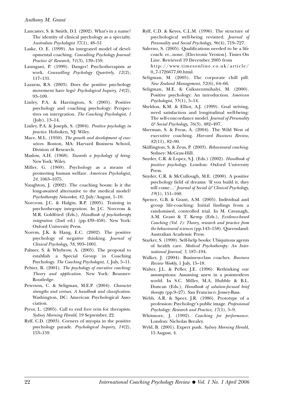- Lancaster, S. & Smith, D.I. (2002). What's in a name? The identity of clinical psychology as a specialty. *Australian Psychologist 37*(1), 48–51
- Laske, O. E. (1999). An integrated model of developmental coaching. *Consulting Psychology Journal: Practice & Research, 51*(3), 139–159.
- Laungani, P. (1999). Danger! Psychotherapists at work. *Counselling Psychology Quarterly, 12*(2), 117–131.
- Lazarus, R.S. (2003). Does the positive psychology movement have legs? *Psychological Inquiry, 14*(2), 93–109.
- Linley, P.A. & Harrington, S. (2005). Positive psychology and coaching psychology: Perspectives on intergration. *The Coaching Psychologist, 1* (July), 13–14.
- Linley, P.A. & Joseph, S. (2004). *Positive psychology in practice.* Hoboken, NJ: Wiley.
- Mace, M.L. (1950). *The growth and development of executives.* Boston, MA: Harvard Business School, Division of Research.
- Maslow, A.H. (1968). *Towards a psychology of being.* New York: Wiley.
- Miller, G. (1969). Psychology as a means of promoting human welfare. *American Psychologist, 24,* 1063–1075.
- Naughton, J. (2002). The coaching boom: Is it the long-awaited alternative to the medical model? *Psychotherapy Networker, 42,* July/August, 1–10.
- Norcross, J.C. & Halgin, R.P. (2005). Training in psychotherapy integration. In J.C. Norcross & M.R. Goldfried (Eds.), *Handbook of psychotherapy integration* (2nd ed.) (pp.439–458). New York: Oxford University Press.
- Norem, J.K. & Hang, E.C. (2002). The positive psychology of negative thinking. *Journal of Clinical Psychology, 58,* 993–1001.
- Palmer, S. & Whybrow, A. (2005). The proposal to establish a Special Group in Coaching Psychology. *The Coaching Psychologist, 1,* July, 5–11.
- Peltier, B. (2001). *The psychology of executive coaching: Theory and application.* New York: Brunner-Routledge.
- Peterson, C. & Seligman, M.E.P. (2004). *Character strengths and virtues. A handbook and classification.* Washington, DC: American Psychological Association.
- Pyror, L. (2005). Call to end free rein for therapists. *Sydney Morning Herald,* 19 September, 22.
- Ryff, C.D. (2003). Corners of myopia in the positive psychology parade. *Psychological Inquiry, 14*(2), 153–159.
- Ryff, C.D. & Keyes, C.L.M. (1996). The structure of psychological well-being revisited. *Journal of Personality and Social Psychology, 96*(4), 719–727.
- Salerno, S. (2005). Qualifications needed to be a life coach: er...none. [Electronic Version]. Times On Line. Retrieved 19 December 2005 from http://www.timesonline.co.uk/article/ 0,,7-1726677,00.html.
- Seligman, M. (2005). The corporate chill pill. *New Zealand Management, 52*(6), 64–66.
- Seligman, M.E. & Csikszentmihalyi, M. (2000). Positive psychology: An introduction. *American Psychologist, 55*(1), 5–14.
- Sheldon, K.M. & Elliot, A.J. (1999). Goal striving, need satisfaction and longitudinal well-being: The self-concordance model. *Journal of Personality & Social Psychology, 76*(3), 482–497.
- Sherman, S. & Freas, A. (2004). The Wild West of executive coaching. *Harvard Business Review, 82*(11), 82–90.
- Skiffington, S. & Zeus, P. (2003). *Behavioural coaching.* Sydney: McGraw-Hill.
- Snyder, C.R. & Lopez, S.J. (Eds.) (2002). *Handbook of positive psychology.* London: Oxford University Press.
- Snyder, C.R. & McCullough, M.E. (2000). A positive psychology field of dreams: 'If you build it, they will come...' *Journal of Social & Clinical Psychology*, *19*(1), 151–160.
- Spence, G.B. & Grant, A.M. (2005). Individual and group life-coaching: Initial findings from a randomised, controlled trial. In M. Cavanagh, A.M. Grant & T. Kemp (Eds.), *Evidence-based Coaching (Vol. 1): Theory, research and practice from the behavioural sciences* (pp.143–158). Queensland: Australian Academic Press.
- Starker, S. (1990). Self-help books: Ubiquitous agents of health care. *Medical Psychotherapy: An International Journal, 3,* 187–194.
- Walker, J. (2004). Business-class coaches. *Business Review Weekly,* 1 July, 15–18.
- Walter, J.L. & Peller, J.E. (1996). Rethinking our assumptions: Assuming anew in a postmodern world. In S.C. Miller, M.A. Hubble & B.L. Duncan (Eds.), *Handbook of solution-focused brief therapy* (pp.9–27). San Francisco: Jossey-Bass.
- Webb, A.R. & Speer, J.R. (1986). Prototype of a profession: Psychology's public image. *Professional Psychology: Research and Practice, 17*(1), 5–9.
- Whitmore, J. (1992). *Coaching for performance.* London: Nicholas Brealey.
- Wyld, B. (2001). Expert push. *Sydney Morning Herald,* 15 August, 4.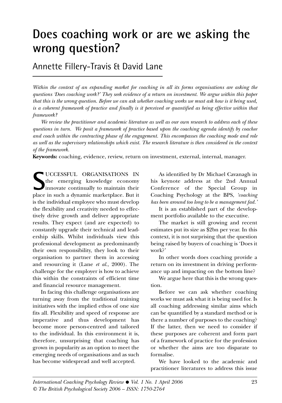# **Does coaching work or are we asking the wrong question?**

# Annette Fillery-Travis & David Lane

*Within the context of an expanding market for coaching in all its forms organisations are asking the questions 'Does coaching work?' They seek evidence of a return on investment. We argue within this paper that this is the wrong question. Before we can ask whether coaching works we must ask how is it being used, is a coherent framework of practice and finally is it perceived or quantified as being effective within that framework?*

*We review the practitioner and academic literature as well as our own research to address each of these questions in turn. We posit a framework of practice based upon the coaching agenda identify by coachee and coach within the contracting phase of the engagement. This encompasses the coaching mode and role as well as the supervisory relationships which exist. The research literature is then considered in the context of the framework.* 

**Keywords:** coaching, evidence, review, return on investment, external, internal, manager.

**S** UCCESSFUL ORGANISATIONS IN<br>the emerging knowledge economy<br>innovate continually to maintain their<br>place in such a dynamic marketplace But it UCCESSFUL ORGANISATIONS IN the emerging knowledge economy place in such a dynamic marketplace. But it is the individual employee who must develop the flexibility and creativity needed to effectively drive growth and deliver appropriate results. They expect (and are expected) to constantly upgrade their technical and leadership skills. Whilst individuals view this professional development as predominantly their own responsibility, they look to their organisation to partner them in accessing and resourcing it (Lane *et al.*, 2000). The challenge for the employer is how to achieve this within the constraints of efficient time and financial resource management.

In facing this challenge organisations are turning away from the traditional training initiatives with the implied ethos of one size fits all. Flexibility and speed of response are imperative and thus development has become more person-centred and tailored to the individual. In this environment it is, therefore, unsurprising that coaching has grown in popularity as an option to meet the emerging needs of organisations and as such has become widespread and well accepted.

As identified by Dr Michael Cavanagh in his keynote address at the 2nd Annual Conference of the Special Group in Coaching Psychology at the BPS, *'coaching has been around too long to be a management fad.'*

It is an established part of the development portfolio available to the executive.

The market is still growing and recent estimates put its size as \$2bn per year. In this context, it is not surprising that the question being raised by buyers of coaching is 'Does it work?'

In other words does coaching provide a return on its investment in driving performance up and impacting on the bottom line?

We argue here that this is the wrong question.

Before we can ask whether coaching works we must ask what it is being used for. Is all coaching addressing similar aims which can be quantified by a standard method or is there a number of purposes to the coaching? If the latter, then we need to consider if these purposes are coherent and form part of a framework of practice for the profession or whether the aims are too disparate to formalise.

We have looked to the academic and practitioner literatures to address this issue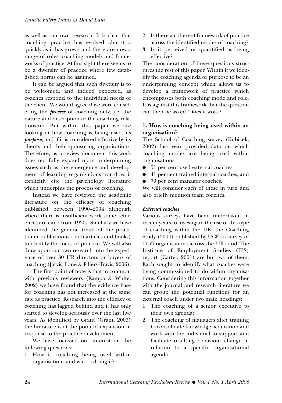as well as our own research. It is clear that coaching practice has evolved almost a quickly as it has grown and there are now a range of roles, coaching models and frameworks of practice. At first sight there seems to be a diversity of practice where few established norms can be assumed.

It can be argued that such diversity is to be welcomed, and indeed expected, as coaches respond to the individual needs of the client. We would agree if we were considering the **process** of coaching only, i.e. the nature and description of the coaching relationship. But within this paper we are looking at how coaching is being used, its **purpose**, and if it is considered effective by its clients and their sponsoring organisations. Therefore, as a review document this work does not fully expand upon underpinning issues such as the emergence and development of learning organisations nor does it explicitly cite the psychology literature which underpins the process of coaching.

Instead we have reviewed the academic literature on the efficacy of coaching published between 1990–2004 although where there is insufficient work some references are cited from 1930s. Similarly we have identified the general trend of the practitioner publications (both articles and books) to identify the focus of practice. We will also draw upon our own research into the experience of over 30 HR directors or buyers of coaching (Jarvis, Lane & Fillery-Travis, 2006).

The first point of note is that in common with previous reviewers (Kampa & White, 2002) we have found that the evidence base for coaching has not increased at the same rate as practice. Research into the efficacy of coaching has lagged behind and it has only started to develop seriously over the last five years. As identified by Grant (Grant, 2003) the literature is at the point of expansion in response to the practice development.

We have focussed our interest on the following questions:

1. How is coaching being used within organisations and who is doing it?

- 2. Is there a coherent framework of practice across the identified modes of coaching?
- 3. Is it perceived or quantified as being effective?

The consideration of these questions structures the rest of this paper. Within it we identify the coaching agenda or purpose to be an underpinning concept which allows us to develop a framework of practice which encompasses both coaching mode and role. It is against this framework that the question can then be asked 'Does it work?'

# **1. How is coaching being used within an organisation?**

The School of Coaching survey (Kubicek, 2002) last year provided data on which coaching modes are being used within organisations:

- 51 per cent used external coaches;
- 41 per cent trained internal coaches; and
- 79 per cent manager coaches.

We will consider each of these in turn and also briefly mention team coaches.

### **External coaches**

Various surveys have been undertaken in recent years to investigate the use of this type of coaching within the UK; the Coaching Study (2004) published by UCE (a survey of 1153 organisations across the UK) and The Institute of Employment Studies (IES) report (Carter, 2001) are but two of them. Each sought to identify what coaches were being commissioned to do within organisations. Considering this information together with the journal and research literature we can group the potential functions for an external coach under two main headings:

- 1. The coaching of a senior executive to their own agenda;
- 2. The coaching of managers after training to consolidate knowledge acquisition and work with the individual to support and facilitate resulting behaviour change in relation to a specific organisational agenda.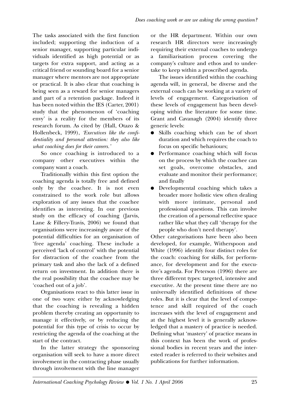The tasks associated with the first function included; supporting the induction of a senior manager, supporting particular individuals identified as high potential or as targets for extra support, and acting as a critical friend or sounding board for a senior manager where mentors are not appropriate or practical. It is also clear that coaching is being seen as a reward for senior managers and part of a retention package. Indeed it has been noted within the IES (Carter, 2001) study that the phenomenon of 'coaching envy' is a reality for the members of its research forum. As cited by (Hall, Otazo & Hollenbeck, 1999), *'Executives like the confidentiality and personal attention: they also like what coaching does for their careers.'*

So once coaching is introduced to a company other executives within the company want a coach.

Traditionally within this first option the coaching agenda is totally free and defined only by the coachee. It is not even constrained to the work role but allows exploration of any issues that the coachee identifies as interesting. In our previous study on the efficacy of coaching (Jarvis, Lane & Fillery-Travis, 2006) we found that organisations were increasingly aware of the potential difficulties for an organisation of 'free agenda' coaching. These include a perceived 'lack of control' with the potential for distraction of the coachee from the primary task and also the lack of a defined return on investment. In addition there is the real possibility that the coachee may be 'coached out of a job'.

Organisations react to this latter issue in one of two ways: either by acknowledging that the coaching is revealing a hidden problem thereby creating an opportunity to manage it effectively, or by reducing the potential for this type of crisis to occur by restricting the agenda of the coaching at the start of the contract.

In the latter strategy the sponsoring organisation will seek to have a more direct involvement in the contracting phase usually through involvement with the line manager or the HR department. Within our own research HR directors were increasingly requiring their external coaches to undergo a familiarisation process covering the company's culture and ethos and to undertake to keep within a proscribed agenda.

The issues identified within the coaching agenda will, in general, be diverse and the external coach can be working at a variety of levels of engagement. Categorisation of these levels of engagement has been developing within the literature for some time. Grant and Cavanagh (2004) identify three generic levels:

- Skills coaching which can be of short duration and which requires the coach to focus on specific behaviours;
- Performance coaching which will focus on the process by which the coachee can set goals, overcome obstacles, and evaluate and monitor their performance; and finally
- Developmental coaching which takes a broader more holistic view often dealing with more intimate, personal and professional questions. This can involve the creation of a personal reflective space rather like what they call 'therapy for the people who don't need therapy'.

Other categorisations have been also been developed, for example, Witherspoon and White (1996) identify four distinct roles for the coach: coaching for skills, for performance, for development and for the executive's agenda. For Peterson (1996) there are three different types: targeted, intensive and executive. At the present time there are no universally identified definitions of these roles. But it is clear that the level of competence and skill required of the coach increases with the level of engagement and at the highest level it is generally acknowledged that a mastery of practice is needed. Defining what 'mastery' of practice means in this context has been the work of professional bodies in recent years and the interested reader is referred to their websites and publications for further information.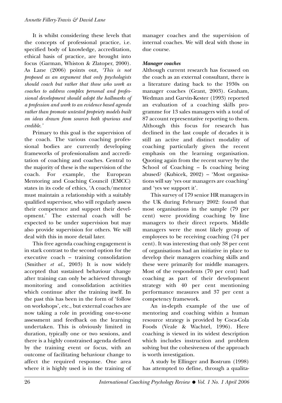It is whilst considering these levels that the concepts of professional practice, i.e. specified body of knowledge, accreditation, ethical basis of practice, are brought into focus (Garman, Whiston & Zlatoper, 2000). As Lane (2006) points out, *'This is not proposed as an argument that only psychologists should coach but rather that those who work as coaches to address complex personal and professional development should adopt the hallmarks of a profession and work to an evidence based agenda rather than promote untested propriety models built on ideas drawn from sources both spurious and credible.'* 

Primary to this goal is the supervision of the coach. The various coaching professional bodies are currently developing frameworks of professionalism and accreditation of coaching and coaches. Central to the majority of these is the supervision of the coach. For example, the European Mentoring and Coaching Council (EMCC) states in its code of ethics, 'A coach/mentor must maintain a relationship with a suitably qualified supervisor, who will regularly assess their competence and support their development.' The external coach will be expected to be under supervision but may also provide supervision for others. We will deal with this in more detail later.

This free agenda coaching engagement is in stark contrast to the second option for the executive coach – training consolidation (Smither *et al.*, 2003) It is now widely accepted that sustained behaviour change after training can only be achieved through monitoring and consolidation activities which continue after the training itself. In the past this has been in the form of 'follow on workshops', etc., but external coaches are now taking a role in providing one-to-one assessment and feedback on the learning undertaken. This is obviously limited in duration, typically one or two sessions, and there is a highly constrained agenda defined by the training event or focus, with an outcome of facilitating behaviour change to affect the required response. One area where it is highly used is in the training of manager coaches and the supervision of internal coaches. We will deal with those in due course.

### **Manager coaches**

Although current research has focussed on the coach as an external consultant, there is a literature dating back to the 1930s on manager coaches (Grant, 2003). Graham, Wedman and Garvin-Kester (1993) reported an evaluation of a coaching skills programme for 13 sales managers with a total of 87 account representative reporting to them. Although this focus for research has declined in the last couple of decades it is still an active and distinct modality of coaching particularly given the recent emphasis on the learning organisation. Quoting again from the recent survey by the School of Coaching – Is coaching being abused? (Kubicek, 2002) – 'Most organisations will say 'yes our managers are coaching' and 'yes we support it'.

This survey of 179 senior HR managers in the UK during February 2002: found that most organisations in the sample (79 per cent) were providing coaching by line managers to their direct reports. Middle managers were the most likely group of employees to be receiving coaching (74 per cent). It was interesting that only 38 per cent of organisations had an initiative in place to develop their managers coaching skills and these were primarily for middle managers. Most of the respondents (70 per cent) had coaching as part of their development strategy with 40 per cent mentioning performance measures and 37 per cent a competency framework.

An in-depth example of the use of mentoring and coaching within a human resource strategy is provided by Coca-Cola Foods (Veale & Wachtel, 1996). Here coaching is viewed in its widest description which includes instruction and problem solving but the cohesiveness of the approach is worth investigation.

A study by Ellinger and Bostrum (1998) has attempted to define, through a qualita-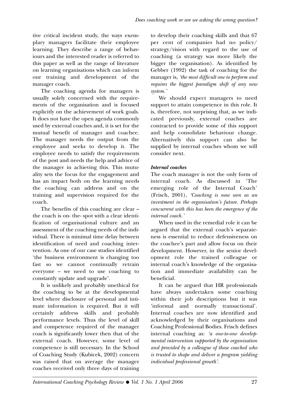tive critical incident study, the ways exemplary managers facilitate their employee learning. They describe a range of behaviours and the interested reader is referred to this paper as well as the range of literature on learning organisations which can inform our training and development of the manager coach.

The coaching agenda for managers is usually solely concerned with the requirements of the organisation and is focused explicitly on the achievement of work goals. It does not have the open agenda commonly used by external coaches and, it is set for the mutual benefit of manager and coachee. The manager needs the output from the employee and seeks to develop it. The employee needs to satisfy the requirements of the post and needs the help and advice of the manager in achieving this. This mutuality sets the focus for the engagement and has an impact both on the learning needs the coaching can address and on the training and supervision required for the coach.

The benefits of this coaching are clear – the coach is on- the- spot with a clear identification of organisational culture and an assessment of the coaching needs of the individual. There is minimal time delay between identification of need and coaching intervention. As one of our case studies identified 'the business environment is changing too fast so we cannot continually retrain everyone – we need to use coaching to constantly update and upgrade'.

It is unlikely and probably unethical for the coaching to be at the developmental level where disclosure of personal and intimate information is required. But it will certainly address skills and probably performance levels. Thus the level of skill and competence required of the manager coach is significantly lower then that of the external coach. However, some level of competence is still necessary. In the School of Coaching Study (Kubicek, 2002) concern was raised that on average the manager coaches received only three days of training to develop their coaching skills and that 67 per cent of companies had no policy/ strategy/vision with regard to the use of coaching (a strategy was more likely the bigger the organisation). As identified by Gebber (1992) the task of coaching for the manager is, *'the most difficult one to perform and requires the biggest paradigm shift of any new system.'*

We should expect managers to need support to attain competence in this role. It is, therefore, not surprising that, as we indicated previously, external coaches are contracted to provide some of this support and help consolidate behaviour change. Alternatively this support can also be supplied by internal coaches whom we will consider next.

# **Internal coaches**

The coach manager is not the only form of internal coach. As discussed in 'The emerging role of the Internal Coach' (Frisch, 2001), *'Coaching is now seen as an investment in the organisation's future. Perhaps concurrent with this has been the emergence of the internal coach.'*

When used in the remedial role it can be argued that the external coach's separateness is essential to reduce defensiveness on the coachee's part and allow focus on their development. However, in the senior development role the trained colleague or internal coach's knowledge of the organisation and immediate availability can be beneficial.

It can be argued that HR professionals have always undertaken some coaching within their job descriptions but it was 'informal and normally transactional'. Internal coaches are now identified and acknowledged by their organisations and Coaching Professional Bodies. Frisch defines internal coaching as: *'a one-to-one developmental intervention supported by the organisation and provided by a colleague of those coached who is trusted to shape and deliver a program yielding individual professional growth'.*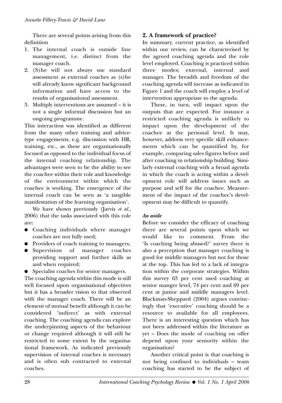There are several points arising from this definition

- 1. The internal coach is outside line management, i.e. distinct from the manager coach.
- 2. (S)he will not always use standard assessment as external coaches as (s)he will already know significant background information and have access to the results of organisational assessment.
- 3. Multiply interventions are assumed it is not a single informal discussion but an ongoing programme.

This interaction was identified as different from the many other training and advicetype engagements, e.g. discussion with HR, training, etc., as these are organisationally focused as opposed to the individual focus of the internal coaching relationship. The advantages were seen to be the ability to see the coachee within their role and knowledge of the environment within which the coachee is working. The emergence of the internal coach can be seen as 'a tangible manifestation of the learning organisation'.

We have shown previously (Jarvis *et al.*, 2006) that the tasks associated with this role are:

- Coaching individuals where manager coaches are not fully used;
- Providers of coach training to managers;
- Supervision of manager coaches providing support and further skills as and when required;
- Specialist coaches for senior managers.

The coaching agenda within this mode is still well focused upon organisational objectives but it has a broader vision to that observed with the manager coach. There will be an element of mutual benefit although it can be considered 'indirect' as with external coaching. The coaching agenda can explore the underpinning aspects of the behaviour or change required although it will still be restricted to some extent by the organisational framework. As indicated previously supervision of internal coaches is necessary and is often sub contracted to external coaches.

# **2. A framework of practice?**

In summary, current practice, as identified within our review, can be characterised by the agreed coaching agenda and the role level employed. Coaching is practiced within three modes; external, internal and manager. The breadth and freedom of the coaching agenda will increase as indicated in Figure 1 and the coach will employ a level of intervention appropriate to the agenda.

These, in turn, will impact upon the outputs that are expected. For instance a restricted coaching agenda is unlikely to impact upon the development of the coachee at the personal level. It may, however, address very specific skill enhancements which can be quantified by, for example, comparing sales figures before and after coaching in relationship building. Similarly external coaching with a broad agenda in which the coach is acting within a development role will address issues such as purpose and self for the coachee. Measurement of the impact of the coachee's development may be difficult to quantify.

### **An aside**

Before we consider the efficacy of coaching there are several points upon which we would like to comment. From the 'Is coaching being abused?' survey there is also a perception that manager coaching is good for middle managers but not for those at the top. This has led to a lack of integration within the corporate strategies. Within this survey 63 per cent used coaching at senior manger level, 74 per cent and 69 per cent at junior and middle managers level. Blackman-Sheppard (2004) argues convincingly that 'executive' coaching should be a resource to available for all employees. There is an interesting question which has not been addressed within the literature as yet – Does the mode of coaching on offer depend upon your seniority within the organisation?

Another critical point is that coaching is not being confined to individuals – team coaching has started to be the subject of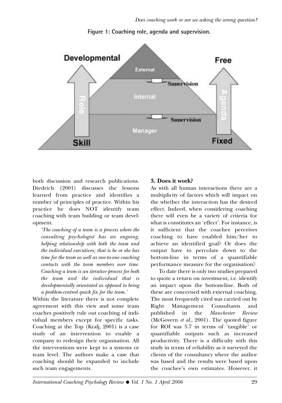

**Figure 1: Coaching role, agenda and supervision.**

both discussion and research publications. Diedrich (2001) discusses the lessons learned from practice and identifies a number of principles of practice. Within his practice he does NOT identify team coaching with team building or team development.

*'The coaching of a team is a process where the consulting psychologist has an ongoing, helping relationship with both the team and the individual executives; that is he or she has time for the team as well as one-to-one coaching contacts with the team members over time. Coaching a team is an iterative process for both the team and the individual that is developmentally orientated as opposed to being a problem-centred quick fix for the team.'*

Within the literature there is not complete agreement with this view and some team coaches positively rule out coaching of individual members except for specific tasks. Coaching at the Top (Kralj, 2001) is a case study of an intervention to enable a company to redesign their organisation. All the interventions were kept to a systems or team level. The authors make a case that coaching should be expanded to include such team engagements.

## **3. Does it work?**

As with all human interactions there are a multiplicity of factors which will impact on the whether the interaction has the desired effect. Indeed, when considering coaching there will even be a variety of criteria for what is constitutes an 'effect'. For instance, is it sufficient that the coachee perceives coaching to have enabled him/her to achieve an identified goal? Or does the output have to percolate down to the bottom-line in terms of a quantifiable performance measure for the organisation?

To date there is only two studies prepared to quote a return on investment, i.e. identify an impact upon the bottom-line. Both of these are concerned with external coaching. The most frequently cited was carried out by Right Management Consultants and published in the *Manchester Review* (McGovern *et al*., 2001). The quoted figure for ROI was 5.7 in terms of 'tangible' or quantifiable outputs such as increased productivity. There is a difficulty with this study in terms of reliability as it surveyed the clients of the consultancy where the author was based and the results were based upon the coachee's own estimates. However, it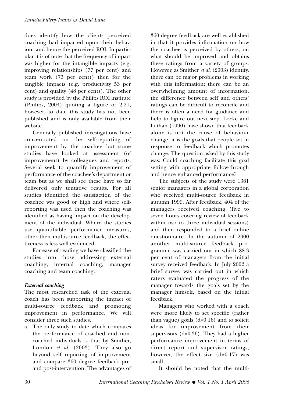does identify how the clients perceived coaching had impacted upon their behaviour and hence the perceived ROI. In particular it is of note that the frequency of impact was higher for the intangible impacts (e.g. improving relationships (77 per cent) and team work (73 per cent)) then for the tangible impacts (e.g. productivity 53 per cent) and quality (48 per cent)). The other study is provided by the Philips ROI institute (Philips, 2004) quoting a figure of 2.21, however, to date this study has not been published and is only available from their website.

Generally published investigations have concentrated on the self-reporting of improvement by the coachee but some studies have looked at assessment (of improvement) by colleagues and reports. Several seek to quantify improvement of performance of the coachee's department or team but as we shall see these have so far delivered only tentative results. For all studies identified the satisfaction of the coachee was good or high and where selfreporting was used then the coaching was identified as having impact on the development of the individual. Where the studies use quantifiable performance measures, other then multisource feedback, the effectiveness is less well evidenced.

For ease of reading we have classified the studies into those addressing external coaching, internal coaching, manager coaching and team coaching.

# **External coaching**

The most researched task of the external coach has been supporting the impact of multi-source feedback and promoting improvement in performance. We will consider three such studies.

a. The only study to date which compares the performance of coached and noncoached individuals is that by Smither, London *et al.* (2003). They also go beyond self reporting of improvement and compare 360 degree feedback preand post-intervention. The advantages of 360 degree feedback are well established in that it provides information on how the coachee is perceived by others; on what should be improved and obtains these ratings from a variety of groups. However, as Smither *et al.* (2003) identify, there can be major problems in working with this information; there can be an overwhelming amount of information, the difference between self and others' ratings can be difficult to reconcile and there is often a need for guidance and help to figure out next step. Locke and Lathan (1990) have shown that feedback alone is not the cause of behaviour change, it is the goals that people set in response to feedback which promotes change. The question asked by this study was: Could coaching facilitate this goal setting with appropriate follow-through and hence enhanced performance?

The subjects of the study were 1361 senior managers in a global corporation who received multi-source feedback in autumn 1999. After feedback, 404 of the managers received coaching (five to seven hours covering review of feedback within two to three individual sessions) and then responded to a brief online questionnaire. In the autumn of 2000 another multi-source feedback programme was carried out in which 88.3 per cent of managers from the initial survey received feedback. In July 2002 a brief survey was carried out in which raters evaluated the progress of the manager towards the goals set by the manager himself, based on the initial feedback.

Managers who worked with a coach were more likely to set specific (rather than vague) goals (d=0.16) and to solicit ideas for improvement from their supervisors (d=0.36). They had a higher performance improvement in terms of direct report and supervisor ratings, however, the effect size  $(d=0.17)$  was small.

It should be noted that the multi-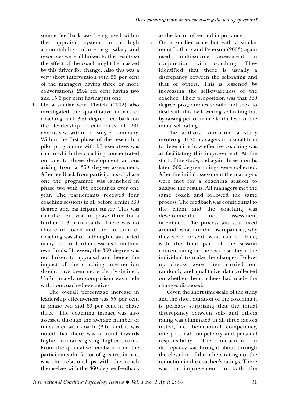source feedback was being used within the appraisal system in a high accountability culture, e.g. salary and resources were all linked to the results so the effect of the coach might be masked by this driver for change. Also this was a very short intervention with 55 per cent of the managers having three or more conversations, 29.4 per cent having two and 15.6 per cent having just one.

b. On a similar vein Thatch (2002) also investigated the quantitative impact of coaching and 360 degree feedback on the leadership effectiveness of 281 executives within a single company. Within the first phase of the research a pilot programme with 57 executives was run in which the coaching concentrated on one to three development actions arising from a 360 degree assessment. After feedback from participants of phase one the programme was launched in phase two with 168 executives over one year. The participants received four coaching sessions in all before a mini 360 degree and participant survey. This was run the next year in phase three for a further 113 participants. There was no choice of coach and the duration of coaching was short although it was noted many paid for further sessions from their own funds. However, the 360 degree was not linked to appraisal and hence the impact of the coaching intervention should have been more clearly defined. Unfortunately no comparison was made with non-coached executives.

The overall percentage increase in leadership effectiveness was 55 per cent in phase two and 60 per cent in phase three. The coaching impact was also assessed through the average number of times met with coach (3.6) and it was noted that there was a trend towards higher contacts giving higher scores. From the qualitative feedback from the participants the factor of greatest impact was the relationships with the coach themselves with the 360 degree feedback as the factor of second importance.

c. On a smaller scale but with a similar remit Luthans and Peterson (2003) again used multi-source assessment in conjunction with coaching. They identified that there is usually a discrepancy between the self-rating and that of others. This is lessened by increasing the self-awareness of the coachee. Their proposition was that 360 degree programmes should not seek to deal with this by lowering self-rating but by raising performance to the level of the initial self-rating.

The authors conducted a study involving all 20 managers in a small firm to determine how effective coaching was at facilitating this improvement. At the start of the study, and again three months later, 360 degree ratings were collected. After the initial assessment the managers were met for a coaching session to analyse the results. All managers met the same coach and followed the same process. The feedback was confidential to the client and the coaching was developmental not assessment orientated. The process was structured around: what are the discrepancies, why they were present; what can be done; with the final part of the session concentrating on the responsibility of the individual to make the changes. Followup checks were then carried out randomly and qualitative data collected on whether the coachees had made the changes discussed.

Given the short time-scale of the study and the short duration of the coaching it is perhaps surprising that the initial discrepancy between self- and others rating was eliminated in all three factors tested, i.e. behavioural competency, interpersonal competency and personal responsibility. The reduction in discrepancy was brought about through the elevation of the others rating not the reduction in the coachee's ratings. There was an improvement in both the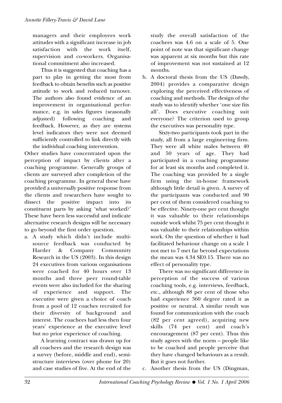managers and their employees work attitudes with a significant increase in job satisfaction with the work itself, supervision and co-workers. Organisational commitment also increased.

Thus it is suggested that coaching has a part to play in getting the most from feedback to obtain benefits such as positive attitude to work and reduced turnover. The authors also found evidence of an improvement in organisational performance, e.g. in sales figures (seasonally adjusted) following coaching and feedback. However, as they are systems level indicators they were not deemed sufficiently controlled to link directly with the individual coaching intervention.

Other studies have concentrated upon the perception of impact by clients after a coaching programme. Generally groups of clients are surveyed after completion of the coaching programme. In general these have provided a universally positive response from the clients and researchers have sought to dissect the positive impact into its constituent parts by asking 'what worked?' These have been less successful and indicate alternative research designs will be necessary to go beyond the first order question.

a. A study which didn't include multisource feedback was conducted by<br>Harder & Company Community Harder & Company Community Research in the US (2003). In this design 24 executives from various organisations were coached for 40 hours over 13 months and three peer round-table events were also included for the sharing of experience and support. The executive were given a choice of coach from a pool of 12 coaches recruited for their diversity of background and interest. The coachees had less then four years' experience at the executive level but no prior experience of coaching.

A learning contract was drawn up for all coachees and the research design was a survey (before, middle and end), semistructure interviews (over phone for 20) and case studies of five. At the end of the study the overall satisfaction of the coachees was 4.6 on a scale of 5. One point of note was that significant change was apparent at six months but this rate of improvement was not sustained at 12 months.

b. A doctoral thesis from the US (Dawdy, 2004) provides a comparative design exploring the perceived effectiveness of coaching and methods. The design of the study was to identify whether 'one size fits all'. Does executive coaching suit everyone? The criterion used to group the executives was personality type.

Sixty-two participants took part in the study, all from a large engineering firm. They were all white males between 40 and 50 years of age. They had participated in a coaching programme for at least six months and completed it. The coaching was provided by a single firm using the in-house framework although little detail is given. A survey of the participants was conducted and 90 per cent of them considered coaching to be effective. Ninety-one per cent thought it was valuable to their relationships outside work whilst 75 per cent thought it was valuable to their relationships within work. On the question of whether it had facilitated behaviour change on a scale 1 not met to 7 met far beyond expectations the mean was 4.34 SE0.15. There was no effect of personality type.

There was no significant difference in perception of the success of various coaching tools, e.g. interviews, feedback, etc., although 88 per cent of those who had experience 360 degree rated it as positive or neutral. A similar result was found for communication with the coach (82 per cent agreed), acquiring new skills (74 per cent) and coach's encouragement (87 per cent). Thus this study agrees with the norm – people like to be coached and people perceive that they have changed behaviours as a result. But it goes not further.

c. Another thesis from the US (Dingman,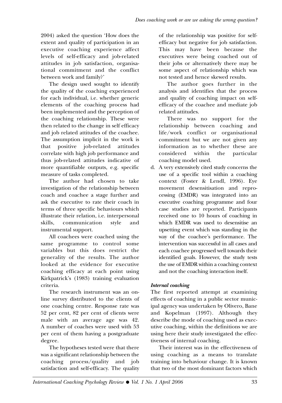2004) asked the question 'How does the extent and quality of participation in an executive coaching experience affect levels of self-efficacy and job-related attitudes in job satisfaction, organisational commitment and the conflict between work and family?'

The design used sought to identify the quality of the coaching experienced for each individual, i.e. whether generic elements of the coaching process had been implemented and the perception of the coaching relationship. These were then related to the change in self efficacy and job related attitudes of the coachee. The assumption implicit in the work is that positive job-related attitudes correlate with high job performance and thus job-related attitudes indicative of more quantifiable outputs, e.g. specific measure of tasks completed.

The author had chosen to take investigation of the relationship between coach and coachee a stage further and ask the executive to rate their coach in terms of three specific behaviours which illustrate their relation, i.e. interpersonal skills, communication style and instrumental support.

All coachees were coached using the same programme to control some variables but this does restrict the generality of the results. The author looked at the evidence for executive coaching efficacy at each point using Kirkpatrick's (1983) training evaluation criteria.

The research instrument was an online survey distributed to the clients of one coaching centre. Response rate was 52 per cent, 82 per cent of clients were male with an average age was 42. A number of coaches were used with 53 per cent of them having a postgraduate degree.

The hypotheses tested were that there was a significant relationship between the coaching process/quality and job satisfaction and self-efficacy. The quality of the relationship was positive for selfefficacy but negative for job satisfaction. This may have been because the executives were being coached out of their jobs or alternatively there may be some aspect of relationship which was not tested and hence skewed results.

The author goes further in the analysis and identifies that the process and quality of coaching impact on selfefficacy of the coachee and mediate job related attitudes.

There was no support for the relationship between coaching and life/work conflict or organisational commitment but we are not given any information as to whether these are considered within the particular coaching model used.

d. A very extensively cited study concerns the use of a specific tool within a coaching context (Foster & Lendl, 1996). Eye movement desensitisation and reprocessing (EMDR) was integrated into an executive coaching programme and four case studies are reported. Participants received one to 10 hours of coaching in which EMDR was used to desensitise an upsetting event which was standing in the way of the coachee's performance. The intervention was successful in all cases and each coachee progressed well towards their identified goals. However, the study tests the use of EMDR within a coaching context and not the coaching interaction itself.

# **Internal coaching**

The first reported attempt at examining effects of coaching in a public sector municipal agency was undertaken by Olivero, Bane and Kopelman (1997). Although they describe the mode of coaching used as executive coaching, within the definitions we are using here their study investigated the effectiveness of internal coaching.

Their interest was in the effectiveness of using coaching as a means to translate training into behaviour change. It is known that two of the most dominant factors which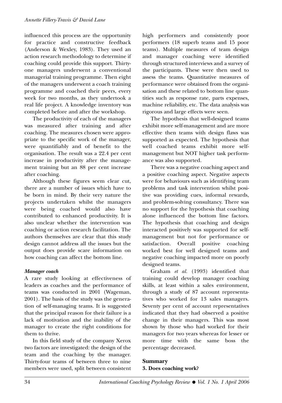influenced this process are the opportunity for practice and constructive feedback (Anderson & Wexley, 1983). They used an action research methodology to determine if coaching could provide this support. Thirtyone managers underwent a conventional managerial training programme. Then eight of the managers underwent a coach training programme and coached their peers, every week for two months, as they undertook a real life project. A knowledge inventory was completed before and after the workshop.

The productivity of each of the managers was measured after training and after coaching. The measures chosen were appropriate to the specific work of the manager, were quantifiably and of benefit to the organisation. The result was a 22.4 per cent increase in productivity after the management training but an 88 per cent increase after coaching.

Although these figures seem clear cut, there are a number of issues which have to be born in mind. By their very nature the projects undertaken whilst the managers were being coached would also have contributed to enhanced productivity. It is also unclear whether the intervention was coaching or action research facilitation. The authors themselves are clear that this study design cannot address all the issues but the output does provide scare information on how coaching can affect the bottom line.

# **Manager coach**

A rare study looking at effectiveness of leaders as coaches and the performance of teams was conducted in 2001 (Wageman, 2001). The basis of the study was the generation of self-managing teams. It is suggested that the principal reason for their failure is a lack of motivation and the inability of the manager to create the right conditions for them to thrive.

In this field study of the company Xerox two factors are investigated: the design of the team and the coaching by the manager. Thirty-four teams of between three to nine members were used, split between consistent high performers and consistently poor performers (18 superb teams and 15 poor teams). Multiple measures of team design and manager coaching were identified through structured interviews and a survey of the participants. These were then used to assess the teams. Quantitative measures of performance were obtained from the organisation and these related to bottom line quantities such as response rate, parts expenses, machine reliability, etc. The data analysis was rigorous and large effects were seen.

The hypothesis that well-designed teams exhibit more self-management and are more effective then teams with design flaws was supported as expected. The hypothesis that well coached teams exhibit more selfmanagement but NOT higher task performance was also supported.

There was a negative coaching aspect and a positive coaching aspect. Negative aspects were for behaviours such as identifying team problems and task intervention whilst positive was providing cues, informal rewards, and problem-solving consultancy. There was no support for the hypothesis that coaching alone influenced the bottom line factors. The hypothesis that coaching and design interacted positively was supported for selfmanagement but not for performance or satisfaction. Overall positive coaching worked best for well designed teams and negative coaching impacted more on poorly designed teams.

Graham *et al.* (1993) identified that training could develop manager coaching skills, at least within a sales environment, through a study of 87 account representatives who worked for 13 sales managers. Seventy per cent of account representatives indicated that they had observed a positive change in their managers. This was most shown by those who had worked for their managers for two years whereas for lesser or more time with the same boss the percentage decreased.

# **Summary**

### **3. Does coaching work?**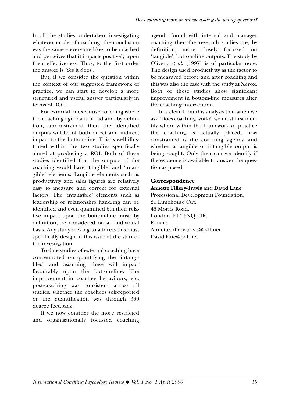In all the studies undertaken, investigating whatever mode of coaching, the conclusion was the same – everyone likes to be coached and perceives that it impacts positively upon their effectiveness. Thus, to the first order the answer is 'Yes it does'.

But, if we consider the question within the context of our suggested framework of practice, we can start to develop a more structured and useful answer particularly in terms of ROI.

For external or executive coaching where the coaching agenda is broad and, by definition, unconstrained then the identified outputs will be of both direct and indirect impact to the bottom-line. This is well illustrated within the two studies specifically aimed at producing a ROI. Both of these studies identified that the outputs of the coaching would have 'tangible' and 'intangible' elements. Tangible elements such as productivity and sales figures are relatively easy to measure and correct for external factors. The 'intangible' elements such as leadership or relationship handling can be identified and even quantified but their relative impact upon the bottom-line must, by definition, be considered on an individual basis. Any study seeking to address this must specifically design in this issue at the start of the investigation.

To date studies of external coaching have concentrated on quantifying the 'intangibles' and assuming these will impact favourably upon the bottom-line. The improvement in coachee behaviours, etc. post-coaching was consistent across all studies, whether the coachees self-reported or the quantification was through 360 degree feedback.

If we now consider the more restricted and organisationally focussed coaching agenda found with internal and manager coaching then the research studies are, by definition, more closely focussed on 'tangible', bottom-line outputs. The study by Olivero *et al.* (1997) is of particular note. The design used productivity as the factor to be measured before and after coaching and this was also the case with the study at Xerox. Both of these studies show significant improvement in bottom-line measures after the coaching intervention.

It is clear from this analysis that when we ask 'Does coaching work?' we must first identify where within the framework of practice the coaching is actually placed, how constrained is the coaching agenda and whether a tangible or intangible output is being sought. Only then can we identify if the evidence is available to answer the question as posed.

### **Correspondence**

# **Annette Fillery-Travis** and **David Lane** Professional Development Foundation, 21 Limehouse Cut, 46 Morris Road, London, E14 6NQ, UK. E-mail: Annette.fillery-travis@pdf.net David.lane@pdf.net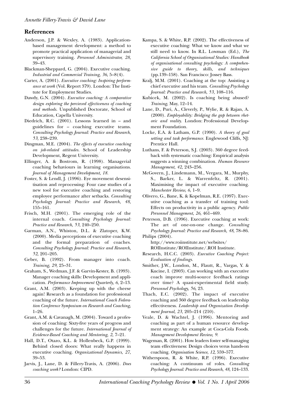#### **References**

- Anderson, J.P. & Wexley, A. (1983). Applicationbased management development: a method to promote practical application of managerial and supervisory training. *Personnel Administrator, 28,* 39–43.
- Blackman-Sheppard, G. (2004). Executive coaching. *Industrial and Commercial Training, 36,* 5–8(4).
- Carter, A. (2001). *Executive coaching: Inspiring performance at work* (Vol. Report 379). London: The Institute for Employment Studies.
- Dawdy, G.N. (2004). *Executive coaching: A comparative design exploring the percieved effectiveness of coaching and methods.* Unpublished Doctorate, School of Education, Capella University.
- Diedrich, R.C. (2001). Lessons learned in and guidelines for – coaching executive teams. *Consulting Psychology Journal: Practice and Research, 53,* 238–239.
- Dingman, M.E. (2004). *The effects of executive coaching on job-related attitudes.* School of Leadership Development, Regent University.
- Ellinger, A. & Bostrom, R. (1998). Managerial coaching behaviours in learning organisations. *Journal of Management Development, 18.*
- Foster, S. & Lendl, J. (1996). Eye movement desensitisation and reprocessing: Four case studies of a new tool for executive coaching and restoring employee performance after setbacks. *Consulting Psychology Journal: Practice and Research, 48,* 155–161.
- Frisch, M.H. (2001). The emerging role of the internal coach. *Consulting Psychology Journal: Practice and Research, 53,* 240–250.
- Garman, A.N., Whiston, D.L. & Zlatoper, K.W. (2000). Media perceptions of executive coaching and the formal preparation of coaches. *Consulting Psychology Journal: Practice and Research, 52,* 201–205.
- Geber, B. (1992). From manager into coach. *Training, 29,* 25–31.
- Graham, S., Wedman, J.F. & Garvin-Kester, B. (1993). Manager coaching skills: Development and application. *Performance Improvement Quarterly, 6,* 2–13.
- Grant, A.M. (2003). Keeping up with the cheese again! Research as a foundation for professional coaching of the future. *International Coach Federation Conference Symposium on Research and Coaching,* 1–26.
- Grant, A.M. & Cavanagh, M. (2004). Toward a profession of coaching: Sixty-five years of progress and challenges for the future. *International Journal of Evidence-Based Coaching and Mentoring, 2,* 7–21.
- Hall, D.T., Otazo, K.L. & Hollenbeck, G.P. (1999). Behind closed doors: What really happens in executive coaching. *Organizational Dynamics, 27,* 39–53.
- Jarvis, J., Lane, D. & Fillery-Travis, A. (2006). *Does coaching work?* London: CIPD.
- Kampa, S. & White, R.P. (2002). The effectiveness of executive coaching: What we know and what we still need to know. In R.L. Lowman (Ed.), *The California School of Organisational Studies: Handbook of organisational consulting psychology: A comprehensive guide to theory, skills, and techniques* (pp.139–158). San Francisco: Jossey Bass.
- Kralj, M.M. (2001). Coaching at the top: Assisting a chief executive and his team. *Consulting Psychology Journal: Practice and Research, 53,* 108–116.
- Kubicek, M. (2002). Is coaching being abused? *Training*, May, 12–14.
- Lane, D., Puri, A., Cleverly, P., Wylie, R. & Rajan, A. (2000). *Employability: Bridging the gap between rhetoric and reality.* London: Professional Development Foundation.
- Locke, E.A. & Latham, G.P. (1990). *A theory of goal setting and task performance.* Englewood Cliffs, NJ: Prentice Hall.
- Luthans, F. & Peterson, S.J. (2003). 360 degree feedback with systematic coaching: Empirical analysis suggests a winning combination. *Human Resource Management, 42,* 243–256.
- McGovern, J., Lindemann, M., Vergara, M., Murphy, S., Barker, L. & Warrenfeltz, R. (2001). Maximising the impact of executive coaching. *Manchester Review, 6,* 1–9.
- Olivero, G., Bane, K. & Kopelman, R.E. (1997). Executive coaching as a transfer of training tool: Effects on productivity in a public agency. *Public Personnel Management, 26,* 461–469.
- Peterson, D.B. (1996). Executive coaching at work: The art of one-on-one change. *Consulting Psychology Journal: Practice and Research, 48,* 78–86. Philips (2004).

http://www.roiinstitute.net/websites/ ROIInstitute/ROIInstitute/.ROI Institute.

- Research, H.C.C. (2003). *Executive Coaching Project: Evaluation of findings.*
- Smither, J.W., London, M., Flautt, R., Vargas, Y. & Kucine, I. (2003). Can working with an executive coach improve multi-source feedback ratings over time? A quasi-experimental field study. *Personnel Psychology, 56,* 23.
- Thach, E.C. (2002). The impact of executive coaching and 360 degree feedback on leadership effectiveness. *Leadership and Organization Development Journal, 23,* 205–214 (210).
- Veale, D. & Wachtel, J. (1996). Mentoring and coaching as part of a human resource development strategy: An example at Coca-Cola Foods. *Management Development Review, 9.*
- Wageman, R. (2001). How leaders foster self-managing team effectiveness: Design choices verus hands-on coaching. *Organisation Science, 12,* 559–577.
- Witherspoon, R. & White, R.P. (1996). Executive coaching: A continuum of roles. *Consulting Psychology Journal: Practice and Research, 48,* 124–133.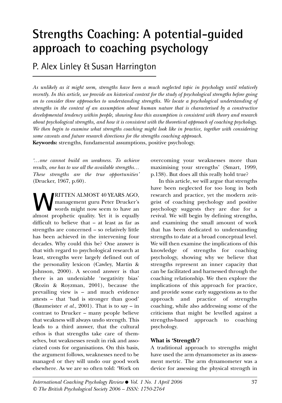# **Strengths Coaching: A potential-guided approach to coaching psychology**

P. Alex Linley & Susan Harrington

*As unlikely as it might seem, strengths have been a much neglected topic in psychology until relatively recently. In this article, we provide an historical context for the study of psychological strengths before going on to consider three approaches to understanding strengths. We locate a psychological understanding of strengths in the context of an assumption about human nature that is characterised by a constructive developmental tendency within people, showing how this assumption is consistent with theory and research about psychological strengths, and how it is consistent with the theoretical approach of coaching psychology. We then begin to examine what strengths coaching might look like in practice, together with considering some caveats and future research directions for the strengths coaching approach.* **Keywords:** strengths, fundamental assumptions, positive psychology.

*'…one cannot build on weakness. To achieve results, one has to use all the available strengths… These strengths are the true opportunities'* (Drucker, 1967, p.60).

**W**RITTEN ALMOST 40 YEARS AGO, management guru Peter Drucker's words might now seem to have an almost prophetic quality. Yet it is equally difficult to believe that – at least as far as strengths are concerned – so relatively little has been achieved in the intervening four decades. Why could this be? One answer is that with regard to psychological research at least, strengths were largely defined out of the personality lexicon (Cawley, Martin & Johnson, 2000). A second answer is that there is an undeniable 'negativity bias' (Rozin & Royzman, 2001), because the prevailing view is – and much evidence attests – that 'bad is stronger than good' (Baumeister *et al.*, 2001). That is to say – in contrast to Drucker – many people believe that weakness will always undo strength. This leads to a third answer, that the cultural ethos is that strengths take care of themselves, but weaknesses result in risk and associated costs for organisations. On this basis, the argument follows, weaknesses need to be managed or they will undo our good work elsewhere. As we are so often told: 'Work on

overcoming your weaknesses more than maximising your strengths' (Smart, 1999, p.138). But does all this really hold true?

In this article, we will argue that strengths have been neglected for too long in both research and practice, yet the modern zeitgeist of coaching psychology and positive psychology suggests they are due for a revival. We will begin by defining strengths, and examining the small amount of work that has been dedicated to understanding strengths to date at a broad conceptual level. We will then examine the implications of this knowledge of strengths for coaching psychology, showing why we believe that strengths represent an inner capacity that can be facilitated and harnessed through the coaching relationship. We then explore the implications of this approach for practice, and provide some early suggestions as to the approach and practice of strengths coaching, while also addressing some of the criticisms that might be levelled against a strengths-based approach to coaching psychology.

### **What is 'Strength'?**

A traditional approach to strengths might have used the arm dynamometer as its assessment metric. The arm dynamometer was a device for assessing the physical strength in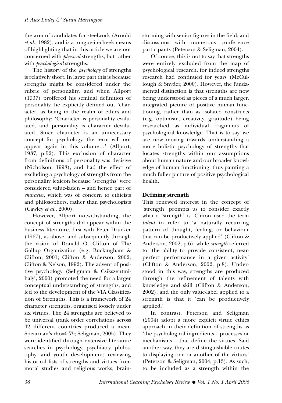the arm of candidates for steelwork (Arnold *et al.*, 1982), and is a tongue-in-cheek means of highlighting that in this article we are not concerned with *physical* strengths, but rather with *psychological* strengths.

The history of the *psychology* of strengths is relatively short. In large part this is because strengths might be considered under the rubric of personality, and when Allport (1937) proffered his seminal definition of personality, he explicitly defined out 'character' as being in the realm of ethics and philosophy: 'Character is personality evaluated, and personality is character devaluated. Since character is an unnecessary concept for psychology, the term will not appear again in this volume…' (Allport, 1937, p.52). This exclusion of character from definitions of personality was decisive (Nicholson, 1998), and had the effect of excluding a psychology of strengths from the personality lexicon because 'strengths' were considered value-laden – and hence part of *character*, which was of concern to ethicists and philosophers, rather than psychologists (Cawley *et al.*, 2000).

However, Allport notwithstanding, the concept of strengths did appear within the business literature, first with Peter Drucker (1967), as above, and subsequently through the vision of Donald O. Clifton of The Gallup Organization (e.g. Buckingham & Clifton, 2001; Clifton & Anderson, 2002; Clifton & Nelson, 1992). The advent of positive psychology (Seligman & Csikszentmihalyi, 2000) promoted the need for a larger conceptual understanding of strengths, and led to the development of the VIA Classification of Strengths. This is a framework of 24 character strengths, organised loosely under six virtues. The 24 strengths are believed to be universal (rank order correlations across 42 different countries produced a mean Spearman's rho=0.75; Seligman, 2005). They were identified through extensive literature searches in psychology, psychiatry, philosophy, and youth development; reviewing historical lists of strengths and virtues from moral studies and religious works; brainstorming with senior figures in the field; and discussions with numerous conference participants (Peterson & Seligman, 2004).

Of course, this is not to say that strengths were entirely excluded from the map of psychological research, for indeed strengths research had continued for years (McCullough & Snyder, 2000). However, the fundamental distinction is that strengths are now being understood as pieces of a much larger, integrated picture of positive human functioning, rather than as isolated constructs (e.g. optimism, creativity, gratitude) being researched as individual fragments of psychological knowledge. That is to say, we are now moving towards understanding a more holistic psychology of strengths that locates strengths within our assumptions about human nature and our broader knowledge of human functioning, thus painting a much fuller picture of positive psychological health.

# **Defining strength**

This renewed interest in the concept of 'strength' prompts us to consider exactly what a 'strength' is. Clifton used the term *talent* to refer to 'a naturally recurring pattern of thought, feeling, or behaviour that can be productively applied' (Clifton & Anderson, 2002, p.6), while *strength* referred to 'the ability to provide consistent, nearperfect performance in a given activity' (Clifton & Anderson, 2002, p.8). Understood in this way, strengths are produced through the refinement of talents with knowledge and skill (Clifton & Anderson, 2002), and the only value-label applied to a strength is that it 'can be productively applied.'

In contrast, Peterson and Seligman (2004) adopt a more explicit virtue ethics approach in their definition of strengths as 'the psychological ingredients – processes or mechanisms – that define the virtues. Said another way, they are distinguishable routes to displaying one or another of the virtues' (Peterson & Seligman, 2004, p.13). As such, to be included as a strength within the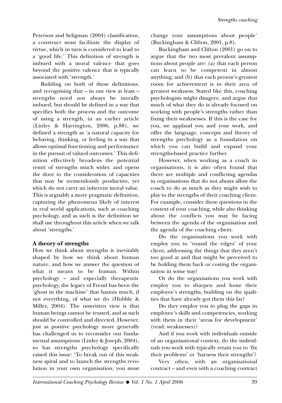Peterson and Seligman (2004) classification, a construct must facilitate the display of virtue, which in turn is considered to lead to a 'good life.' This definition of strength is imbued with a moral valence that goes beyond the positive valence that is typically associated with 'strength.'

Building on both of these definitions, and recognising that – in our view at least – strengths need not always be morally imbued, but should be defined in a way that specifies both the process and the outcome of using a strength, in an earlier article (Linley & Harrington, 2006, p.88), we defined a strength as 'a natural capacity for behaving, thinking, or feeling in a way that allows optimal functioning and performance in the pursuit of valued outcomes.' This definition effectively broadens the potential remit of strengths much wider, and opens the door to the consideration of capacities that may be tremendously productive, yet which do not carry an inherent moral value. This is arguably a more pragmatic definition, capturing the phenomena likely of interest in real world applications, such as coaching psychology, and as such is the definition we shall use throughout this article when we talk about 'strengths.'

# **A theory of strengths**

How we think about strengths is inevitably shaped by how we think about human nature, and how we answer the question of what it means to be human. Within psychology – and especially therapeutic psychology, the legacy of Freud has been the 'ghost in the machine' that haunts much, if not everything, of what we do (Hubble & Miller, 2004). The unwritten view is that human beings cannot be trusted, and as such should be controlled and directed. However, just as positive psychology more generally has challenged us to reconsider our fundamental assumptions (Linley & Joseph, 2004), so has strengths psychology specifically raised this issue: 'To break out of this weakness spiral and to launch the strengths revolution in your own organisation, you must change your assumptions about people' (Buckingham & Clifton, 2001, p.8).

Buckingham and Clifton (2001) go on to argue that the two most prevalent assumptions about people are: (a) that each person can learn to be competent in almost anything; and (b) that each person's greatest room for achievement is in their area of greatest weakness. Stated like this, coaching psychologists might disagree, and argue that much of what they do is already focused on working with people's strengths rather than fixing their weaknesses. If this is the case for you, we applaud you and your work, and offer the language, concepts and theory of strengths psychology as a foundation on which you can build and expand your strengths-based practice further.

However, when working as a coach in organisations, it is also often found that there are multiple and conflicting agendas in organisations that do not always allow the coach to do as much as they might wish to play to the strengths of their coaching client. For example, consider these questions in the context of your coaching, while also thinking about the conflicts you may be facing between the agenda of the organisation and the agenda of the coaching client.

Do the organisations you work with employ you to 'round the edges' of your client, addressing the things that they aren't too good at and that might be perceived to be holding them back or costing the organisation in some way?

Or do the organisations you work with employ you to sharpen and hone their employee's strengths, building on the qualities that have already got them this far?

Do they employ you to plug the gaps in employee's skills and competencies, working with them in their 'areas for development' (read: weaknesses)?

And if you work with individuals outside of an organisational context, do the individuals you work with typically retain you to 'fix their problems' or 'harness their strengths'?

Very often, with an organisational contract – and even with a coaching contract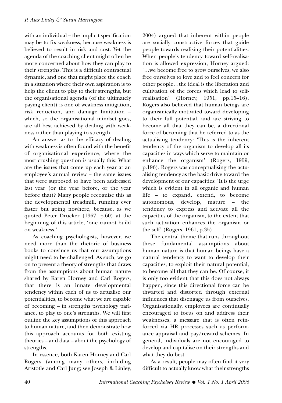with an individual – the implicit specification may be to fix weakness, because weakness is believed to result in risk and cost. Yet the agenda of the coaching client might often be more concerned about how they can play to their strengths. This is a difficult contractual dynamic, and one that might place the coach in a situation where their own aspiration is to help the client to play to their strengths, but the organisational agenda (of the ultimately paying client) is one of weakness mitigation, risk reduction, and damage limitation – which, so the organisational mindset goes, are all best achieved by dealing with weakness rather than playing to strength.

An answer as to the efficacy of dealing with weakness is often found with the benefit of organisational experience, where the most crushing question is usually this: What are the issues that come up each year at an employee's annual review – the same issues that were supposed to have been addressed last year (or the year before, or the year before that)? Many people recognise this as the developmental treadmill, running ever faster but going nowhere, because, as we quoted Peter Drucker (1967, p.60) at the beginning of this article, 'one cannot build on weakness.'

As coaching psychologists, however, we need more than the rhetoric of business books to convince us that our assumptions might need to be challenged. As such, we go on to present a theory of strengths that draws from the assumptions about human nature shared by Karen Horney and Carl Rogers, that there is an innate developmental tendency within each of us to actualise our potentialities, to become what we are capable of becoming – in strengths psychology parlance, to play to one's strengths. We will first outline the key assumptions of this approach to human nature, and then demonstrate how this approach accounts for both existing theories – and data – about the psychology of strengths.

In essence, both Karen Horney and Carl Rogers (among many others, including Aristotle and Carl Jung; see Joseph & Linley, 2004) argued that inherent within people are socially constructive forces that guide people towards realising their potentialities. When people's tendency toward self-realisation is allowed expression, Horney argued: '…we become free to grow ourselves, we also free ourselves to love and to feel concern for other people…the ideal is the liberation and cultivation of the forces which lead to selfrealisation' (Horney, 1951, pp.15–16). Rogers also believed that human beings are organismically motivated toward developing to their full potential, and are striving to become all that they can be, a directional force of becoming that he referred to as the actualising tendency: 'This is the inherent tendency of the organism to develop all its capacities in ways which serve to maintain or enhance the organism' (Rogers, 1959, p.196). Rogers was conceptualising the actualising tendency as the basic drive toward the development of our capacities: 'It is the urge which is evident in all organic and human life – to expand, extend, to become autonomous, develop, mature – the tendency to express and activate all the capacities of the organism, to the extent that such activation enhances the organism or the self' (Rogers, 1961, p.35).

The central theme that runs throughout these fundamental assumptions about human nature is that human beings have a natural tendency to want to develop their capacities, to exploit their natural potential, to become all that they can be. Of course, it is only too evident that this does not always happen, since this directional force can be thwarted and distorted through external influences that disengage us from ourselves. Organisationally, employees are continually encouraged to focus on and address their weaknesses, a message that is often reinforced via HR processes such as performance appraisal and pay/reward schemes. In general, individuals are not encouraged to develop and capitalise on their strengths and what they do best.

As a result, people may often find it very difficult to actually know what their strengths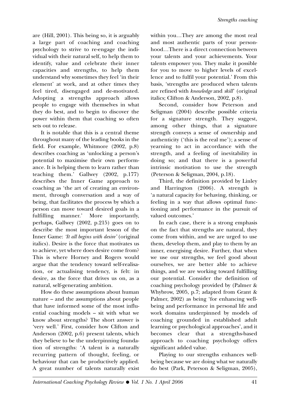are (Hill, 2001). This being so, it is arguably a large part of coaching and coaching psychology to strive to re-engage the individual with their natural self, to help them to identify, value and celebrate their inner capacities and strengths, to help them understand why sometimes they feel 'in their element' at work, and at other times they feel tired, disengaged and de-motivated. Adopting a strengths approach allows people to engage with themselves in what they do best, and to begin to discover the power within them that coaching so often sets out to release.

It is notable that this is a central theme throughout many of the leading books in the field. For example, Whitmore (2002, p.8) describes coaching as 'unlocking a person's potential to maximise their own performance. It is helping them to learn rather than teaching them.' Gallwey (2002, p.177) describes the Inner Game approach to coaching as 'the art of creating an environment, through conversation and a way of being, that facilitates the process by which a person can move toward desired goals in a fulfilling manner.' More importantly, perhaps, Gallwey (2002, p.215) goes on to describe the most important lesson of the Inner Game: *'It all begins with desire'* (original italics). Desire is the force that motivates us to achieve, yet where does desire come from? This is where Horney and Rogers would argue that the tendency toward self-realisation, or actualising tendency, is felt: in desire, as the force that drives us on, as a natural, self-generating ambition.

How do these assumptions about human nature – and the assumptions about people that have informed some of the most influential coaching models – sit with what we know about strengths? The short answer is 'very well.' First, consider how Clifton and Anderson (2002, p.6) present talents, which they believe to be the underpinning foundation of strengths: 'A talent is a naturally recurring pattern of thought, feeling, or behaviour that can be productively applied. A great number of talents naturally exist within you…They are among the most real and most authentic parts of your personhood…There is a direct connection between your talents and your achievements. Your talents empower you. They make it possible for you to move to higher levels of excellence and to fulfil your potential.' From this basis, 'strengths are produced when talents are refined with *knowledge* and *skill*' (original italics; Clifton & Anderson, 2002, p.8).

Second, consider how Peterson and Seligman (2004) describe possible criteria for a signature strength. They suggest, among other things, that a signature strength conveys a sense of ownership and authenticity ('this is the real me'); a sense of yearning to act in accordance with the strength, and a feeling of inevitability in doing so; and that there is a powerful intrinsic motivation to use the strength (Peterson & Seligman, 2004, p.18).

Third, the definition provided by Linley and Harrington (2006). A strength is 'a natural capacity for behaving, thinking, or feeling in a way that allows optimal functioning and performance in the pursuit of valued outcomes.'

In each case, there is a strong emphasis on the fact that strengths are natural, they come from within, and we are urged to use them, develop them, and play to them by an inner, energising desire. Further, that when we use our strengths, we feel good about ourselves, we are better able to achieve things, and we are working toward fulfilling our potential. Consider the definition of coaching psychology provided by (Palmer & Whybrow, 2005, p.7; adapted from Grant & Palmer, 2002) as being 'for enhancing wellbeing and performance in personal life and work domains underpinned by models of coaching grounded in established adult learning or psychological approaches', and it becomes clear that a strengths-based approach to coaching psychology offers significant added value.

Playing to our strengths enhances wellbeing because we are doing what we naturally do best (Park, Peterson & Seligman, 2005),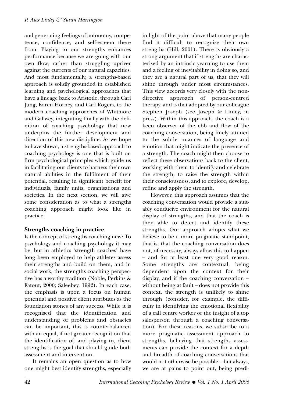and generating feelings of autonomy, competence, confidence, and self-esteem there from. Playing to our strengths enhances performance because we are going with our own flow, rather than struggling upriver against the currents of our natural capacities. And most fundamentally, a strengths-based approach is solidly grounded in established learning and psychological approaches that have a lineage back to Aristotle, through Carl Jung, Karen Horney, and Carl Rogers, to the modern coaching approaches of Whitmore and Gallwey, integrating finally with the definition of coaching psychology that now underpins the further development and direction of this new discipline. As we hope to have shown, a strengths-based approach to coaching psychology is one that is built on firm psychological principles which guide us in facilitating our clients to harness their own natural abilities in the fulfilment of their potential, resulting in significant benefit for individuals, family units, organisations and societies. In the next section, we will give some consideration as to what a strengths coaching approach might look like in practice.

# **Strengths coaching in practice**

Is the concept of strengths coaching new? To psychology and coaching psychology it may be, but in athletics 'strength coaches' have long been employed to help athletes assess their strengths and build on them, and in social work, the strengths coaching perspective has a worthy tradition (Noble, Perkins & Fatout, 2000; Saleebey, 1992). In each case, the emphasis is upon a focus on human potential and positive client attributes as the foundation stones of any success. While it is recognised that the identification and understanding of problems and obstacles can be important, this is counterbalanced with an equal, if not greater recognition that the identification of, and playing to, client strengths is the goal that should guide both assessment and intervention.

It remains an open question as to how one might best identify strengths, especially in light of the point above that many people find it difficult to recognise their own strengths (Hill, 2001). There is obviously a strong argument that if strengths are characterised by an intrinsic yearning to use them and a feeling of inevitability in doing so, and they are a natural part of us, that they will shine through under most circumstances. This view accords very closely with the nondirective approach of person-centred therapy, and is that adopted by our colleague Stephen Joseph (see Joseph & Linley, in press). Within this approach, the coach is a keen observer of the ebb and flow of the coaching conversation, being finely attuned to the subtle nuances of language and emotion that might indicate the presence of a strength. The coach might then choose to reflect these observations back to the client, working with them to identify and celebrate the strength, to raise the strength within their consciousness, and to explore, develop, refine and apply the strength.

However, this approach assumes that the coaching conversation would provide a suitably conducive environment for the natural display of strengths, and that the coach is then able to detect and identify these strengths. Our approach adopts what we believe to be a more pragmatic standpoint, that is, that the coaching conversation does not, of necessity, always allow this to happen – and for at least one very good reason. Some strengths are contextual, being dependent upon the context for their display, and if the coaching conversation – without being at fault – does not provide this context, the strength is unlikely to shine through (consider, for example, the difficulty in identifying the emotional flexibility of a call centre worker or the insight of a top salesperson through a coaching conversation). For these reasons, we subscribe to a more pragmatic assessment approach to strengths, believing that strengths assessments can provide the context for a depth and breadth of coaching conversations that would not otherwise be possible – but always, we are at pains to point out, being predi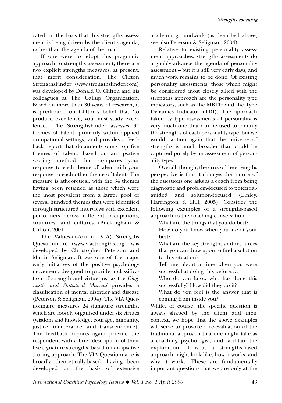cated on the basis that this strengths assessment is being driven by the client's agenda, rather than the agenda of the coach.

If one were to adopt this pragmatic approach to strengths assessment, there are two explicit strengths measures, at present, that merit consideration. The Clifton StrengthsFinder (www.strengthsfinder.com) was developed by Donald O. Clifton and his colleagues at The Gallup Organization. Based on more than 30 years of research, it is predicated on Clifton's belief that 'to produce excellence, you must study excellence.' The StrengthsFinder assesses 34 themes of talent, primarily within applied occupational settings, and provides a feedback report that documents one's top five themes of talent, based on an ipsative scoring method that compares your response to each theme of talent with your response to each other theme of talent. The measure is atheoretical, with the 34 themes having been retained as those which were the most prevalent from a larger pool of several hundred themes that were identified through structured interviews with excellent performers across different occupations, countries, and cultures (Buckingham & Clifton, 2001).

The Values-in-Action (VIA) Strengths Questionnaire (www.viastrengths.org) was developed by Christopher Peterson and Martin Seligman. It was one of the major early initiatives of the positive psychology movement, designed to provide a classification of strength and virtue just as the *Diagnostic and Statistical Manual* provides a classification of mental disorder and disease (Peterson & Seligman, 2004). The VIA Questionnaire measures 24 signature strengths, which are loosely organised under six virtues (wisdom and knowledge, courage, humanity, justice, temperance, and transcendence). The feedback reports again provide the respondent with a brief description of their five signature strengths, based on an ipsative scoring approach. The VIA Questionnaire is broadly theoretically-based, having been developed on the basis of extensive academic groundwork (as described above, see also Peterson & Seligman, 2004).

Relative to existing personality assessment approaches, strengths assessments do arguably advance the agenda of personality assessment – but it is still very early days, and much work remains to be done. Of existing personality assessments, those which might be considered most closely allied with the strengths approach are the personality type indicators, such as the MBTI® and the Type Dynamics Indicator (TDI). The approach taken by type assessments of personality is very much one that can be used to identify the strengths of each personality type, but we would caution again that the universe of strengths is much broader than could be captured purely by an assessment of personality type.

Overall, though, the crux of the strengths perspective is that it changes the nature of the questions one asks as a coach from being diagnostic and problem-focused to potentialguided and solution-focused (Linley, Harrington & Hill, 2005). Consider the following examples of a strengths-based approach to the coaching conversation:

What are the things that you do best?

- How do you know when you are at your best?
- What are the key strengths and resources that you can draw upon to find a solution to this situation?
- Tell me about a time when you were successful at doing this before….
- Who do you know who has done this successfully? How did they do it?
- What do you feel is the answer that is coming from inside you?

While, of course, the specific question is always shaped by the client and their context, we hope that the above examples will serve to provoke a re-evaluation of the traditional approach that one might take as a coaching psychologist, and facilitate the exploration of what a strengths-based approach might look like, how it works, and why it works. These are fundamentally important questions that we are only at the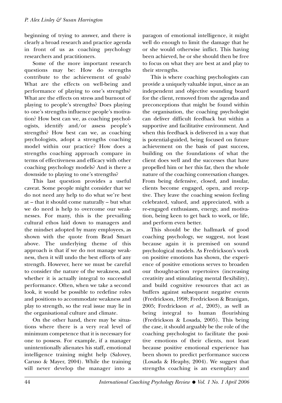beginning of trying to answer, and there is clearly a broad research and practice agenda in front of us as coaching psychology researchers and practitioners.

Some of the more important research questions may be: How do strengths contribute to the achievement of goals? What are the effects on well-being and performance of playing to one's strengths? What are the effects on stress and burnout of playing to people's strengths? Does playing to one's strengths influence people's motivation? How best can we, as coaching psychologists, identify and/or assess people's strengths? How best can we, as coaching psychologists, adopt a strengths coaching model within our practice? How does a strengths coaching approach compare in terms of effectiveness and efficacy with other coaching psychology models? And is there a downside to playing to one's strengths?

This last question provides a useful caveat. Some people might consider that we do not need any help to do what we're best at – that it should come naturally – but what we do need is help to overcome our weaknesses. For many, this is the prevailing cultural ethos laid down to managers and the mindset adopted by many employees, as shown with the quote from Brad Smart above. The underlying theme of this approach is that if we do not manage weakness, then it will undo the best efforts of any strength. However, here we must be careful to consider the nature of the weakness, and whether it is actually integral to successful performance. Often, when we take a second look, it would be possible to redefine roles and positions to accommodate weakness and play to strength, so the real issue may lie in the organisational culture and climate.

On the other hand, there may be situations where there is a very real level of minimum competence that it is necessary for one to possess. For example, if a manager unintentionally alienates his staff, emotional intelligence training might help (Salovey, Caruso & Mayer, 2004). While the training will never develop the manager into a

paragon of emotional intelligence, it might well do enough to limit the damage that he or she would otherwise inflict. This having been achieved, he or she should then be free to focus on what they are best at and play to their strengths.

This is where coaching psychologists can provide a uniquely valuable input, since as an independent and objective sounding board for the client, removed from the agendas and preconceptions that might be found within the organisation, the coaching psychologist can deliver difficult feedback but within a supportive and facilitative environment. And when this feedback is delivered in a way that is potential-guided, being focused on future achievement on the basis of past success, building on the foundations of what the client does well and the successes that have propelled him or her this far, then the whole nature of the coaching conversation changes. From being defensive, closed, and insular, clients become engaged, open, and receptive. They leave the coaching session feeling celebrated, valued, and appreciated, with a re-engaged enthusiasm, energy, and motivation, being keen to get back to work, or life, and perform even better.

This should be the hallmark of good coaching psychology, we suggest, not least because again it is premised on sound psychological models. As Fredrickson's work on positive emotions has shown, the experience of positive emotions serves to broaden our thought-action repertoires (increasing creativity and stimulating mental flexibility), and build cognitive resources that act as buffers against subsequent negative events (Fredrickson, 1998; Fredrickson & Branigan, 2005; Fredrickson *et al.*, 2003), as well as being integral to human flourishing (Fredrickson & Losada, 2005). This being the case, it should arguably be the role of the coaching psychologist to facilitate the positive emotions of their clients, not least because positive emotional experience has been shown to predict performance success (Losada & Heaphy, 2004). We suggest that strengths coaching is an exemplary and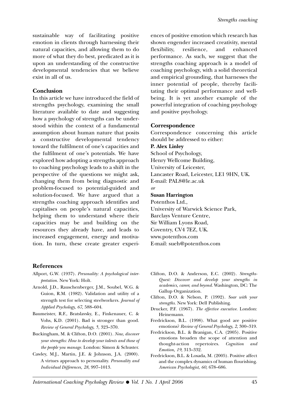sustainable way of facilitating positive emotion in clients through harnessing their natural capacities, and allowing them to do more of what they do best, predicated as it is upon an understanding of the constructive developmental tendencies that we believe exist in all of us.

### **Conclusion**

In this article we have introduced the field of strengths psychology, examining the small literature available to date and suggesting how a psychology of strengths can be understood within the context of a fundamental assumption about human nature that posits a constructive developmental tendency toward the fulfilment of one's capacities and the fulfilment of one's potentials. We have explored how adopting a strengths approach to coaching psychology leads to a shift in the perspective of the questions we might ask, changing them from being diagnostic and problem-focused to potential-guided and solution-focused. We have argued that a strengths coaching approach identifies and capitalises on people's natural capacities, helping them to understand where their capacities may be and building on the resources they already have, and leads to increased engagement, energy and motivation. In turn, these create greater experiences of positive emotion which research has shown engender increased creativity, mental flexibility, resilience, and enhanced performance. As such, we suggest that the strengths coaching approach is a model of coaching psychology, with a solid theoretical and empirical grounding, that harnesses the inner potential of people, thereby facilitating their optimal performance and wellbeing. It is yet another example of the powerful integration of coaching psychology and positive psychology.

#### **Correspondence**

Correspondence concerning this article should be addressed to either: **P. Alex Linley** School of Psychology, Henry Wellcome Building, University of Leicester, Lancaster Road, Leicester, LE1 9HN, UK. E-mail: PAL8@le.ac.uk *or* **Susan Harrington** Potenthos Ltd., University of Warwick Science Park, Barclays Venture Centre, Sir William Lyons Road,

Coventry, CV4 7EZ, UK. www.potenthos.com

E-mail: sueh@potenthos.com

#### **References**

- Allport, G.W. (1937). *Personality: A psychological interpretation.* New York: Holt.
- Arnold, J.D., Rauschenberger, J.M., Soubel, W.G. & Guion, R.M. (1982). Validation and utility of a strength test for selecting steelworkers. *Journal of Applied Psychology, 67,* 588–604.
- Baumeister, R.F., Bratslavsky, E., Finkenauer, C. & Vohs, K.D. (2001). Bad is stronger than good. *Review of General Psychology, 5,* 323–370.
- Buckingham, M. & Clifton, D.O. (2001). *Now, discover your strengths: How to develop your talents and those of the people you manage.* London: Simon & Schuster.
- Cawley, M.J., Martin, J.E. & Johnson, J.A. (2000). A virtues approach to personality. *Personality and Individual Differences, 28,* 997–1013.
- Clifton, D.O. & Anderson, E.C. (2002). *Strengths-Quest: Discover and develop your strengths in academics, career, and beyond.* Washington, DC: The Gallup Organization.
- Clifton, D.O. & Nelson, P. (1992). *Soar with your strengths.* New York: Dell Publishing.
- Drucker, P.F. (1967). *The effective executive.* London: Heinemann.
- Fredrickson, B.L. (1998). What good are positive emotions? *Review of General Psychology, 2,* 300–319.
- Fredrickson, B.L. & Branigan, C.A. (2005). Positive emotions broaden the scope of attention and thought-action repertoires. *Cognition and Emotion, 19,* 313–332.
- Fredrickson, B.L. & Losada, M. (2005). Positive affect and the complex dynamics of human flourishing. *American Psychologist, 60,* 678–686.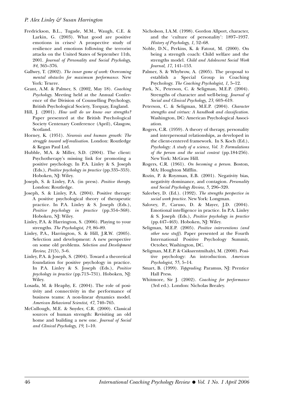#### *P. Alex Linley & Susan Harrington*

- Fredrickson, B.L., Tugade, M.M., Waugh, C.E. & Larkin, G. (2003). What good are positive emotions in crises? A prospective study of resilience and emotions following the terrorist attacks on the United States of September 11th, 2001. *Journal of Personality and Social Psychology, 84,* 365–376.
- Gallwey, T. (2002). *The inner game of work: Overcoming mental obstacles for maximum performance.* New York: Texere.
- Grant, A.M. & Palmer, S. (2002, May 18). *Coaching Psychology.* Meeting held at the Annual Conference of the Division of Counselling Psychology, British Psychological Society, Torquay, England.
- Hill, J. (2001). *How well do we know our strengths?* Paper presented at the British Psychological Society Centenary Conference (April), Glasgow, Scotland.
- Horney, K. (1951). *Neurosis and human growth: The struggle toward self-realisation.* London: Routledge & Kegan Paul Ltd.
- Hubble, M.A. & Miller, S.D. (2004). The client: Psychotherapy's missing link for promoting a positive psychology. In P.A. Linley & S. Joseph (Eds.), *Positive psychology in practice* (pp.335–353). Hoboken, NJ: Wiley.
- Joseph, S. & Linley, P.A. (in press). *Positive therapy.* London: Routledge.
- Joseph, S. & Linley, P.A. (2004). Positive therapy: A positive psychological theory of therapeutic practice. In P.A. Linley & S. Joseph (Eds.), *Positive psychology in practice* (pp.354–368). Hoboken, NJ: Wiley.
- Linley, P.A. & Harrington, S. (2006). Playing to your strengths. *The Psychologist, 19,* 86–89.
- Linley, P.A., Harrington, S. & Hill, J.R.W. (2005). Selection and development: A new perspective on some old problems. *Selection and Development Review, 21*(5), 3–6.
- Linley, P.A. & Joseph, S. (2004). Toward a theoretical foundation for positive psychology in practice. In P.A. Linley & S. Joseph (Eds.), *Positive psychology in practice* (pp.713–731). Hoboken, NJ: Wiley.
- Losada, M. & Heaphy, E. (2004). The role of positivity and connectivity in the performance of business teams: A non-linear dynamics model. *American Behavioral Scientist, 47,* 740–765.
- McCullough, M.E. & Snyder, C.R. (2000). Classical sources of human strength: Revisiting an old home and building a new one. *Journal of Social and Clinical Psychology, 19,* 1–10.
- Nicholson, I.A.M. (1998). Gordon Allport, character, and the 'culture of personality': 1897–1937. *History of Psychology, 1,* 52–68.
- Noble, D.N., Perkins, K. & Fatout, M. (2000). On being a strength coach: Child welfare and the strengths model. *Child and Adolescent Social Work Journal, 17,* 141–153.
- Palmer, S. & Whybrow, A. (2005). The proposal to establish a Special Group in Coaching Psychology. *The Coaching Psychologist, 1,* 5–12.
- Park, N., Peterson, C. & Seligman, M.E.P. (2004). Strengths of character and well-being. *Journal of Social and Clinical Psychology, 23,* 603–619.
- Peterson, C. & Seligman, M.E.P. (2004). *Character strengths and virtues: A handbook and classification.* Washington, DC: American Psychological Association.
- Rogers, C.R. (1959). A theory of therapy, personality and interpersonal relationships, as developed in the client-centered framework. In S. Koch (Ed.), *Psychology: A study of a science, Vol. 3: Formulations of the person and the social context* (pp.184-256). New York: McGraw Hill.
- Rogers, C.R. (1961). *On becoming a person.* Boston, MA: Houghton Mifflin.
- Rozin, P. & Royzman, E.B. (2001). Negativity bias, negativity dominance, and contagion. *Personality and Social Psychology Review, 5,* 296–320.
- Saleebey, D. (Ed.). (1992). *The strengths perspective in social work practice.* New York: Longman.
- Salovey, P., Caruso, D. & Mayer, J.D. (2004). Emotional intelligence in practice. In P.A. Linley & S. Joseph (Eds.), *Positive psychology in practice* (pp.447–463). Hoboken, NJ: Wiley.
- Seligman, M.E.P. (2005). *Positive interventions (and other new stuff).* Paper presented at the Fourth International Positive Psychology Summit, October, Washington, DC.
- Seligman, M.E.P. & Csikszentmihalyi, M. (2000). Positive psychology: An introduction. *American Psychologist, 55,* 5–14.
- Smart, B. (1999). *Topgrading*. Paramus, NJ: Prentice Hall Press.
- Whitmore, Sir J. (2002). *Coaching for performance* (3rd ed.). London: Nicholas Brealey.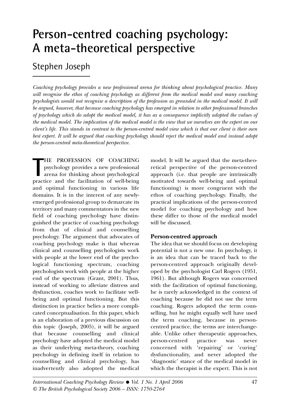# **Person-centred coaching psychology: A meta-theoretical perspective**

# Stephen Joseph

*Coaching psychology provides a new professional arena for thinking about psychological practice. Many will recognise the ethos of coaching psychology as different from the medical model and many coaching psychologists would not recognise a description of the profession as grounded in the medical model. It will be argued, however, that because coaching psychology has emerged in relation to other professional branches of psychology which do adopt the medical model, it has as a consequence implicitly adopted the values of the medical model. The implication of the medical model is the view that we ourselves are the expert on our client's life. This stands in contrast to the person-centred model view which is that our client is their own best expert. It will be argued that coaching psychology should reject the medical model and instead adopt the person-centred meta-theoretical perspective.*

THE PROFESSION OF COACHING<br>
psychology provides a new professional<br>
arena for thinking about psychological<br>
practice and the facilitation of well-being HE PROFESSION OF COACHING psychology provides a new professional arena for thinking about psychological and optimal functioning in various life domains. It is in the interest of any newlyemerged professional group to demarcate its territory and many commentators in the new field of coaching psychology have distinguished the practice of coaching psychology from that of clinical and counselling psychology. The argument that advocates of coaching psychology make is that whereas clinical and counselling psychologists work with people at the lower end of the psychological functioning spectrum, coaching psychologists work with people at the higher end of the spectrum (Grant, 2001). Thus, instead of working to alleviate distress and dysfunction, coaches work to facilitate wellbeing and optimal functioning. But this distinction in practice belies a more complicated conceptualisation. In this paper, which is an elaboration of a previous discussion on this topic (Joseph, 2005), it will be argued that because counselling and clinical psychology have adopted the medical model as their underlying meta-theory, coaching psychology in defining itself in relation to counselling and clinical psychology, has inadvertently also adopted the medical

model. It will be argued that the meta-theoretical perspective of the person-centred approach (i.e. that people are intrinsically motivated towards well-being and optimal functioning) is more congruent with the ethos of coaching psychology. Finally, the practical implications of the person-centred model for coaching psychology and how these differ to those of the medical model will be discussed.

# **Person-centred approach**

The idea that we should focus on developing potential is not a new one. In psychology, it is an idea that can be traced back to the person-centred approach originally developed by the psychologist Carl Rogers (1951, 1961). But although Rogers was concerned with the facilitation of optimal functioning, he is rarely acknowledged in the context of coaching because he did not use the term coaching. Rogers adopted the term counselling, but he might equally well have used the term coaching, because in personcentred practice, the terms are interchangeable. Unlike other therapeutic approaches, person-centred practice was never concerned with 'repairing' or 'curing' dysfunctionality, and never adopted the 'diagnostic' stance of the medical model in which the therapist is the expert. This is not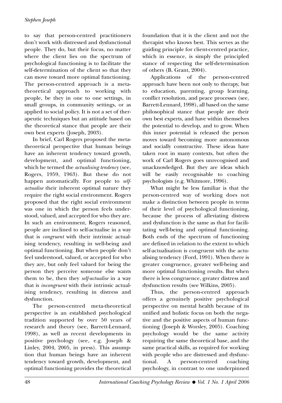to say that person-centred practitioners don't work with distressed and dysfunctional people. They do, but their focus, no matter where the client lies on the spectrum of psychological functioning is to facilitate the self-determination of the client so that they can move toward more optimal functioning. The person-centred approach is a metatheoretical approach to working with people, be they in one to one settings, in small groups, in community settings, or as applied to social policy. It is not a set of therapeutic techniques but an attitude based on the theoretical stance that people are their own best experts (Joseph, 2003).

In brief, Carl Rogers proposed the metatheoretical perspective that human beings have an inherent tendency toward growth, development, and optimal functioning, which he termed the *actualising tendency* (see, Rogers, 1959, 1963). But these do not happen automatically. For people to *selfactualise* their inherent optimal nature they require the right social environment. Rogers proposed that the right social environment was one in which the person feels understood, valued, and accepted for who they are. In such an environment, Rogers reasoned, people are inclined to self-actualise in a way that is *congruent* with their intrinsic actualising tendency, resulting in well-being and optimal functioning. But when people don't feel understood, valued, or accepted for who they are, but only feel valued for being the person they perceive someone else wants them to be, then they *self-actualise* in a way that is *incongruent* with their intrinsic actualising tendency, resulting in distress and dysfunction.

The person-centred meta-theoretical perspective is an established psychological tradition supported by over 50 years of research and theory (see, Barrett-Lennard, 1998), as well as recent developments in positive psychology (see, e.g. Joseph & Linley, 2004, 2005, in press). This assumption that human beings have an inherent tendency toward growth, development, and optimal functioning provides the theoretical foundation that it is the client and not the therapist who knows best. This serves as the guiding principle for client-centred practice, which in essence, is simply the principled stance of respecting the self-determination of others (B. Grant, 2004).

Applications of the person-centred approach have been not only to therapy, but to education, parenting, group learning, conflict resolution, and peace processes (see, Barrett-Lennard, 1998), all based on the same philosophical stance that people are their own best experts, and have within themselves the potential to develop, and to grow. When this inner potential is released the person moves toward becoming more autonomous and socially constructive. These ideas have taken root in many contexts, but often the work of Carl Rogers goes unrecognised and unacknowledged. But they are ideas which will be easily recognisable to coaching psychologists (e.g. Whitmore, 1996).

What might be less familiar is that the person-centred way of working does not make a distinction between people in terms of their level of psychological functioning, because the process of alleviating distress and dysfunction is the same as that for facilitating well-being and optimal functioning. Both ends of the spectrum of functioning are defined in relation to the extent to which self-actualisation is congruent with the actualising tendency (Ford, 1991). When there is greater congruence, greater well-being and more optimal functioning results. But when there is less congruence, greater distress and dysfunction results (see Wilkins, 2005).

Thus, the person-centred approach offers a genuinely positive psychological perspective on mental health because of its unified and holistic focus on both the negative and the positive aspects of human functioning (Joseph & Worsley, 2005). Coaching psychology would be the same activity requiring the same theoretical base, and the same practical skills, as required for working with people who are distressed and dysfunctional. A person-centred coaching psychology, in contrast to one underpinned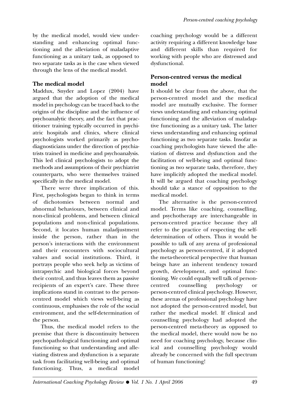by the medical model, would view understanding and enhancing optimal functioning and the alleviation of maladaptive functioning as a unitary task, as opposed to two separate tasks as is the case when viewed through the lens of the medical model.

# **The medical model**

Maddux, Snyder and Lopez (2004) have argued that the adoption of the medical model in psychology can be traced back to the origins of the discipline and the influence of psychoanalytic theory, and the fact that practitioner training typically occurred in psychiatric hospitals and clinics, where clinical psychologists worked primarily as psychodiagnosticians under the direction of psychiatrists trained in medicine and psychoanalysis. This led clinical psychologists to adopt the methods and assumptions of their psychiatrist counterparts, who were themselves trained specifically in the medical model.

There were three implication of this. First, psychologists began to think in terms of dichotomies between normal and abnormal behaviours, between clinical and non-clinical problems, and between clinical populations and non-clinical populations. Second, it locates human maladjustment inside the person, rather than in the person's interactions with the environment and their encounters with sociocultural values and social institutions. Third, it portrays people who seek help as victims of intrapsychic and biological forces beyond their control, and thus leaves them as passive recipients of an expert's care. These three implications stand in contrast to the personcentred model which views well-being as continuous, emphasises the role of the social environment, and the self-determination of the person.

Thus, the medical model refers to the premise that there is discontinuity between psychopathological functioning and optimal functioning so that understanding and alleviating distress and dysfunction is a separate task from facilitating well-being and optimal functioning. Thus, a medical model coaching psychology would be a different activity requiring a different knowledge base and different skills than required for working with people who are distressed and dysfunctional.

# **Person-centred versus the medical model**

It should be clear from the above, that the person-centred model and the medical model are mutually exclusive. The former views understanding and enhancing optimal functioning and the alleviation of maladaptive functioning as a unitary task. The latter views understanding and enhancing optimal functioning as two separate tasks. Insofar as coaching psychologists have viewed the alleviation of distress and dysfunction and the facilitation of well-being and optimal functioning as two separate tasks, therefore, they have implicitly adopted the medical model. It will be argued that coaching psychology should take a stance of opposition to the medical model.

The alternative is the person-centred model. Terms like coaching, counselling, and psychotherapy are interchangeable in person-centred practice because they all refer to the practice of respecting the selfdetermination of others. Thus it would be possible to talk of any arena of professional psychology as person-centred, if it adopted the meta-theoretical perspective that human beings have an inherent tendency toward growth, development, and optimal functioning. We could equally well talk of personcentred counselling psychology or person-centred clinical psychology. However, these arenas of professional psychology have not adopted the person-centred model, but rather the medical model. If clinical and counselling psychology had adopted the person-centred meta-theory as opposed to the medical model, there would now be no need for coaching psychology, because clinical and counselling psychology would already be concerned with the full spectrum of human functioning!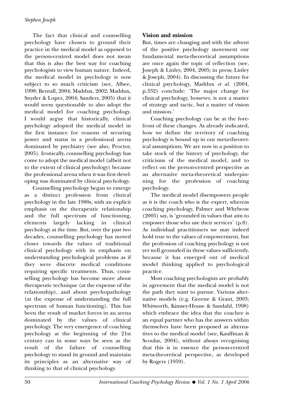The fact that clinical and counselling psychology have chosen to ground their practice in the medical model as opposed to the person-centred model does not mean that this is also the best way for coaching psychologists to view human nature. Indeed, the medical model in psychology is now subject to so much criticism (see, Albee, 1998; Bentall, 2004; Maddux, 2002; Maddux, Snyder & Lopez, 2004; Sanders, 2005) that it would seem questionable to also adopt the medical model for coaching psychology. I would argue that historically, clinical psychology adopted the medical model in the first instance for reasons of securing power and status in a professional arena dominated by psychiatry (see also, Proctor, 2005). Ironically, counselling psychology has come to adopt the medical model (albeit not to the extent of clinical psychology) because the professional arena when it was first developing was dominated by clinical psychology.

Counselling psychology began to emerge as a distinct profession from clinical psychology in the late 1980s, with an explicit emphasis on the therapeutic relationship and the full spectrum of functioning, elements largely lacking in clinical psychology at the time. But, over the past two decades, counselling psychology has moved closer towards the values of traditional clinical psychology with its emphasis on understanding psychological problems as if they were discrete medical conditions requiring specific treatments. Thus, counselling psychology has become more about therapeutic technique (at the expense of the relationship), and about psychopathology (at the expense of understanding the full spectrum of human functioning). This has been the result of market forces in an arena dominated by the values of clinical psychology. The very emergence of coaching psychology at the beginning of the 21st century can in some ways be seen as the result of the failure of counselling psychology to stand its ground and maintain its principles as an alternative way of thinking to that of clinical psychology.

#### **Vision and mission**

But, times are changing and with the advent of the positive psychology movement our fundamental meta-theoretical assumptions are once again the topic of reflection (see, Joseph & Linley, 2004, 2005; in press; Linley & Joseph, 2004). In discussing the future for clinical psychology, Maddux *et al.* (2004, p.332) conclude: 'The major change for clinical psychology, however, is not a matter of strategy and tactic, but a matter of vision and mission.'

Coaching psychology can be at the forefront of these changes. As already indicated, how we define the territory of coaching psychology is bound up in our meta-theoretical assumptions. We are now in a position to take stock of the history of psychology, the criticisms of the medical model, and to reflect on the person-centred perspective as an alternative meta-theoretical underpinning for the profession of coaching psychology.

The medical model disempowers people as it is the coach who is the expert, whereas coaching psychology, Palmer and Whybrow (2005) say, is 'grounded in values that aim to empower those who use their services' (p.8). As individual practitioners we may indeed hold true to the values of empowerment, but the profession of coaching psychology is not yet well grounded in these values sufficiently, because it has emerged out of medical model thinking applied to psychological practice.

Most coaching psychologists are probably in agreement that the medical model is not the path they want to pursue. Various alternative models (e.g. Greene & Grant, 2003; Whitworth, Kimsey-House & Sandahl, 1998) which embrace the idea that the coachee is an equal partner who has the answers within themselves have been proposed as alternatives to the medical model (see, Kauffman & Scoular, 2004), without always recognising that this is in essence the person-centred meta-theoretical perspective, as developed by Rogers (1959).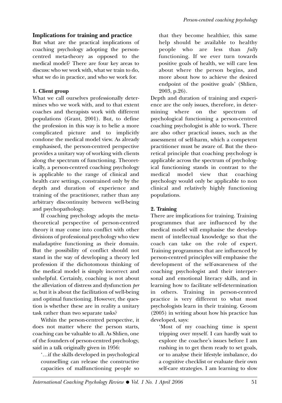# **Implications for training and practice**

But what are the practical implications of coaching psychology adopting the personcentred meta-theory as opposed to the medical model? There are four key areas to discuss: who we work with, what we train to do, what we do in practice, and who we work for.

# **1. Client group**

What we call ourselves professionally determines who we work with, and to that extent coaches and therapists work with different populations (Grant, 2001). But, to define the profession in this way is to belie a more complicated picture and to implicitly condone the medical model view. As already emphasised, the person-centred perspective provides a unitary way of working with clients along the spectrum of functioning. Theoretically, a person-centred coaching psychology is applicable to the range of clinical and health care settings, constrained only by the depth and duration of experience and training of the practitioner, rather than any arbitrary discontinuity between well-being and psychopathology.

If coaching psychology adopts the metatheoretical perspective of person-centred theory it may come into conflict with other divisions of professional psychology who view maladaptive functioning as their domain. But the possibility of conflict should not stand in the way of developing a theory led profession if the dichotomous thinking of the medical model is simply incorrect and unhelpful. Certainly, coaching is not about the alleviation of distress and dysfunction *per se*, but it is about the facilitation of well-being and optimal functioning. However, the question is whether these are in reality a unitary task rather than two separate tasks?

Within the person-centred perspective, it does not matter where the person starts, coaching can be valuable to all. As Shlien, one of the founders of person-centred psychology, said in a talk originally given in 1956:

'…if the skills developed in psychological counselling can release the constructive capacities of malfunctioning people so

that they become healthier, this same help should be available to healthy people who are less than *fully* functioning. If we ever turn towards positive goals of health, we will care less about where the person begins, and more about how to achieve the desired endpoint of the positive goals' (Shlien, 2003, p.26).

Depth and duration of training and experience are the only issues, therefore, in determining where on the spectrum of psychological functioning a person-centred coaching psychologist is able to work. There are also other practical issues, such as the assessment of self-harm, which a competent practitioner must be aware of. But the theoretical principle that coaching psychology is applicable across the spectrum of psychological functioning stands in contrast to the medical model view that coaching psychology would only be applicable to non clinical and relatively highly functioning populations.

# **2. Training**

There are implications for training. Training programmes that are influenced by the medical model will emphasise the development of intellectual knowledge so that the coach can take on the role of expert. Training programmes that are influenced by person-centred principles will emphasise the development of the self-awareness of the coaching psychologist and their interpersonal and emotional literacy skills, and in learning how to facilitate self-determination in others. Training in person-centred practice is very different to what most psychologists learn in their training. Groom (2005) in writing about how his practice has developed, says:

'Most of my coaching time is spent tripping over myself. I can hardly wait to explore the coachee's issues before I am rushing in to get them ready to set goals, or to analyse their lifestyle imbalance, do a cognitive checklist or evaluate their own self-care strategies. I am learning to slow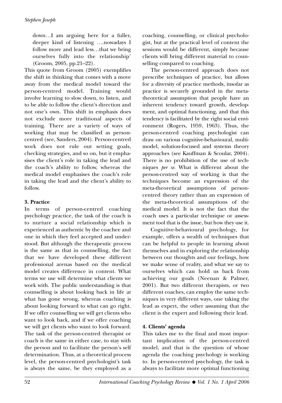down…I am arguing here for a fuller, deeper kind of listening ….nowadays I follow more and lead less…that we bring ourselves fully into the relationship' (Groom, 2005, pp.21–22).

This quote from Groom (2005) exemplifies the shift in thinking that comes with a move away from the medical model toward the person-centred model. Training would involve learning to slow down, to listen, and to be able to follow the client's direction and not one's own. This shift in emphasis does not exclude more traditional aspects of training. There are a variety of ways of working that may be classified as personcentred (see, Sanders, 2004). Person-centred work does not rule out setting goals, checking strategies, and so on, but it emphasises the client's role in taking the lead and the coach's ability to follow, whereas the medical model emphasises the coach's role in taking the lead and the client's ability to follow.

# **3. Practice**

In terms of person-centred coaching psychology practice, the task of the coach is to nurture a social relationship which is experienced as authentic by the coachee and one in which they feel accepted and understood. But although the therapeutic process is the same as that in counselling, the fact that we have developed these different professional arenas based on the medical model creates difference in content. What terms we use will determine what clients we work with. The public understanding is that counselling is about looking back in life at what has gone wrong, whereas coaching is about looking forward to what can go right. If we offer counselling we will get clients who want to look back, and if we offer coaching we will get clients who want to look forward. The task of the person-centred therapist or coach is the same in either case, to stay with the person and to facilitate the person's self determination. Thus, at a theoretical process level, the person-centred psychologist's task is always the same, be they employed as a coaching, counselling, or clinical psychologist, but at the practical level of content the sessions would be different, simply because clients will bring different material to counselling compared to coaching.

The person-centred approach does not prescribe techniques of practice, but allows for a diversity of practice methods, insofar as practice is securely grounded in the metatheoretical assumption that people have an inherent tendency toward growth, development, and optimal functioning, and that this tendency is facilitated by the right social environment (Rogers, 1959, 1963). Thus, the person-centred coaching psychologist can draw on various cognitive-behavioural, multimodel, solution-focused and systems theory approaches (see Kauffman & Scoular, 2004). There is no prohibition of the use of techniques *per se*. What is different about the person-centred way of working is that the techniques become an expression of the meta-theoretical assumptions of personcentred theory rather than an expression of the meta-theoretical assumptions of the medical model. It is not the fact that the coach uses a particular technique or assessment tool that is the issue, but how they use it.

Cognitive-behavioural psychology, for example, offers a wealth of techniques that can be helpful to people in learning about themselves and in exploring the relationship between our thoughts and our feelings, how we make sense of reality, and what we say to ourselves which can hold us back from achieving our goals (Neenan & Palmer, 2001). But two different therapists, or two different coaches, can employ the same techniques in very different ways, one taking the lead as expert, the other assuming that the client is the expert and following their lead.

# **4. Clients' agenda**

This takes me to the final and most important implication of the person-centred model, and that is the question of whose agenda the coaching psychology is working to. In person-centred psychology, the task is always to facilitate more optimal functioning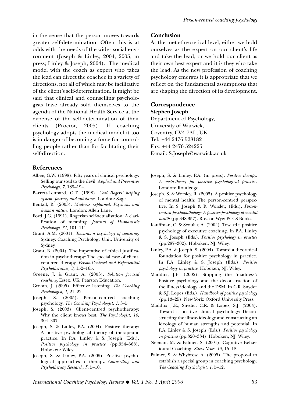in the sense that the person moves towards greater self-determination. Often this is at odds with the needs of the wider social environment (Joseph & Linley, 2004, 2005, in press; Linley & Joseph, 2004). The medical model with the coach as expert who takes the lead can direct the coachee in a variety of directions, not all of which may be facilitative of the client's self-determination. It might be said that clinical and counselling psychologists have already sold themselves to the agenda of the National Health Service at the expense of the self-determination of their clients (Proctor, 2005). If coaching psychology adopts the medical model it too is in danger of becoming a force for controlling people rather than for facilitating their self-direction.

### **References**

- Albee, G.W. (1998). Fifty years of clinical psychology: Selling our soul to the devil. *Applied and Preventive Psychology, 7,* 189–194.
- Barrett-Lennard, G.T. (1998). *Carl Rogers' helping system: Journey and substance.* London: Sage.
- Bentall, R. (2003). *Madness explained: Psychosis and human nature.* London: Allen Lane.
- Ford, J.G. (1991). Rogerian self-actualisation: A clarification of meaning. *Journal of Humanistic Psychology, 31,* 101–111.
- Grant, A.M. (2001). *Towards a psychology of coaching.* Sydney: Coaching Psychology Unit, University of Sydney.
- Grant, B. (2004). The imperative of ethical justification in psychotherapy: The special case of clientcentered therapy. *Person-Centered and Experiential Psychotherapies, 3,* 152–165.
- Greene, J. & Grant, A. (2003). *Solution focused coaching.* Essex, UK: Pearson Education.
- Groom, J. (2005). Effective listening. *The Coaching Psychologist, 1,* 21–22.
- Joseph, S. (2005). Person-centred coaching psychology. *The Coaching Psychologist, 1,* 3–5.
- Joseph, S. (2003). Client-centred psychotherapy: Why the client knows best. *The Psychologist, 16,* 304–307.
- Joseph, S. & Linley, P.A. (2004). Positive therapy: A positive psychological theory of therapeutic practice. In P.A. Linley & S. Joseph (Eds.), *Positive psychology in practice* (pp.354–368). Hoboken: Wiley.
- Joseph, S. & Linley, P.A. (2005). Positive psychological approaches to therapy. *Counselling and Psychotherapy Research, 5,* 5–10.

#### **Conclusion**

At the meta-theoretical level, either we hold ourselves as the expert on our client's life and take the lead, or we hold our client as their own best expert and it is they who take the lead. As the new profession of coaching psychology emerges it is appropriate that we reflect on the fundamental assumptions that are shaping the direction of its development.

#### **Correspondence Stephen Joseph**

Department of Psychology, University of Warwick, Coventry, CV4 7AL, UK. Tel: +44 2476 528182 Fax: +44 2476 524225 E-mail: S.Joseph@warwick.ac.uk

- Joseph, S. & Linley, P.A. (in press). *Positive therapy: A meta-theory for positive psychological practice.* London: Routledge.
- Joseph, S. & Worsley, R. (2005). A positive psychology of mental health: The person-centred perspective. In S. Joseph & R. Worsley, (Eds.), *Personcentred psychopathology: A positive psychology of mental health* (pp.348-357). Ross-on-Wye: PCCS Books.
- Kauffman, C. & Scoular, A. (2004). Toward a positive psychology of executive coaching. In P.A. Linley & S. Joseph (Eds.), *Positive psychology in practice* (pp.287–302). Hoboken, NJ: Wiley.
- Linley, P.A. & Joseph, S. (2004). Toward a theoretical foundation for positive psychology in practice. In P.A. Linley & S. Joseph (Eds.), *Positive psychology in practice.* Hoboken, NJ: Wiley.
- Maddux, J.E. (2002). Stopping the 'madness': Positive psychology and the deconstruction of the illness ideology and the DSM. In C.R. Snyder & S.J. Lopez (Eds.), *Handbook of positive psychology* (pp.13–25). New York: Oxford University Press.
- Maddux, J.E., Snyder, C.R. & Lopez, S.J. (2004). Toward a positive clinical psychology: Deconstructing the illness ideology and constructing an ideology of human strengths and potential. In P.A. Linley & S. Joseph (Eds.), *Positive psychology in practice* (pp.320–334). Hoboken, NJ: Wiley.
- Neenan, M. & Palmer, S. (2001). Cognitive Behavioural Coaching. *Stress News, 13,* 15–18.
- Palmer, S. & Whybrow, A. (2005). The proposal to establish a special group in coaching psychology. *The Coaching Psychologist, 1,* 5–12.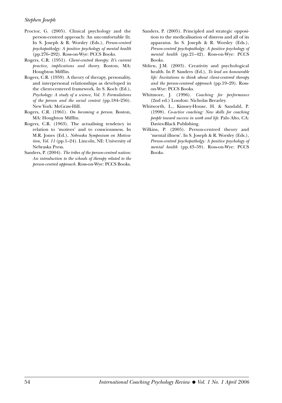- Proctor, G. (2005). Clinical psychology and the person-centred approach: An uncomfortable fit. In S. Joseph & R. Worsley (Eds.), *Person-centred psychopatholgy: A positive psychology of mental health* (pp.276–292). Ross-on-Wye: PCCS Books.
- Rogers, C.R. (1951). *Client-centred therapy: It's current practice, implications and theory.* Boston, MA: Houghton Mifflin.
- Rogers, C.R. (1959). A theory of therapy, personality, and interpersonal relationships as developed in the client-centered framework. In S. Koch (Ed.), *Psychology: A study of a science, Vol. 3: Formulations of the person and the social context* (pp.184–256). New York: McGraw-Hill.
- Rogers, C.R. (1961). *On becoming a person.* Boston, MA: Houghton Mifflin.
- Rogers, C.R. (1963). The actualising tendency in relation to 'motives' and to consciousness. In M.R. Jones (Ed.), *Nebraska Symposium on Motivation, Vol. 11* (pp.1–24). Lincoln, NE: University of Nebraska Press.
- Sanders, P. (2004). *The tribes of the person-centred nation: An introduction to the schools of therapy related to the person-centred approach.* Ross-on-Wye: PCCS Books.
- Sanders, P. (2005). Principled and strategic opposition to the medicalisation of distress and all of its apparatus. In S. Joseph & R. Worsley (Eds.), *Person-centred psychopatholgy: A positive psychology of mental health* (pp.21–42). Ross-on-Wye: PCCS Books.
- Shlien, J.M. (2003). Creativity and psychological health. In P. Sanders (Ed.), *To lead an honourable life: Invitations to think about client-centered therapy and the person-centered approach* (pp.19–29). Rosson-Wye: PCCS Books.
- Whitmore, J. (1996). *Coaching for performance* (2nd ed.) London: Nicholas Brearley.
- Whitworth, L., Kimsey-House, H. & Sandahl, P. (1998). *Co-active coaching: New skills for coaching people toward success in work and life.* Palo Alto, CA: Davies-Black Publishing.
- Wilkins, P. (2005). Person-centred theory and 'mental illness'. In S. Joseph & R. Worsley (Eds.), *Person-centred psychopatholgy: A positive psychology of mental health* (pp.43–59). Ross-on-Wye: PCCS Books.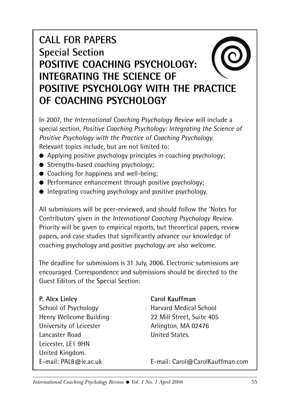# **CALL FOR PAPERS Special Section POSITIVE COACHING PSYCHOLOGY: INTEGRATING THE SCIENCE OF POSITIVE PSYCHOLOGY WITH THE PRACTICE OF COACHING PSYCHOLOGY**

In 2007, the *International Coaching Psychology Review* will include a special section, *Positive Coaching Psychology: Integrating the Science of Positive Psychology with the Practice of Coaching Psychology*. Relevant topics include, but are not limited to:

- Applying positive psychology principles in coaching psychology;
- Strengths-based coaching psychology;
- Coaching for happiness and well-being;
- Performance enhancement through positive psychology:
- Integrating coaching psychology and positive psychology.

All submissions will be peer-reviewed, and should follow the 'Notes for Contributors' given in the *International Coaching Psychology Review*. Priority will be given to empirical reports, but theoretical papers, review papers, and case studies that significantly advance our knowledge of coaching psychology and positive psychology are also welcome.

The deadline for submissions is 31 July, 2006. Electronic submissions are encouraged. Correspondence and submissions should be directed to the Guest Editors of the Special Section:

School of Psychology **Harvard Medical School** Henry Wellcome Building 22 Mill Street, Suite 405 University of Leicester **Arlington**, MA 02476 Lancaster Road United States. Leicester, LE1 9HN United Kingdom.

# **P. Alex Linley Carol Kauffman**

E-mail: PAL8@le.ac.uk E-mail: Carol@CarolKauffman.com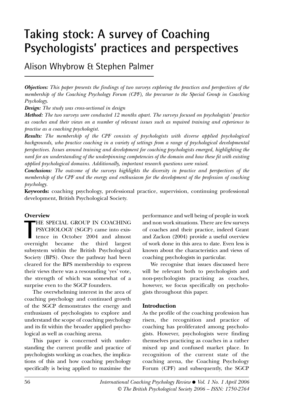# **Taking stock: A survey of Coaching Psychologists' practices and perspectives**

Alison Whybrow & Stephen Palmer

**Objectives:** *This paper presents the findings of two surveys exploring the practices and perspectives of the membership of the Coaching Psychology Forum (CPF), the precursor to the Special Group in Coaching Psychology.*

**Design:** *The study was cross-sectional in design*

**Method:** *The two surveys were conducted 12 months apart. The surveys focused on psychologists' practice as coaches and their views on a number of relevant issues such as required training and experience to practise as a coaching psychologist.*

**Results:** *The membership of the CPF consists of psychologists with diverse applied psychological backgrounds, who practice coaching in a variety of settings from a range of psychological developmental perspectives. Issues around training and development for coaching psychologists emerged, highlighting the need for an understanding of the underpinning competencies of the domain and how these fit with existing applied psychological domains. Additionally, important research questions were raised.*

**Conclusions:** *The outcome of the surveys highlights the diversity in practice and perspectives of the membership of the CPF and the energy and enthusiasm for the development of the profession of coaching psychology.* 

**Keywords:** coaching psychology, professional practice, supervision, continuing professional development, British Psychological Society.

### **Overview**

HE SPECIAL GROUP IN COACHING

THE SPECIAL GROUP IN COACHING<br>
PSYCHOLOGY (SGCP) came into exis-<br>
tence in October 2004 and almost<br>
overnight became the third largest PSYCHOLOGY (SGCP) came into existence in October 2004 and almost subsystem within the British Psychological Society (BPS). Once the pathway had been cleared for the BPS membership to express their views there was a resounding 'yes' vote, the strength of which was somewhat of a surprise even to the SGCP founders.

The overwhelming interest in the area of coaching psychology and continued growth of the SGCP demonstrates the energy and enthusiasm of psychologists to explore and understand the scope of coaching psychology and its fit within the broader applied psychological as well as coaching arena.

This paper is concerned with understanding the current profile and practice of psychologists working as coaches, the implications of this and how coaching psychology specifically is being applied to maximise the

performance and well being of people in work and non work situations. There are few surveys of coaches and their practice, indeed Grant and Zackon (2004) provide a useful overview of work done in this area to date. Even less is known about the characteristics and views of coaching psychologists in particular.

We recognise that issues discussed here will be relevant both to psychologists and non-psychologists practising as coaches, however, we focus specifically on psychologists throughout this paper.

### **Introduction**

As the profile of the coaching profession has risen, the recognition and practice of coaching has proliferated among psychologists. However, psychologists were finding themselves practicing as coaches in a rather mixed up and confused market place. In recognition of the current state of the coaching arena, the Coaching Psychology Forum (CPF) and subsequently, the SGCP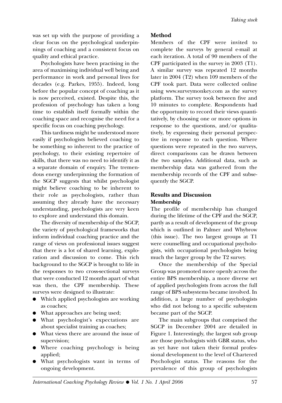was set up with the purpose of providing a clear focus on the psychological underpinnings of coaching and a consistent focus on quality and ethical practice.

Psychologists have been practising in the area of maximising individual well being and performance in work and personal lives for decades (e.g. Parkes, 1955). Indeed, long before the popular concept of coaching as it is now perceived, existed. Despite this, the profession of psychology has taken a long time to establish itself formally within the coaching space and recognise the need for a specific focus on coaching psychology.

This tardiness might be understood more easily if psychologists believed coaching to be something so inherent to the practice of psychology, to their existing repertoire of skills, that there was no need to identify it as a separate domain of enquiry. The tremendous energy underpinning the formation of the SGCP suggests that whilst psychologist might believe coaching to be inherent to their role as psychologists, rather than assuming they already have the necessary understanding, psychologists are very keen to explore and understand this domain.

The diversity of membership of the SGCP, the variety of psychological frameworks that inform individual coaching practice and the range of views on professional issues suggest that there is a lot of shared learning, exploration and discussion to come. This rich background to the SGCP is brought to life in the responses to two cross-sectional surveys that were conducted 12 months apart of what was then, the CPF membership. These surveys were designed to illustrate:

- Which applied psychologists are working as coaches;
- What approaches are being used;
- What psychologist's expectations are about specialist training as coaches;
- What views there are around the issue of supervision;
- Where coaching psychology is being applied;
- What psychologists want in terms of ongoing development.

### **Method**

Members of the CPF were invited to complete the surveys by general e-mail at each iteration. A total of 90 members of the CPF participated in the survey in 2003 (T1). A similar survey was repeated 12 months later in 2004 (T2) when 109 members of the CPF took part. Data were collected online using www.surveymonkey.com as the survey platform. The survey took between five and 10 minutes to complete. Respondents had the opportunity to record their views quantitatively, by choosing one or more options in response to the questions, and/or qualitatively, by expressing their personal perspective in response to each question. Where questions were repeated in the two surveys, direct comparisons can be drawn between the two samples. Additional data, such as membership data was gathered from the membership records of the CPF and subsequently the SGCP.

#### **Results and Discussion Membership**

The profile of membership has changed during the lifetime of the CPF and the SGCP, partly as a result of development of the group which is outlined in Palmer and Whybrow (this issue). The two largest groups at T1 were counselling and occupational psychologists, with occupational psychologists being much the larger group by the T2 survey.

Once the membership of the Special Group was promoted more openly across the entire BPS membership, a more diverse set of applied psychologists from across the full range of BPS subsystems became involved. In addition, a large number of psychologists who did not belong to a specific subsystem became part of the SGCP.

The main subgroups that comprised the SGCP in December 2004 are detailed in Figure 1. Interestingly, the largest sub group are those psychologists with GBR status, who as yet have not taken their formal professional development to the level of Chartered Psychologist status. The reasons for the prevalence of this group of psychologists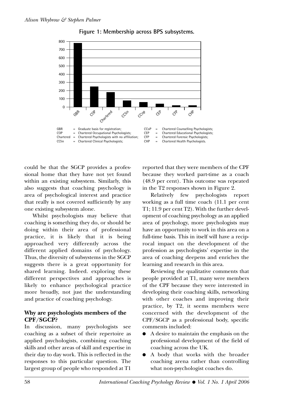

**Figure 1: Membership across BPS subsystems.**

could be that the SGCP provides a professional home that they have not yet found within an existing subsystem. Similarly, this also suggests that coaching psychology is area of psychological interest and practice that really is not covered sufficiently by any one existing subsystem alone.

Whilst psychologists may believe that coaching is something they do, or should be doing within their area of professional practice, it is likely that it is being approached very differently across the different applied domains of psychology. Thus, the diversity of subsystems in the SGCP suggests there is a great opportunity for shared learning. Indeed. exploring these different perspectives and approaches is likely to enhance psychological practice more broadly, not just the understanding and practice of coaching psychology.

### **Why are psychologists members of the CPF/SGCP?**

In discussion, many psychologists see coaching as a subset of their repertoire as applied psychologists, combining coaching skills and other areas of skill and expertise in their day to day work. This is reflected in the responses to this particular question. The largest group of people who responded at T1

reported that they were members of the CPF because they worked part-time as a coach (48.9 per cent). This outcome was repeated in the T2 responses shown in Figure 2.

Relatively few psychologists report working as a full time coach (11.1 per cent T1; 11.9 per cent T2). With the further development of coaching psychology as an applied area of psychology, more psychologists may have an opportunity to work in this area on a full-time basis. This in itself will have a reciprocal impact on the development of the profession as psychologists' expertise in the area of coaching deepens and enriches the learning and research in this area.

Reviewing the qualitative comments that people provided at T1, many were members of the CPF because they were interested in developing their coaching skills, networking with other coaches and improving their practice, by T2, it seems members were concerned with the development of the CPF/SGCP as a professional body, specific comments included:

- A desire to maintain the emphasis on the professional development of the field of coaching across the UK.
- A body that works with the broader coaching arena rather than controlling what non-psychologist coaches do.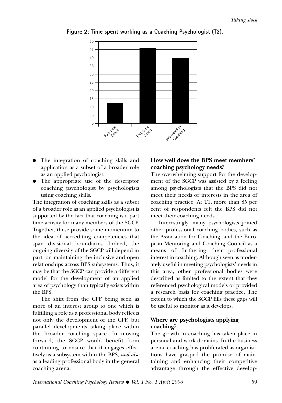

**Figure 2: Time spent working as a Coaching Psychologist (T2).**

- The integration of coaching skills and application as a subset of a broader role as an applied psychologist.
- The appropriate use of the descriptor coaching psychologist by psychologists using coaching skills.

The integration of coaching skills as a subset of a broader role as an applied psychologist is supported by the fact that coaching is a part time activity for many members of the SGCP. Together, these provide some momentum to the idea of accrediting competencies that span divisional boundaries. Indeed, the ongoing diversity of the SGCP will depend in part, on maintaining the inclusive and open relationships across BPS subsystems. Thus, it may be that the SGCP can provide a different model for the development of an applied area of psychology than typically exists within the BPS.

The shift from the CPF being seen as more of an interest group to one which is fulfilling a role as a professional body reflects not only the development of the CPF, but parallel developments taking place within the broader coaching space. In moving forward, the SGCP would benefit from continuing to ensure that it engages effectively as a subsystem within the BPS, *and also* as a leading professional body in the general coaching arena.

# **How well does the BPS meet members' coaching psychology needs?**

The overwhelming support for the development of the SGCP was assisted by a feeling among psychologists that the BPS did not meet their needs or interests in the area of coaching practice. At T1, more than 85 per cent of respondents felt the BPS did not meet their coaching needs.

Interestingly, many psychologists joined other professional coaching bodies, such as the Association for Coaching, and the European Mentoring and Coaching Council as a means of furthering their professional interest in coaching. Although seen as moderately useful in meeting psychologists' needs in this area, other professional bodies were described as limited to the extent that they referenced psychological models or provided a research basis for coaching practice. The extent to which the SGCP fills these gaps will be useful to monitor as it develops.

# **Where are psychologists applying coaching?**

The growth in coaching has taken place in personal and work domains. In the business arena, coaching has proliferated as organisations have grasped the promise of maintaining and enhancing their competitive advantage through the effective develop-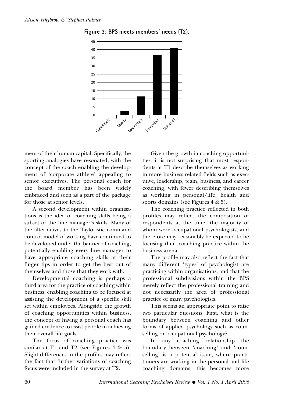

**Figure 3: BPS meets members' needs (T2).**

ment of their human capital. Specifically, the sporting analogies have resonated, with the concept of the coach enabling the development of 'corporate athlete' appealing to senior executives. The personal coach for the board member has been widely embraced and seen as a part of the package for those at senior levels.

A second development within organisations is the idea of coaching skills being a subset of the line manager's skills. Many of the alternatives to the Tayloristic command control model of working have continued to be developed under the banner of coaching, potentially enabling every line manager to have appropriate coaching skills at their finger tips in order to get the best out of themselves and those that they work with.

Developmental coaching is perhaps a third area for the practice of coaching within business, enabling coaching to be focused at assisting the development of a specific skill set within employees. Alongside the growth of coaching opportunities within business, the concept of having a personal coach has gained credence to assist people in achieving their overall life goals.

The focus of coaching practice was similar at T1 and T2 (see Figures 4 & 5). Slight differences in the profiles may reflect the fact that further variations of coaching focus were included in the survey at T2.

Given the growth in coaching opportunities, it is not surprising that most respondents at T1 describe themselves as working in more business related fields such as executive, leadership, team, business, and career coaching, with fewer describing themselves as working in personal/life, health and sports domains (see Figures 4 & 5).

The coaching practice reflected in both profiles may reflect the composition of respondents at the time, the majority of whom were occupational psychologists, and therefore may reasonably be expected to be focusing their coaching practice within the business arena.

The profile may also reflect the fact that many different 'types' of psychologist are practicing within organisations, and that the professional subdivisions within the BPS merely reflect the professional training and not necessarily the area of professional practice of many psychologists.

This seems an appropriate point to raise two particular questions. First, what is the boundary between coaching and other forms of applied psychology such as counselling or occupational psychology?

In any coaching relationship the boundary between 'coaching' and 'counselling' is a potential issue, where practitioners are working in the personal and life coaching domains, this becomes more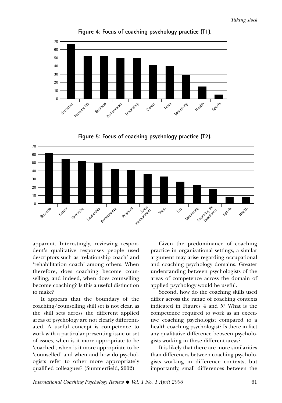*Taking stock*



**Figure 4: Focus of coaching psychology practice (T1).**

**Figure 5: Focus of coaching psychology practice (T2).**



apparent. Interestingly, reviewing respondent's qualitative responses people used descriptors such as 'relationship coach' and 'rehabilitation coach' among others. When therefore, does coaching become counselling, and indeed, when does counselling become coaching? Is this a useful distinction to make?

It appears that the boundary of the coaching/counselling skill set is not clear, as the skill sets across the different applied areas of psychology are not clearly differentiated. A useful concept is competence to work with a particular presenting issue or set of issues, when is it more appropriate to be 'coached', when is it more appropriate to be 'counselled' and when and how do psychologists refer to other more appropriately qualified colleagues? (Summerfield, 2002)

Given the predominance of coaching practice in organisational settings, a similar argument may arise regarding occupational and coaching psychology domains. Greater understanding between psychologists of the areas of competence across the domain of applied psychology would be useful.

Second, how do the coaching skills used differ across the range of coaching contexts indicated in Figures 4 and 5? What is the competence required to work as an executive coaching psychologist compared to a health coaching psychologist? Is there in fact any qualitative difference between psychologists working in these different areas?

It is likely that there are more similarities than differences between coaching psychologists working in difference contexts, but importantly, small differences between the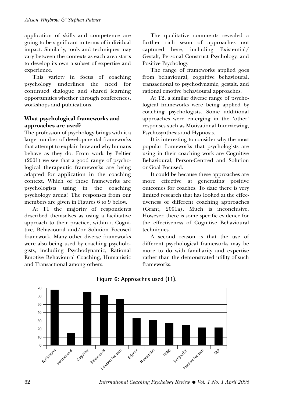application of skills and competence are going to be significant in terms of individual impact. Similarly, tools and techniques may vary between the contexts as each area starts to develop its own a subset of expertise and experience.

This variety in focus of coaching psychology underlines the need for continued dialogue and shared learning opportunities whether through conferences, workshops and publications.

# **What psychological frameworks and approaches are used?**

The profession of psychology brings with it a large number of developmental frameworks that attempt to explain how and why humans behave as they do. From work by Peltier (2001) we see that a good range of psychological therapeutic frameworks are being adapted for application in the coaching context. Which of these frameworks are psychologists using in the coaching psychology arena? The responses from our members are given in Figures 6 to 9 below.

At T1 the majority of respondents described themselves as using a facilitative approach to their practice, within a Cognitive, Behavioural and/or Solution Focused framework. Many other diverse frameworks were also being used by coaching psychologists, including Psychodynamic, Rational Emotive Behavioural Coaching, Humanistic and Transactional among others.

The qualitative comments revealed a further rich seam of approaches not captured here, including Existential/ Gestalt, Personal Construct Psychology, and Positive Psychology

The range of frameworks applied goes from behavioural, cognitive behavioural, transactional to psychodynamic, gestalt, and rational emotive behavioural approaches.

At T2, a similar diverse range of psychological frameworks were being applied by coaching psychologists. Some additional approaches were emerging in the 'other' responses such as Motivational Interviewing, Psychosynthesis and Hypnosis.

It is interesting to consider why the most popular frameworks that psychologists are using in their coaching work are Cognitive Behavioural, Person-Centred and Solution or Goal Focused.

It could be because these approaches are more effective at generating positive outcomes for coaches. To date there is very limited research that has looked at the effectiveness of different coaching approaches (Grant, 2001a). Much is inconclusive. However, there is some specific evidence for the effectiveness of Cognitive Behavioural techniques.

A second reason is that the use of different psychological frameworks may be more to do with familiarity and expertise rather than the demonstrated utility of such frameworks.



# **Figure 6: Approaches used (T1).**

62 *International Coaching Psychology Review* ● *Vol. 1 No. 1 April 2006*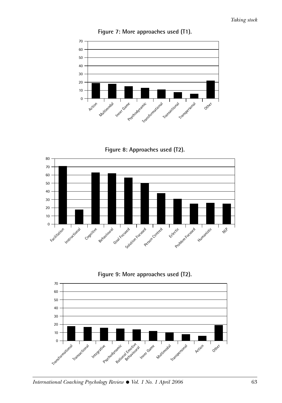*Taking stock*











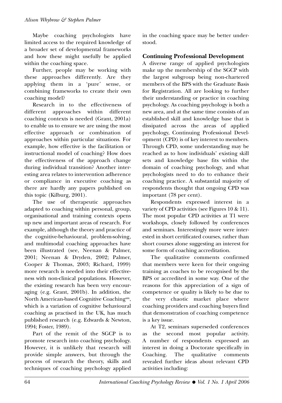Maybe coaching psychologists have limited access to the required knowledge of a broader set of developmental frameworks and how these might usefully be applied within the coaching space.

Further, people may be working with these approaches differently. Are they applying them in a 'pure' sense, or combining frameworks to create their own coaching model?

Research in to the effectiveness of different approaches within different coaching contexts is needed (Grant, 2001a) to enable us to ensure we are using the most effective approach or combination of approaches within particular situations. For example, how effective is the facilitation or instructional model of coaching? How does the effectiveness of the approach change during individual transition? Another interesting area relates to intervention adherence or compliance in executive coaching as there are hardly any papers published on this topic (Kilburg, 2001).

The use of therapeutic approaches adapted to coaching within personal, group, organisational and training contexts opens up new and important areas of research. For example, although the theory and practice of the cognitive-behavioural, problem-solving, and multimodal coaching approaches have been illustrated (see, Neenan & Palmer, 2001; Neenan & Dryden, 2002; Palmer, Cooper & Thomas, 2003; Richard, 1999) more research is needed into their effectiveness with non-clinical populations. However, the existing research has been very encouraging (e.g. Grant, 2001b). In addition, the North American-based Cognitive Coachingsm, which is a variation of cognitive behavioural coaching as practised in the UK, has much published research (e.g. Edwards & Newton, 1994; Foster, 1989).

Part of the remit of the SGCP is to promote research into coaching psychology. However, it is unlikely that research will provide simple answers, but through the process of research the theory, skills and techniques of coaching psychology applied in the coaching space may be better understood.

# **Continuing Professional Development**

A diverse range of applied psychologists make up the membership of the SGCP with the largest subgroup being non-chartered members of the BPS with the Graduate Basis for Registration. All are looking to further their understanding or practice in coaching psychology. As coaching psychology is both a new area, and at the same time consists of an established skill and knowledge base that is dissipated across the areas of applied psychology, Continuing Professional Development (CPD) is of key interest to members. Through CPD, some understanding may be reached as to how individuals' existing skill sets and knowledge base fits within the domain of coaching psychology, and what psychologists need to do to enhance their coaching practice. A substantial majority of respondents thought that ongoing CPD was important (78 per cent).

Respondents expressed interest in a variety of CPD activities (see Figures 10 & 11). The most popular CPD activities at T1 were workshops, closely followed by conferences and seminars. Interestingly more were interested in short certificated courses, rather than short courses alone suggesting an interest for some form of coaching accreditation.

The qualitative comments confirmed that members were keen for their ongoing training as coaches to be recognised by the BPS or accredited in some way. One of the reasons for this appreciation of a sign of competence or quality is likely to be due to the very chaotic market place where coaching providers and coaching buyers find that demonstration of coaching competence is a key issue.

At T2, seminars superseded conferences as the second most popular activity. A number of respondents expressed an interest in doing a Doctorate specifically in Coaching. The qualitative comments revealed further ideas about relevant CPD activities including: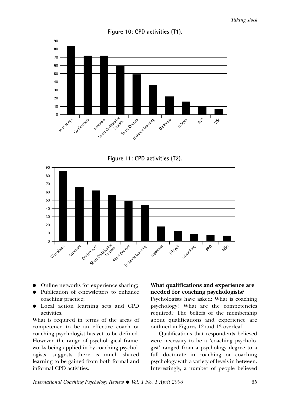*Taking stock*



**Figure 10: CPD activities (T1).**





- Online networks for experience sharing;
- Publication of e-newsletters to enhance coaching practice;
- Local action learning sets and CPD activities.

What is required in terms of the areas of competence to be an effective coach or coaching psychologist has yet to be defined. However, the range of psychological frameworks being applied in by coaching psychologists, suggests there is much shared learning to be gained from both formal and informal CPD activities.

# **What qualifications and experience are needed for coaching psychologists?**

Psychologists have asked: What is coaching psychology? What are the competencies required? The beliefs of the membership about qualifications and experience are outlined in Figures 12 and 13 overleaf.

Qualifications that respondents believed were necessary to be a 'coaching psychologist' ranged from a psychology degree to a full doctorate in coaching or coaching psychology with a variety of levels in between. Interestingly, a number of people believed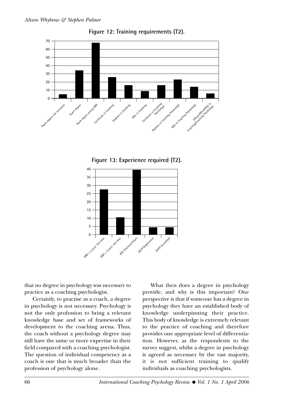

**Figure 12: Training requirements (T2).**





that no degree in psychology was necessary to practice as a coaching psychologist.

Certainly, to practise as a coach, a degree in psychology is not necessary. Psychology is not the only profession to bring a relevant knowledge base and set of frameworks of development to the coaching arena. Thus, the coach without a psychology degree may still have the same or more expertise in their field compared with a coaching psychologist. The question of individual competency as a coach is one that is much broader than the profession of psychology alone.

What then does a degree in psychology provide, and why is this important? One perspective is that if someone has a degree in psychology they have an established body of knowledge underpinning their practice. This body of knowledge is extremely relevant to the practice of coaching and therefore provides one appropriate level of differentiation. However, as the respondents to the survey suggest, whilst a degree in psychology is agreed as necessary by the vast majority, it is not sufficient training to qualify individuals as coaching psychologists.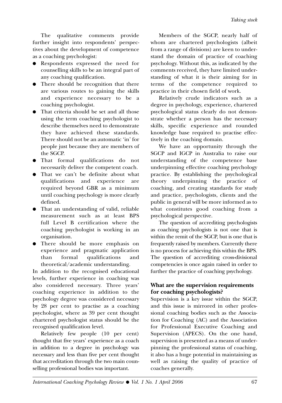The qualitative comments provide further insight into respondents' perspectives about the development of competence as a coaching psychologist:

- Respondents expressed the need for counselling skills to be an integral part of any coaching qualification.
- There should be recognition that there are various routes to gaining the skills and experience necessary to be a coaching psychologist.
- That criteria should be set and all those using the term coaching psychologist to describe themselves need to demonstrate they have achieved these standards. There should not be an automatic 'in' for people just because they are members of the SGCP.
- That formal qualifications do not necessarily deliver the competent coach.
- That we can't be definite about what qualifications and experience are required beyond GBR as a minimum until coaching psychology is more clearly defined.
- That an understanding of valid, reliable measurement such as at least BPS full Level B certification where the coaching psychologist is working in an organisation.
- There should be more emphasis on experience and pragmatic application than formal qualifications and theoretical/academic understanding.

In addition to the recognised educational levels, further experience in coaching was also considered necessary. Three years' coaching experience in addition to the psychology degree was considered necessary by 28 per cent to practise as a coaching psychologist, where as 39 per cent thought chartered psychologist status should be the recognised qualification level.

Relatively few people (10 per cent) thought that five years' experience as a coach in addition to a degree in psychology was necessary and less than five per cent thought that accreditation through the two main counselling professional bodies was important.

Members of the SGCP, nearly half of whom are chartered psychologists (albeit from a range of divisions) are keen to understand the domain of practice of coaching psychology. Without this, as indicated by the comments received, they have limited understanding of what it is their aiming for in terms of the competence required to practice in their chosen field of work.

Relatively crude indicators such as a degree in psychology, experience, chartered psychological status clearly do not demonstrate whether a person has the necessary skills, specific experience and rounded knowledge base required to practise effectively in the coaching domain.

We have an opportunity through the SGCP and IGCP in Australia to raise our understanding of the competence base underpinning effective coaching psychology practice. By establishing the psychological theory underpinning the practice of coaching, and creating standards for study and practice, psychologists, clients and the public in general will be more informed as to what constitutes good coaching from a psychological perspective.

The question of accrediting psychologists as coaching psychologists is not one that is within the remit of the SGCP, but is one that is frequently raised by members. Currently there is no process for achieving this within the BPS. The question of accrediting cross-divisional competencies is once again raised in order to further the practice of coaching psychology.

# **What are the supervision requirements for coaching psychologists?**

Supervision is a key issue within the SGCP, and this issue is mirrored in other professional coaching bodies such as the Association for Coaching (AC) and the Association for Professional Executive Coaching and Supervision (APECS). On the one hand, supervision is presented as a means of underpinning the professional status of coaching, it also has a huge potential in maintaining as well as raising the quality of practice of coaches generally.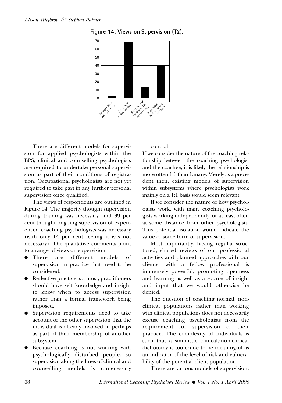

**Figure 14: Views on Supervision (T2).**

There are different models for supervision for applied psychologists within the BPS, clinical and counselling psychologists are required to undertake personal supervision as part of their conditions of registration. Occupational psychologists are not yet required to take part in any further personal supervision once qualified.

The views of respondents are outlined in Figure 14. The majority thought supervision during training was necessary, and 39 per cent thought ongoing supervision of experienced coaching psychologists was necessary (with only 14 per cent feeling it was not necessary). The qualitative comments point to a range of views on supervision:

- There are different models of supervision in practice that need to be considered.
- Reflective practice is a must, practitioners should have self knowledge and insight to know when to access supervision rather than a formal framework being imposed.
- Supervision requirements need to take account of the other supervision that the individual is already involved in perhaps as part of their membership of another subsystem.
- Because coaching is not working with psychologically disturbed people, so supervision along the lines of clinical and counselling models is unnecessary

control

If we consider the nature of the coaching relationship between the coaching psychologist and the coachee, it is likely the relationship is more often 1:1 than 1:many. Merely as a precedent then, existing models of supervision within subsystems where psychologists work mainly on a 1:1 basis would seem relevant.

If we consider the nature of how psychologists work, with many coaching psychologists working independently, or at least often at some distance from other psychologists. This potential isolation would indicate the value of some form of supervision.

Most importantly, having regular structured, shared reviews of our professional activities and planned approaches with our clients, with a fellow professional is immensely powerful, promoting openness and learning as well as a source of insight and input that we would otherwise be denied.

The question of coaching normal, nonclinical populations rather than working with clinical populations does not necessarily excuse coaching psychologists from the requirement for supervision of their practice. The complexity of individuals is such that a simplistic clinical/non-clinical dichotomy is too crude to be meaningful as an indicator of the level of risk and vulnerability of the potential client population.

There are various models of supervision,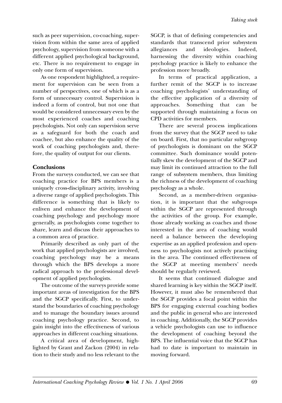such as peer supervision, co-coaching, supervision from within the same area of applied psychology, supervision from someone with a different applied psychological background, etc. There is no requirement to engage in only one form of supervision.

As one respondent highlighted, a requirement for supervision can be seen from a number of perspectives, one of which is as a form of unnecessary control. Supervision is indeed a form of control, but not one that would be considered unnecessary even by the most experienced coaches and coaching psychologists. Not only can supervision serve as a safeguard for both the coach and coachee, but also enhance the quality of the work of coaching psychologists and, therefore, the quality of output for our clients.

### **Conclusions**

From the surveys conducted, we can see that coaching practice for BPS members is a uniquely cross-disciplinary activity, involving a diverse range of applied psychologists. This difference is something that is likely to enliven and enhance the development of coaching psychology and psychology more generally, as psychologists come together to share, learn and discuss their approaches to a common area of practice.

Primarily described as only part of the work that applied psychologists are involved, coaching psychology may be a means through which the BPS develops a more radical approach to the professional development of applied psychologists.

The outcome of the surveys provide some important areas of investigation for the BPS and the SGCP specifically. First, to understand the boundaries of coaching psychology and to manage the boundary issues around coaching psychology practice. Second, to gain insight into the effectiveness of various approaches in different coaching situations.

A critical area of development, highlighted by Grant and Zackon (2004) in relation to their study and no less relevant to the SGCP, is that of defining competencies and standards that transcend prior subsystem allegiances and ideologies. Indeed, harnessing the diversity within coaching psychology practice is likely to enhance the profession more broadly.

In terms of practical application, a further remit of the SGCP is to increase coaching psychologists' understanding of the effective application of a diversity of approaches. Something that can be supported through maintaining a focus on CPD activities for members.

There are several process implications from the survey that the SGCP need to take on board. First, that no particular subgroup of psychologists is dominant on the SGCP committee. Such dominance would potentially skew the development of the SGCP and may limit its continued attraction to the full range of subsystem members, thus limiting the richness of the development of coaching psychology as a whole.

Second, as a member-driven organisation, it is important that the subgroups within the SGCP are represented through the activities of the group. For example, those already working as coaches and those interested in the area of coaching would need a balance between the developing expertise as an applied profession and openness to psychologists not actively practising in the area. The continued effectiveness of the SGCP at meeting members' needs should be regularly reviewed.

It seems that continued dialogue and shared learning is key within the SGCP itself. However, it must also be remembered that the SGCP provides a focal point within the BPS for engaging external coaching bodies and the public in general who are interested in coaching. Additionally, the SGCP provides a vehicle psychologists can use to influence the development of coaching beyond the BPS. The influential voice that the SGCP has had to date is important to maintain in moving forward.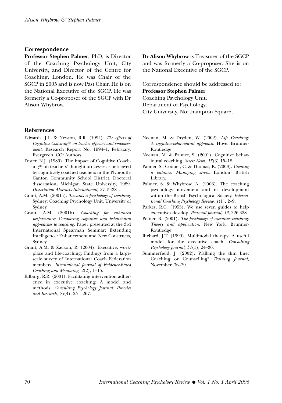#### **Correspondence**

**Professor Stephen Palmer**, PhD, is Director of the Coaching Psychology Unit, City University, and Director of the Centre for Coaching, London. He was Chair of the SGCP in 2005 and is now Past Chair. He is on the National Executive of the SGCP. He was formerly a Co-proposer of the SGCP with Dr Alison Whybrow.

#### **References**

- Edwards, J.L. & Newton, R.R. (1994). *The effects of Cognitive Coachingsm on teacher efficacy and empowerment.* Research Report No. 1994–1, February. Evergreen, CO: Authors.
- Foster, N.J. (1989). The impact of Cognitive Coachingsm on teachers' thought processes as perceived by cognitively coached teachers in the Plymouth-Canton Community School District. Doctoral dissertation, Michigan State University, 1989. *Dissertation Abstracts International, 27,* 54381.
- Grant, A.M. (2001a). *Towards a psychology of coaching.* Sydney: Coaching Psychology Unit, University of Sydney.
- Grant, A.M. (2001b). *Coaching for enhanced performance: Comparing cognitive and behavioural approaches to coaching.* Paper presented at the 3rd International Spearman Seminar: Extending Intelligence: Enhancement and New Constructs, Sydney.
- Grant, A.M. & Zackon, R. (2004). Executive, workplace and life-coaching: Findings from a largescale survey of International Coach Federation members. *International Journal of Evidence-Based Coaching and Mentoring, 2*(2), 1–15.
- Kilburg, R.R. (2001). Facilitating intervention adherence in executive coaching: A model and methods. *Consulting Psychology Journal: Practice and Research, 53*(4), 251–267.

**Dr Alison Whybrow** is Treasurer of the SGCP and was formerly a Co-proposer. She is on the National Executive of the SGCP.

Correspondence should be addressed to: **Professor Stephen Palmer** Coaching Psychology Unit, Department of Psychology, City University, Northampton Square,

- Neenan, M. & Dryden, W. (2002). *Life Coaching: A cognitive-behavioural approach.* Hove: Brunner-Routledge
- Neenan, M. & Palmer, S. (2001). Cognitive behavioural coaching. *Stress News, 13*(3) 15–18.
- Palmer, S., Cooper, C. & Thomas, K. (2003). *Creating a balance: Managing stress.* London: British Library.
- Palmer, S. & Whybrow, A. (2006). The coaching psychology movement and its development within the British Psychological Society. *International Coaching Psychology Review, 1*(1), 2–9.
- Parkes, R.C. (1955). We use seven guides to help executives develop. *Personal Journal, 33,* 326-328
- Peltier, B. (2001). *The psychology of executive coaching: Theory and application.* New York: Brunner-Routledge.
- Richard, J.T. (1999). Multimodal therapy: A useful model for the executive coach. *Consulting Psychology Journal, 51*(1), 24–30.
- Summerfield, J. (2002). Walking the thin line: Coaching or Counselling? *Training Journal,* November, 36–39.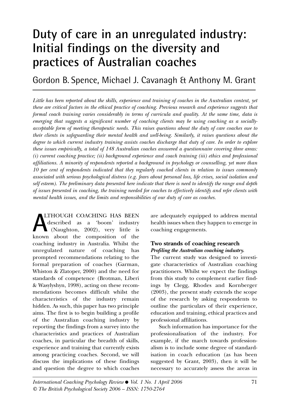# **Duty of care in an unregulated industry: Initial findings on the diversity and practices of Australian coaches**

Gordon B. Spence, Michael J. Cavanagh & Anthony M. Grant

*Little has been reported about the skills, experience and training of coaches in the Australian context, yet these are critical factors in the ethical practice of coaching. Previous research and experience suggests that formal coach training varies considerably in terms of curricula and quality. At the same time, data is emerging that suggests a significant number of coaching clients may be using coaching as a sociallyacceptable form of meeting therapeutic needs. This raises questions about the duty of care coaches owe to their clients in safeguarding their mental health and well-being. Similarly, it raises questions about the degree to which current industry training assists coaches discharge that duty of care. In order to explore these issues empirically, a total of 148 Australian coaches answered a questionnaire covering three areas: (i) current coaching practice; (ii) background experience and coach training (iii) ethics and professional affiliations. A minority of respondents reported a background in psychology or counselling, yet more than 10 per cent of respondents indicated that they regularly coached clients in relation to issues commonly associated with serious psychological distress (e.g. fears about personal loss, life crises, social isolation and self esteem). The preliminary data presented here indicate that there is need to identify the range and depth of issues presented in coaching, the training needed for coaches to effectively identify and refer clients with mental health issues, and the limits and responsibilities of our duty of care as coaches.* 

LTHOUGH COACHING HAS BEEN described as a 'boom' industry (Naughton, 2002), very little is **ALTHOUGH COACHING HAS BEEN**<br>described as a 'boom' industry<br>(Naughton, 2002), very little is<br>known about the composition of the coaching industry in Australia. Whilst the unregulated nature of coaching has prompted recommendations relating to the formal preparation of coaches (Garman, Whiston & Zlatoper, 2000) and the need for standards of competence (Brotman, Liberi & Wasylyshyn, 1998), acting on these recommendations becomes difficult whilst the characteristics of the industry remain hidden. As such, this paper has two principle aims. The first is to begin building a profile of the Australian coaching industry by reporting the findings from a survey into the characteristics and practices of Australian coaches, in particular the breadth of skills, experience and training that currently exists among practicing coaches. Second, we will discuss the implications of these findings and question the degree to which coaches

are adequately equipped to address mental health issues when they happen to emerge in coaching engagements.

#### **Two strands of coaching research Profiling the Australian coaching industry.**

The current study was designed to investigate characteristics of Australian coaching practitioners. Whilst we expect the findings from this study to complement earlier findings by Clegg, Rhodes and Kornberger (2003), the present study extends the scope of the research by asking respondents to outline the particulars of their experience, education and training, ethical practices and professional affiliations.

Such information has importance for the professionalisation of the industry. For example, if the march towards professionalism is to include some degree of standardisation in coach education (as has been suggested by Grant, 2003), then it will be necessary to accurately assess the areas in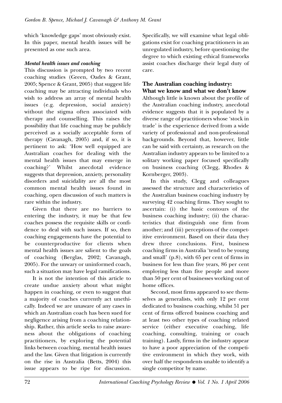which 'knowledge gaps' most obviously exist. In this paper, mental health issues will be presented as one such area.

#### **Mental health issues and coaching**

This discussion is prompted by two recent coaching studies (Green, Oades & Grant, 2005; Spence & Grant, 2005) that suggest life coaching may be attracting individuals who wish to address an array of mental health issues (e.g. depression, social anxiety) without the stigma often associated with therapy and counselling. This raises the possibility that life coaching may be publicly perceived as a socially acceptable form of therapy (Cavanagh, 2005) and, if so, it is pertinent to ask: 'How well equipped are Australian coaches for dealing with the mental health issues that may emerge in coaching?' Whilst anecdotal evidence suggests that depression, anxiety, personality disorders and suicidality are all the most common mental health issues found in coaching, open discussion of such matters is rare within the industry.

Given that there are no barriers to entering the industry, it may be that few coaches possess the requisite skills or confidence to deal with such issues. If so, then coaching engagements have the potential to be counterproductive for clients when mental health issues are salient to the goals of coaching (Berglas, 2002; Cavanagh, 2005). For the unwary or uninformed coach, such a situation may have legal ramifications.

It is not the intention of this article to create undue anxiety about what might happen in coaching, or even to suggest that a majority of coaches currently act unethically. Indeed we are unaware of any cases in which an Australian coach has been sued for negligence arising from a coaching relationship. Rather, this article seeks to raise awareness about the obligations of coaching practitioners, by exploring the potential links between coaching, mental health issues and the law. Given that litigation is currently on the rise in Australia (Betts, 2004) this issue appears to be ripe for discussion. Specifically, we will examine what legal obligations exist for coaching practitioners in an unregulated industry, before questioning the degree to which existing ethical frameworks assist coaches discharge their legal duty of care.

#### **The Australian coaching industry: What we know and what we don't know**

Although little is known about the profile of the Australian coaching industry, anecdotal evidence suggests that it is populated by a diverse range of practitioners whose 'stock in trade' is the experience derived from a wide variety of professional and non-professional backgrounds. Beyond that, however, little can be said with certainty, as research on the Australian industry appears to be limited to a solitary working paper focused specifically on business coaching (Clegg, Rhodes & Kornberger, 2003).

In this study, Clegg and colleagues assessed the structure and characteristics of the Australian business coaching industry by surveying 42 coaching firms. They sought to ascertain: (i) the basic contours of the business coaching industry; (ii) the characteristics that distinguish one firm from another; and (iii) perceptions of the competitive environment. Based on their data they drew three conclusions. First, business coaching firms in Australia 'tend to be young and small' (p.8), with 65 per cent of firms in business for less than five years, 86 per cent employing less than five people and more than 50 per cent of businesses working out of home offices.

Second, most firms appeared to see themselves as generalists, with only 12 per cent dedicated to business coaching, whilst 51 per cent of firms offered business coaching and at least two other types of coaching related service (either executive coaching, life coaching, consulting, training or coach training). Lastly, firms in the industry appear to have a poor appreciation of the competitive environment in which they work, with over half the respondents unable to identify a single competitor by name.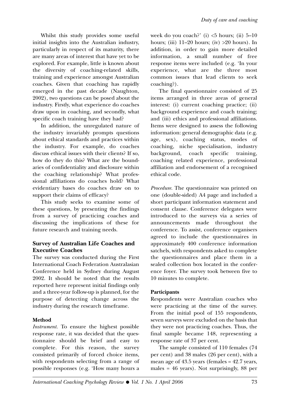Whilst this study provides some useful initial insights into the Australian industry, particularly in respect of its maturity, there are many areas of interest that have yet to be explored. For example, little is known about the diversity of coaching-related skills, training and experience amongst Australian coaches. Given that coaching has rapidly emerged in the past decade (Naughton, 2002), two questions can be posed about the industry. Firstly, what experience do coaches draw upon in coaching, and secondly, what specific coach training have they had?

In addition, the unregulated nature of the industry invariably prompts questions about ethical standards and practices within the industry. For example, do coaches discuss ethical issues with their clients? If so, how do they do this? What are the boundaries of confidentiality and disclosure within the coaching relationship? What professional affiliations do coaches hold? What evidentiary bases do coaches draw on to support their claims of efficacy?

This study seeks to examine some of these questions, by presenting the findings from a survey of practicing coaches and discussing the implications of these for future research and training needs.

#### **Survey of Australian Life Coaches and Executive Coaches**

The survey was conducted during the First International Coach Federation Australasian Conference held in Sydney during August 2002. It should be noted that the results reported here represent initial findings only and a three-year follow-up is planned, for the purpose of detecting change across the industry during the research timeframe.

#### **Method**

*Instrument.* To ensure the highest possible response rate, it was decided that the questionnaire should be brief and easy to complete. For this reason, the survey consisted primarily of forced choice items, with respondents selecting from a range of possible responses (e.g. 'How many hours a week do you coach?' (i)  $\leq 5$  hours; (ii)  $5-10$ hours; (iii)  $11-20$  hours; (iv)  $>20$  hours). In addition, in order to gain more detailed information, a small number of free response items were included (e.g. 'In your experience, what are the three most common issues that lead clients to seek coaching?).

The final questionnaire consisted of 25 items arranged in three areas of general interest: (i) current coaching practice; (ii) background experience and coach training; and (iii) ethics and professional affiliations. Items were designed to assess the following information: general demographic data (e.g. age, sex), coaching status, modes of coaching, niche specialisation, industry background, coach specific training, coaching related experience, professional affiliation and endorsement of a recognised ethical code.

*Procedure.* The questionnaire was printed on one (double-sided) A4 page and included a short participant information statement and consent clause. Conference delegates were introduced to the surveys via a series of announcements made throughout the conference. To assist, conference organisers agreed to include the questionnaires in approximately 400 conference information satchels, with respondents asked to complete the questionnaires and place them in a sealed collection box located in the conference foyer. The survey took between five to 10 minutes to complete.

#### **Participants**

Respondents were Australian coaches who were practicing at the time of the survey. From the initial pool of 155 respondents, seven surveys were excluded on the basis that they were not practicing coaches. Thus, the final sample became 148, representing a response rate of 37 per cent.

The sample consisted of 110 females (74 per cent) and 38 males (26 per cent), with a mean age of 43.5 years (females = 42.7 years, males = 46 years). Not surprisingly, 88 per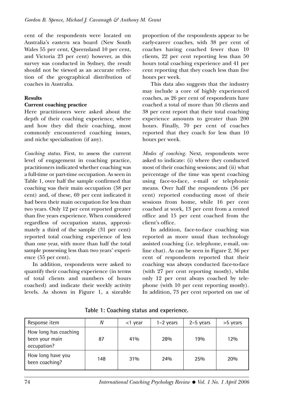cent of the respondents were located on Australia's eastern sea board (New South Wales 55 per cent, Queensland 10 per cent, and Victoria 23 per cent) however, as this survey was conducted in Sydney, the result should not be viewed as an accurate reflection of the geographical distribution of coaches in Australia.

#### **Results**

#### **Current coaching practice**

Here practitioners were asked about the depth of their coaching experience, where and how they did their coaching, most commonly encountered coaching issues, and niche specialisation (if any).

*Coaching status.* First, to assess the current level of engagement in coaching practice, practitioners indicated whether coaching was a full-time or part-time occupation. As seen in Table 1, over half the sample confirmed that coaching was their main occupation (58 per cent) and, of these, 69 per cent indicated it had been their main occupation for less than two years. Only 12 per cent reported greater than five years experience. When considered regardless of occupation status, approximately a third of the sample (31 per cent) reported total coaching experience of less than one year, with more than half the total sample possessing less than two years' experience (55 per cent).

In addition, respondents were asked to quantify their coaching experience (in terms of total clients and numbers of hours coached) and indicate their weekly activity levels. As shown in Figure 1, a sizeable proportion of the respondents appear to be early-career coaches, with 38 per cent of coaches having coached fewer than 10 clients, 22 per cent reporting less than 50 hours total coaching experience and 41 per cent reporting that they coach less than five hours per week.

This data also suggests that the industry may include a core of highly experienced coaches, as 26 per cent of respondents have coached a total of more than 50 clients and 38 per cent report that their total coaching experience amounts to greater than 200 hours. Finally, 70 per cent of coaches reported that they coach for less than 10 hours per week.

*Modes of coaching.* Next, respondents were asked to indicate: (i) where they conducted most of their coaching sessions; and (ii) what percentage of the time was spent coaching using face-to-face, e-mail or telephonic means. Over half the respondents (56 per cent) reported conducting most of their sessions from home, while 16 per cent coached at work, 13 per cent from a rented office and 15 per cent coached from the client's office.

In addition, face-to-face coaching was reported as more usual than technology assisted coaching (i.e. telephone, e-mail, online chat). As can be seen in Figure 2, 36 per cent of respondents reported that their coaching was always conducted face-to-face (with 27 per cent reporting mostly), whilst only 12 per cent always coached by telephone (with 10 per cent reporting mostly). In addition, 73 per cent reported on use of

| Response item                                          | Ν   | <1 year | $1-2$ years | 2-5 years | >5 years |
|--------------------------------------------------------|-----|---------|-------------|-----------|----------|
| How long has coaching<br>been your main<br>occupation? | 87  | 41%     | 28%         | 19%       | 12%      |
| How long have you<br>been coaching?                    | 148 | 31%     | 24%         | 25%       | 20%      |

**Table 1: Coaching status and experience.**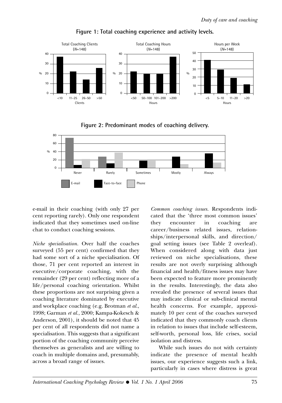

**Figure 1: Total coaching experience and activity levels.**

**Figure 2: Predominant modes of coaching delivery.**



e-mail in their coaching (with only 27 per cent reporting rarely). Only one respondent indicated that they sometimes used on-line chat to conduct coaching sessions.

*Niche specialisation.* Over half the coaches surveyed (55 per cent) confirmed that they had some sort of a niche specialisation. Of those, 71 per cent reported an interest in executive/corporate coaching, with the remainder (29 per cent) reflecting more of a life/personal coaching orientation. Whilst these proportions are not surprising given a coaching literature dominated by executive and workplace coaching (e.g. Brotman *et al.*, 1998; Garman *et al.*, 2000; Kampa-Kokesch & Anderson, 2001), it should be noted that 45 per cent of all respondents did not name a specialisation. This suggests that a significant portion of the coaching community perceive themselves as generalists and are willing to coach in multiple domains and, presumably, across a broad range of issues.

*Common coaching issues.* Respondents indicated that the 'three most common issues' they encounter in coaching are career/business related issues, relationships/interpersonal skills, and direction/ goal setting issues (see Table 2 overleaf). When considered along with data just reviewed on niche specialisations, these results are not overly surprising although financial and health/fitness issues may have been expected to feature more prominently in the results. Interestingly, the data also revealed the presence of several issues that may indicate clinical or sub-clinical mental health concerns. For example, approximately 10 per cent of the coaches surveyed indicated that they commonly coach clients in relation to issues that include self-esteem, self-worth, personal loss, life crises, social isolation and distress.

While such issues do not with certainty indicate the presence of mental health issues, our experience suggests such a link, particularly in cases where distress is great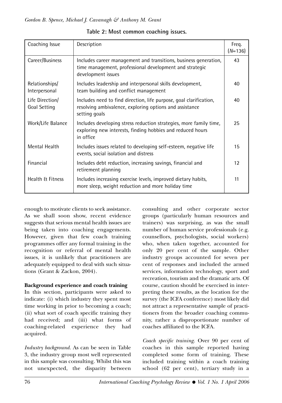| Coaching Issue                  | Description                                                                                                                                       | Freq.<br>$(N=136)$ |
|---------------------------------|---------------------------------------------------------------------------------------------------------------------------------------------------|--------------------|
| Career/Business                 | Includes career management and transitions, business generation,<br>time management, professional development and strategic<br>development issues | 43                 |
| Relationships/<br>Interpersonal | Includes leadership and interpersonal skills development,<br>team building and conflict management                                                | 40                 |
| Life Direction/<br>Goal Setting | Includes need to find direction, life purpose, goal clarification,<br>resolving ambivalence, exploring options and assistance<br>setting goals    | 40                 |
| Work/Life Balance               | Includes developing stress reduction strategies, more family time,<br>exploring new interests, finding hobbies and reduced hours<br>in office     | 25                 |
| Mental Health                   | Includes issues related to developing self-esteem, negative life<br>events, social isolation and distress                                         | 15                 |
| Financial                       | Includes debt reduction, increasing savings, financial and<br>retirement planning                                                                 | 12                 |
| Health & Fitness                | Includes increasing exercise levels, improved dietary habits,<br>more sleep, weight reduction and more holiday time                               | 11                 |

**Table 2: Most common coaching issues.**

enough to motivate clients to seek assistance. As we shall soon show, recent evidence suggests that serious mental health issues are being taken into coaching engagements. However, given that few coach training programmes offer any formal training in the recognition or referral of mental health issues, it is unlikely that practitioners are adequately equipped to deal with such situations (Grant & Zackon, 2004).

#### **Background experience and coach training**

In this section, participants were asked to indicate: (i) which industry they spent most time working in prior to becoming a coach; (ii) what sort of coach specific training they had received; and (iii) what forms of coaching-related experience they had acquired.

*Industry background.* As can be seen in Table 3, the industry group most well represented in this sample was consulting. Whilst this was not unexpected, the disparity between consulting and other corporate sector groups (particularly human resources and trainers) was surprising, as was the small number of human service professionals (e.g. counsellors, psychologists, social workers) who, when taken together, accounted for only 20 per cent of the sample. Other industry groups accounted for seven per cent of responses and included the armed services, information technology, sport and recreation, tourism and the dramatic arts. Of course, caution should be exercised in interpreting these results, as the location for the survey (the ICFA conference) most likely did not attract a representative sample of practitioners from the broader coaching community, rather a disproportionate number of coaches affiliated to the ICFA.

*Coach specific training.* Over 90 per cent of coaches in this sample reported having completed some form of training. These included training within a coach training school (62 per cent), tertiary study in a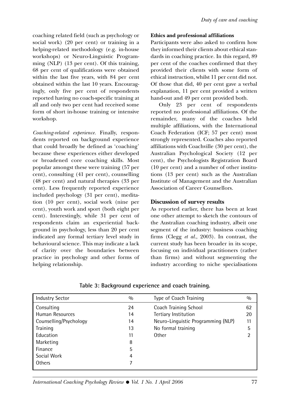coaching related field (such as psychology or social work) (20 per cent) or training in a helping-related methodology (e.g. in-house workshops) or Neuro-Linguistic Programming (NLP) (13 per cent). Of this training, 68 per cent of qualifications were obtained within the last five years, with 84 per cent obtained within the last 10 years. Encouragingly, only five per cent of respondents reported having no coach-specific training at all and only two per cent had received some form of short in-house training or intensive workshop.

*Coaching-related experience.* Finally, respondents reported on background experience that could broadly be defined as 'coaching' because these experiences either developed or broadened core coaching skills. Most popular amongst these were training (57 per cent), consulting (41 per cent), counselling (48 per cent) and natural therapies (33 per cent). Less frequently reported experience included psychology (31 per cent), meditation (10 per cent), social work (nine per cent), youth work and sport (both eight per cent). Interestingly, while 31 per cent of respondents claim an experiential background in psychology, less than 20 per cent indicated any formal tertiary level study in behavioural science. This may indicate a lack of clarity over the boundaries between practice in psychology and other forms of helping relationship.

#### **Ethics and professional affiliations**

Participants were also asked to confirm how they informed their clients about ethical standards in coaching practice. In this regard, 89 per cent of the coaches confirmed that they provided their clients with some form of ethical instruction, whilst 11 per cent did not. Of those that did, 40 per cent gave a verbal explanation, 11 per cent provided a written hand-out and 49 per cent provided both.

Only 23 per cent of respondents reported no professional affiliations. Of the remainder, many of the coaches held multiple affiliations, with the International Coach Federation (ICF; 57 per cent) most strongly represented. Coaches also reported affiliations with Coachville (30 per cent), the Australian Psychological Society (12 per cent), the Psychologists Registration Board (10 per cent) and a number of other institutions (13 per cent) such as the Australian Institute of Management and the Australian Association of Career Counsellors.

#### **Discussion of survey results**

As reported earlier, there has been at least one other attempt to sketch the contours of the Australian coaching industry, albeit one segment of the industry: business coaching firms (Clegg *et al.*, 2003). In contrast, the current study has been broader in its scope, focusing on individual practitioners (rather than firms) and without segmenting the industry according to niche specialisations

| <b>Industry Sector</b> | 0/0 | Type of Coach Training             | $\frac{0}{0}$ |
|------------------------|-----|------------------------------------|---------------|
| Consulting             | 24  | Coach Training School              |               |
| Human Resources        | 14  | Tertiary Institution               | 20            |
| Counselling/Psychology | 14  | Neuro-Linguistic Programming (NLP) | 11            |
| Training               | 13  | No formal training                 | 5             |
| Education              | 11  | Other                              |               |
| Marketing              | 8   |                                    |               |
| Finance                | 5   |                                    |               |
| Social Work            | 4   |                                    |               |
| Others                 |     |                                    |               |

**Table 3: Background experience and coach training.**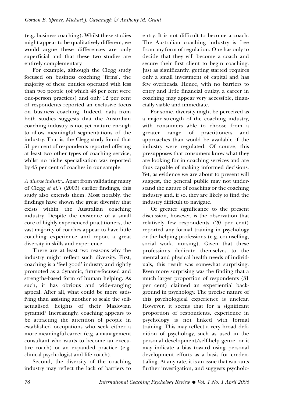(e.g. business coaching). Whilst these studies might appear to be qualitatively different, we would argue these differences are only superficial and that these two studies are entirely complementary.

For example, although the Clegg study focused on business coaching 'firms', the majority of these entities operated with less than two people (of which 48 per cent were one-person practices) and only 12 per cent of respondents reported an exclusive focus on business coaching. Indeed, data from both studies suggests that the Australian coaching industry is not yet mature enough to allow meaningful segmentations of the industry. That is, the Clegg study found that 51 per cent of respondents reported offering at least two other types of coaching service, whilst no niche specialisation was reported by 45 per cent of coaches in our sample.

*A diverse industry.* Apart from validating many of Clegg *et al.*'s (2003) earlier findings, this study also extends them. Most notably, the findings have shown the great diversity that exists within the Australian coaching industry. Despite the existence of a small core of highly experienced practitioners, the vast majority of coaches appear to have little coaching experience and report a great diversity in skills and experience.

There are at least two reasons why the industry might reflect such diversity. First, coaching is a 'feel good' industry and rightly promoted as a dynamic, future-focused and strengths-based form of human helping. As such, it has obvious and wide-ranging appeal. After all, what could be more satisfying than assisting another to scale the selfactualised heights of their Maslovian pyramid? Increasingly, coaching appears to be attracting the attention of people in established occupations who seek either a more meaningful career (e.g. a management consultant who wants to become an executive coach) or an expanded practice (e.g. clinical psychologist and life coach).

Second, the diversity of the coaching industry may reflect the lack of barriers to entry. It is not difficult to become a coach. The Australian coaching industry is free from any form of regulation. One has only to decide that they will become a coach and secure their first client to begin coaching. Just as significantly, getting started requires only a small investment of capital and has few overheads. Hence, with no barriers to entry and little financial outlay, a career in coaching may appear very accessible, financially viable and immediate.

For some, diversity might be perceived as a major strength of the coaching industry, with consumers able to choose from a greater range of practitioners and approaches than would be available if the industry were regulated. Of course, this presupposes that consumers know what they are looking for in coaching services and are thus capable of making informed decisions. Yet, as evidence we are about to present will suggest, the general public may not understand the nature of coaching or the coaching industry and, if so, they are likely to find the industry difficult to navigate.

Of greater significance to the present discussion, however, is the observation that relatively few respondents (20 per cent) reported any formal training in psychology or the helping professions (e.g. counselling, social work, nursing). Given that these professions dedicate themselves to the mental and physical health needs of individuals, this result was somewhat surprising. Even more surprising was the finding that a much larger proportion of respondents (31 per cent) claimed an experiential background in psychology. The precise nature of this psychological experience is unclear. However, it seems that for a significant proportion of respondents, experience in psychology is not linked with formal training. This may reflect a very broad definition of psychology, such as used in the personal development/self-help genre, or it may indicate a bias toward using personal development efforts as a basis for credentialing. At any rate, it is an issue that warrants further investigation, and suggests psycholo-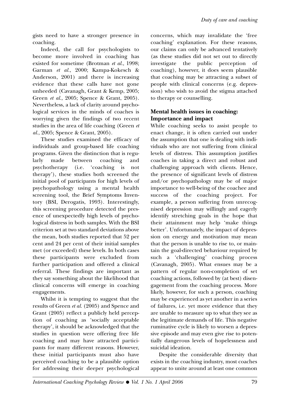gists need to have a stronger presence in coaching.

Indeed, the call for psychologists to become more involved in coaching has existed for sometime (Brotman *et al.*, 1998; Garman *et al.*, 2000; Kampa-Kokesch & Anderson, 2001) and there is increasing evidence that these calls have not gone unheeded (Cavanagh, Grant & Kemp, 2005; Green *et al.*, 2005; Spence & Grant, 2005). Nevertheless, a lack of clarity around psychological services in the minds of coaches is worrying given the findings of two recent studies in the area of life coaching (Green *et al.*, 2005; Spence & Grant, 2005).

These studies examined the efficacy of individuals and group-based life coaching programs. Given the distinction that is regularly made between coaching and psychotherapy (i.e. 'coaching is not therapy'), these studies both screened the initial pool of participants for high levels of psychopathology using a mental health screening tool, the Brief Symptoms Inventory (BSI, Derogatis, 1993). Interestingly, this screening procedure detected the presence of unexpectedly high levels of psychological distress in both samples. With the BSI criterion set at two standard deviations above the mean, both studies reported that 52 per cent and 24 per cent of their initial samples met (or exceeded) these levels. In both cases these participants were excluded from further participation and offered a clinical referral. These findings are important as they say something about the likelihood that clinical concerns will emerge in coaching engagements.

Whilst it is tempting to suggest that the results of Green *et al.* (2005) and Spence and Grant (2005) reflect a publicly held perception of coaching as 'socially acceptable therapy', it should be acknowledged that the studies in question were offering free life coaching and may have attracted participants for many different reasons. However, these initial participants must also have perceived coaching to be a plausible option for addressing their deeper psychological concerns, which may invalidate the 'free coaching' explanation. For these reasons, our claims can only be advanced tentatively (as these studies did not set out to directly investigate the public perception of coaching), however, it does seem plausible that coaching may be attracting a subset of people with clinical concerns (e.g. depression) who wish to avoid the stigma attached to therapy or counselling.

#### **Mental health issues in coaching: Importance and impact**

While coaching seeks to assist people to enact change, it is often carried out under the assumption that one is dealing with individuals who are not suffering from clinical levels of distress. This assumption justifies coaches in taking a direct and robust and challenging approach with clients. Hence, the presence of significant levels of distress and/or psychopathology may be of major importance to well-being of the coachee and success of the coaching project. For example, a person suffering from unrecognised depression may willingly and eagerly identify stretching goals in the hope that their attainment may help 'make things better'. Unfortunately, the impact of depression on energy and motivation may mean that the person is unable to rise to, or maintain the goal-directed behaviour required by such a 'challenging' coaching process (Cavanagh, 2005). What ensues may be a pattern of regular non-completion of set coaching actions, followed by (at best) disengagement from the coaching process. More likely, however, for such a person, coaching may be experienced as yet another in a series of failures, i.e. yet more evidence that they are unable to measure up to what they see as the legitimate demands of life. This negative ruminative cycle is likely to worsen a depressive episode and may even give rise to potentially dangerous levels of hopelessness and suicidal ideation.

Despite the considerable diversity that exists in the coaching industry, most coaches appear to unite around at least one common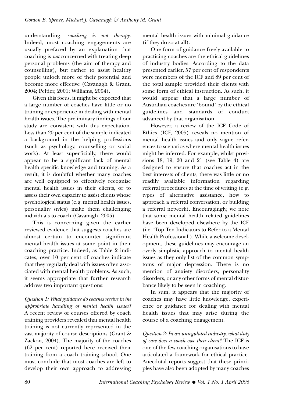understanding: *coaching is not therapy*. Indeed, most coaching engagements are usually prefaced by an explanation that coaching is *not* concerned with treating deep personal problems (the aim of therapy and counselling), but rather to assist healthy people unlock more of their potential and become more effective (Cavanagh & Grant, 2004; Peltier, 2001; Williams, 2004).

Given this focus, it might be expected that a large number of coaches have little or no training or experience in dealing with mental health issues. The preliminary findings of our study are consistent with this expectation. Less than 20 per cent of the sample indicated a background in the helping professions (such as psychology, counselling or social work). At least superficially, there would appear to be a significant lack of mental health specific knowledge and training. As a result, it is doubtful whether many coaches are well equipped to effectively recognise mental health issues in their clients, or to assess their own capacity to assist clients whose psychological status (e.g. mental health issues, personality styles) make them challenging individuals to coach (Cavanagh, 2005).

This is concerning given the earlier reviewed evidence that suggests coaches are almost certain to encounter significant mental health issues at some point in their coaching practice. Indeed, as Table 2 indicates, over 10 per cent of coaches indicate that they regularly deal with issues often associated with mental health problems. As such, it seems appropriate that further research address two important questions:

*Question 1: What guidance do coaches receive in the appropriate handling of mental health issues?* A recent review of courses offered by coach training providers revealed that mental health training is not currently represented in the vast majority of course descriptions (Grant & Zackon, 2004). The majority of the coaches (62 per cent) reported here received their training from a coach training school. One must conclude that most coaches are left to develop their own approach to addressing

mental health issues with minimal guidance (if they do so at all).

One form of guidance freely available to practicing coaches are the ethical guidelines of industry bodies. According to the data presented earlier, 57 per cent of respondents were members of the ICF and 89 per cent of the total sample provided their clients with some form of ethical instruction. As such, it would appear that a large number of Australian coaches are 'bound' by the ethical guidelines and standards of conduct advanced by that organisation.

However, a review of the ICF Code of Ethics (ICF, 2005) reveals no mention of mental health issues and only vague references to scenarios where mental health issues might be inferred. For example, whilst provisions 18, 19, 20 and 21 (see Table 4) are designed to ensure that coaches act in the best interests of clients, there was little or no readily available information regarding referral procedures at the time of writing (e.g. types of alternative assistance, how to approach a referral conversation, or building a referral network). Encouragingly, we note that some mental health related guidelines have been developed elsewhere by the ICF (i.e. 'Top Ten Indicators to Refer to a Mental Health Professional'). While a welcome development, these guidelines may encourage an overly simplistic approach to mental health issues as they only list of the common symptoms of major depression. There is no mention of anxiety disorders, personality disorders, or any other forms of mental disturbance likely to be seen in coaching.

In sum, it appears that the majority of coaches may have little knowledge, experience or guidance for dealing with mental health issues that may arise during the course of a coaching engagement.

*Question 2: In an unregulated industry, what duty of care does a coach owe their client?* The ICF is one of the few coaching organisations to have articulated a framework for ethical practice. Anecdotal reports suggest that these principles have also been adopted by many coaches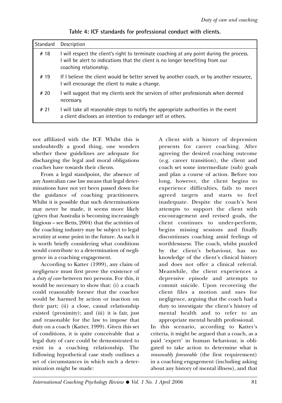| Standard | Description                                                                                                                                                                                           |
|----------|-------------------------------------------------------------------------------------------------------------------------------------------------------------------------------------------------------|
| # 18     | I will respect the client's right to terminate coaching at any point during the process.<br>I will be alert to indications that the client is no longer benefiting from our<br>coaching relationship. |
| #19      | If I believe the client would be better served by another coach, or by another resource,<br>I will encourage the client to make a change.                                                             |
| #20      | I will suggest that my clients seek the services of other professionals when deemed<br>necessary.                                                                                                     |
| #21      | I will take all reasonable steps to notify the appropriate authorities in the event<br>a client discloses an intention to endanger self or others.                                                    |

**Table 4: ICF standards for professional conduct with clients.**

not affiliated with the ICF. Whilst this is undoubtedly a good thing, one wonders whether these guidelines are adequate for discharging the legal and moral obligations coaches have towards their clients.

From a legal standpoint, the absence of any Australian case law means that legal determinations have not yet been passed down for the guidance of coaching practitioners. Whilst it is possible that such determinations may never be made, it seems more likely (given that Australia is becoming increasingly litigious – see Betts, 2004) that the activities of the coaching industry may be subject to legal scrutiny at some point in the future. As such it is worth briefly considering what conditions would contribute to a determination of negligence in a coaching engagement.

According to Katter (1999), any claim of negligence must first prove the existence of a *duty of care* between two persons. For this, it would be necessary to show that: (i) a coach could reasonably foresee that the coachee would be harmed by action or inaction on their part; (ii) a close, causal relationship existed (proximity); and (iii) it is fair, just and reasonable for the law to impose that duty on a coach (Katter, 1999). Given this set of conditions, it is quite conceivable that a legal duty of care could be demonstrated to exist in a coaching relationship. The following hypothetical case study outlines a set of circumstances in which such a determination might be made:

A client with a history of depression presents for career coaching. After agreeing the desired coaching outcome (e.g. career transition), the client and coach set some intermediate (sub) goals and plan a course of action. Before too long, however, the client begins to experience difficulties, fails to meet agreed targets and starts to feel inadequate. Despite the coach's best attempts to support the client with encouragement and revised goals, the client continues to under-perform, begins missing sessions and finally discontinues coaching amid feelings of worthlessness. The coach, whilst puzzled by the client's behaviour, has no knowledge of the client's clinical history and does not offer a clinical referral. Meanwhile, the client experiences a depressive episode and attempts to commit suicide. Upon recovering the client files a motion and sues for negligence, arguing that the coach had a duty to investigate the client's history of mental health and to refer to an appropriate mental health professional.

In this scenario, according to Katter's criteria, it might be argued that a coach, as a paid 'expert' in human behaviour, is obligated to take action to determine what is *reasonably foreseeable* (the first requirement) in a coaching engagement (including asking about any history of mental illness), and that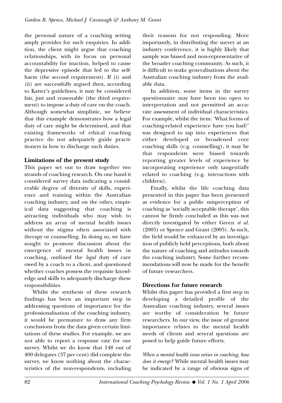the personal nature of a coaching setting amply provides for such enquiries. In addition, the client might argue that coaching relationships, with its focus on personal accountability for inaction, helped to cause the depressive episode that led to the selfharm (the second requirement). If (i) and (ii) are successfully argued then, according to Katter's guidelines, it may be considered fair, just and reasonable (the third requirement) to impose a duty of care on the coach. Although somewhat simplistic, we believe that this example demonstrates how a legal duty of care might be determined, and that existing frameworks of ethical coaching practice do not adequately guide practitioners in how to discharge such duties.

#### **Limitations of the present study**

This paper set out to draw together two strands of coaching research. On one hand it considered survey data indicating a considerable degree of diversity of skills, experience and training within the Australian coaching industry, and on the other, empirical data suggesting that coaching is attracting individuals who may wish to address an array of mental health issues without the stigma often associated with therapy or counselling. In doing so, we have sought to promote discussion about the emergence of mental health issues in coaching, outlined the *legal* duty of care owed by a coach to a client, and questioned whether coaches possess the requisite knowledge and skills to adequately discharge these responsibilities.

Whilst the synthesis of these research findings has been an important step in addressing questions of importance for the professionalisation of the coaching industry, it would be premature to draw any firm conclusions from the data given certain limitations of these studies. For example, we are not able to report a response rate for our survey. Whilst we do know that 148 out of 400 delegates (37 per cent) did complete the survey, we know nothing about the characteristics of the non-respondents, including their reasons for not responding. More importantly, in distributing the survey at an industry conference, it is highly likely that sample was biased and non-representative of the broader coaching community. As such, it is difficult to make generalisations about the Australian coaching industry from the available data.

In addition, some items in the survey questionnaire may have been too open to interpretation and not permitted an accurate assessment of individual characteristics. For example, whilst the item: 'What forms of coaching-related experience have you had?' was designed to tap into experiences that either developed or broadened core coaching skills (e.g. counselling), it may be that respondents were biased towards reporting greater levels of experience by incorporating experience only tangentially related to coaching (e.g. interactions with children).

Finally, whilst the life coaching data presented in this paper has been presented as evidence for a public misperception of coaching as 'socially acceptable therapy', this cannot be firmly concluded as this was not directly investigated by either Green *et al.* (2005) or Spence and Grant (2005). As such, the field would be enhanced by an investigation of publicly held perceptions, both about the nature of coaching and attitudes towards the coaching industry. Some further recommendations will now be made for the benefit of future researchers.

#### **Directions for future research**

Whilst this paper has provided a first step in developing a detailed profile of the Australian coaching industry, several issues are worthy of consideration by future researchers. In our view, the issue of greatest importance relates to the mental health needs of clients and several questions are posed to help guide future efforts.

*When a mental health issue arises in coaching, how does it emerge?* While mental health issues may be indicated by a range of obvious signs of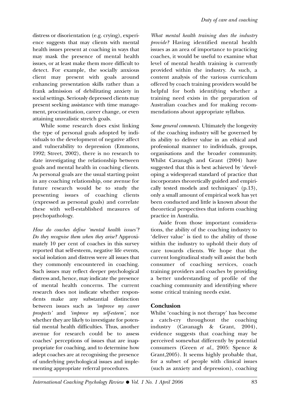distress or disorientation (e.g. crying), experience suggests that may clients with mental health issues present at coaching in ways that may mask the presence of mental health issues, or at least make them more difficult to detect. For example, the socially anxious client may present with goals around enhancing presentation skills rather than a frank admission of debilitating anxiety in social settings. Seriously depressed clients may present seeking assistance with time management, procrastination, career change, or even attaining unrealistic stretch goals.

While some research does exist linking the type of personal goals adopted by individuals to the development of negative affect and vulnerability to depression (Emmons, 1992; Street, 2002), there is no research to date investigating the relationship between goals and mental health in coaching clients. As personal goals are the usual starting point in any coaching relationship, one avenue for future research would be to study the presenting issues of coaching clients (expressed as personal goals) and correlate these with well-established measures of psychopathology.

*How do coaches define 'mental health issues'? Do they recognise them when they arise?* Approximately 10 per cent of coaches in this survey reported that self-esteem, negative life events, social isolation and distress were all issues that they commonly encountered in coaching. Such issues may reflect deeper psychological distress and, hence, may indicate the presence of mental health concerns. The current research does not indicate whether respondents make any substantial distinction between issues such as *'improve my career prospects'* and *'improve my self-esteem'*, nor whether they are likely to investigate for potential mental health difficulties. Thus, another avenue for research could be to assess coaches' perceptions of issues that are inappropriate for coaching, and to determine how adept coaches are at recognising the presence of underlying psychological issues and implementing appropriate referral procedures.

*What mental health training does the industry provide?* Having identified mental health issues as an area of importance to practicing coaches, it would be useful to examine what level of mental health training is currently provided within the industry. As such, a content analysis of the various curriculum offered by coach training providers would be helpful for both identifying whether a training need exists in the preparation of Australian coaches and for making recommendations about appropriate syllabus.

*Some general comments.* Ultimately the longevity of the coaching industry will be governed by its ability to deliver value in an ethical and professional manner to individuals, groups, organisations and the broader community. Whilst Cavanagh and Grant (2004) have suggested that this is best achieved by 'developing a widespread standard of practice that incorporates theoretically guided and empirically tested models and techniques' (p.13), only a small amount of empirical work has yet been conducted and little is known about the theoretical perspectives that inform coaching practice in Australia.

Aside from those important considerations, the ability of the coaching industry to 'deliver value' is tied to the ability of those within the industry to uphold their duty of care towards clients. We hope that the current longitudinal study will assist the both consumer of coaching services, coach training providers and coaches by providing a better understanding of profile of the coaching community and identifying where some critical training needs exist.

#### **Conclusion**

Whilst 'coaching is not therapy' has become a catch-cry throughout the coaching industry (Cavanagh & Grant, 2004), evidence suggests that coaching may be perceived somewhat differently by potential consumers (Green *et al.*, 2005: Spence & Grant,2005). It seems highly probable that, for a subset of people with clinical issues (such as anxiety and depression), coaching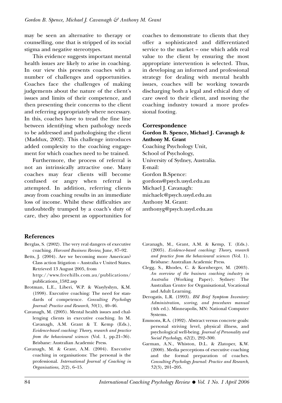may be seen an alternative to therapy or counselling, one that is stripped of its social stigma and negative stereotypes.

This evidence suggests important mental health issues are likely to arise in coaching. In our view this presents coaches with a number of challenges and opportunities. Coaches face the challenges of making judgements about the nature of the client's issues and limits of their competence, and then presenting their concerns to the client and referring appropriately where necessary. In this, coaches have to tread the fine line between identifying when pathology needs to be addressed and pathologising the client (Maddux, 2002). This challenge introduces added complexity to the coaching engagement for which coaches need to be trained.

Furthermore, the process of referral is not an intrinsically attractive one. Many coaches may fear clients will become confused or angry when referral is attempted. In addition, referring clients away from coaching results in an immediate loss of income. Whilst these difficulties are undoubtedly trumped by a coach's duty of care, they also present as opportunities for

**References**

- Berglas, S. (2002). The very real dangers of executive coaching. *Harvard Business Review,* June, 87–92.
- Betts, J. (2004). Are we becoming more American? Class action litigation – Australia v United States. Retrieved 13 August 2005, from http://www.freehills.com.au/publications/ publications\_1582.asp
- Brotman, L.E., Liberi, W.P. & Wasylyshyn, K.M. (1998). Executive coaching: The need for standards of competence. *Consulting Psychology Journal: Practice and Research, 50*(1), 40–46.
- Cavanagh, M. (2005). Mental health issues and challenging clients in executive coaching. In M. Cavanagh, A.M. Grant & T. Kemp (Eds.), *Evidence-based coaching: Theory, research and practice from the behavioural sciences* (Vol. 1, pp.21–36). Brisbane: Australian Academic Press.
- Cavanagh, M. & Grant, A.M. (2004). Executive coaching in organisations: The personal is the professional. *International Journal of Coaching in Organisations, 2*(2), 6–15.

coaches to demonstrate to clients that they offer a sophisticated and differentiated service to the market – one which adds real value to the client by ensuring the most appropriate intervention is selected. Thus, in developing an informed and professional strategy for dealing with mental health issues, coaches will be working towards discharging both a legal and ethical duty of care owed to their client, and moving the coaching industry toward a more professional footing.

#### **Correspondence**

**Gordon B. Spence, Michael J. Cavanagh & Anthony M. Grant** Coaching Psychology Unit, School of Psychology, University of Sydney, Australia. E-mail: Gordon B.Spence: gordons@psych.usyd.edu.au Michael J. Cavanagh: michaelc@psych.usyd.edu.au Anthony M. Grant: anthonyg@psych.usyd.edu.au

- Cavanagh, M., Grant, A.M. & Kemp, T. (Eds.). (2005). *Evidence-based coaching: Theory, research and practice from the behavioural sciences* (Vol. 1). Brisbane: Australian Academic Press.
- Clegg, S., Rhodes, C. & Kornberger, M. (2003). *An overview of the business coaching industry in Australia* (Working Paper). Sydney: The Australian Centre for Organisational, Vocational and Adult Learning.
- Derogatis, L.R. (1993). *BSI Brief Symptom Inventory: Administration, scoring, and procedures manual*  (4th ed.). Minneapolis, MN: National Computer Systems.
- Emmons, R.A. (1992). Abstract versus concrete goals: personal striving level, physical illness, and psychological well-being. *Journal of Personality and Social Psychology, 62*(2), 292–300.
- Garman, A.N., Whiston, D.L. & Zlatoper, K.W. (2000). Media perceptions of executive coaching and the formal preparation of coaches. *Consulting Psychology Journal: Practice and Research, 52*(3), 201–205.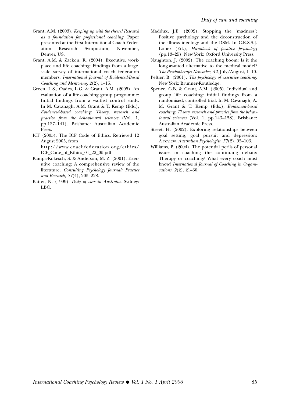- Grant, A.M. (2003). *Keeping up with the cheese! Research as a foundation for professional coaching.* Paper presented at the First International Coach Feder-<br>ation Research Symposium, November, ation Research Symposium, Denver, US.
- Grant, A.M. & Zackon, R. (2004). Executive, workplace and life coaching: Findings from a largescale survey of international coach federation members. *International Journal of Evidenced-Based Coaching and Mentoring, 2*(2), 1–15.
- Green, L.S., Oades, L.G. & Grant, A.M. (2005). An evaluation of a life-coaching group programme: Initial findings from a waitlist control study. In M. Cavanagh, A.M. Grant & T. Kemp (Eds.), *Evidenced-based coaching: Theory, research and practice from the behavioural sciences* (Vol. 1, pp.127–141). Brisbane: Australian Academic Press.
- ICF (2005). The ICF Code of Ethics. Retrieved 12 August 2005, from http://www.coachfederation.org/ethics/ ICF\_Code\_of\_Ethics\_01\_22\_05.pdf
- Kampa-Kokesch, S. & Anderson, M. Z. (2001). Executive coaching: A comprehensive review of the literature. *Consulting Psychology Journal: Practice and Research, 53*(4), 205–228.
- Katter, N. (1999). *Duty of care in Australia.* Sydney: LBC.
- Maddux, J.E. (2002). Stopping the 'madness': Positive psychology and the deconstruction of the illness ideology and the DSM. In C.R.S.S.J. Lopez (Ed.), *Handbook of positive psychology* (pp.13–25). New York: Oxford University Press.
- Naughton, J. (2002). The coaching boom: Is it the long-awaited alternative to the medical model? *The Psychotherapy Networker, 42*, July/August, 1–10.
- Peltier, B. (2001). *The psychology of executive coaching.* New York: Brunner-Routledge.
- Spence, G.B. & Grant, A.M. (2005). Individual and group life coaching: initial findings from a randomised, controlled trial. In M. Cavanagh, A. M. Grant & T. Kemp (Eds.), *Evidenced-based coaching: Theory, research and practice from the behavioural sciences* (Vol. 1, pp.143–158). Brisbane: Australian Academic Press.
- Street, H. (2002). Exploring relationships between goal setting, goal pursuit and depression: A review. *Australian Psychologist, 37*(2), 95–103.
- Williams, P. (2004). The potential perils of personal issues in coaching the continuing debate: Therapy or coaching? What every coach must know! *International Journal of Coaching in Organisations, 2*(2), 21–30.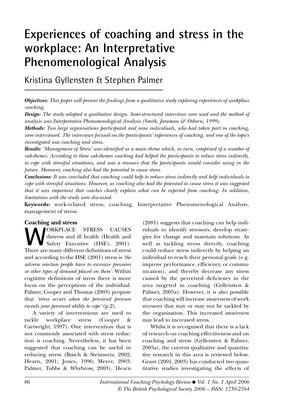# **Experiences of coaching and stress in the workplace: An Interpretative Phenomenological Analysis**

Kristina Gyllensten & Stephen Palmer

**Objectives:** *This paper will present the findings from a qualitative study exploring experiences of workplace coaching.*

**Design:** *The study adopted a qualitative design. Semi-structured interviews were used and the method of analysis was Interpretative Phenomenological Analysis (Smith, Jaraman & Osborn, 1999).* 

**Methods:** *Two large organisations participated and nine individuals, who had taken part in coaching, were interviewed. The interviews focused on the participants' experiences of coaching, and one of the topics investigated was coaching and stress.* 

**Results:** *'Management of Stress' was identified as a main theme which, in turn, comprised of a number of sub-themes. According to these sub-themes coaching had helped the participants to reduce stress indirectly, to cope with stressful situations, and was a resource that the participants would consider using in the future. Moreover, coaching also had the potential to cause stress.* 

**Conclusions:** *It was concluded that coaching could help to reduce stress indirectly and help individuals to cope with stressful situations. However, as coaching also had the potential to cause stress it was suggested that it was important that coaches clearly explain what can be expected from coaching. In addition, limitations with the study were discussed.* 

**Keywords:** work-related stress, coaching, Interpretative Phenomenological Analysis, management of stress.

#### **Coaching and stress**

**WE**ORKPLACE STRESS CAUSES<br>
Safety Executive (HSE), 2001).<br>
There are many different definitions of stress distress and ill health (Health and There are many different definitions of stress and according to the HSE (2001) stress is *'the adverse reaction people have to excessive pressures or other types of demand placed on them'.* Within cognitive definitions of stress there is more focus on the perceptions of the individual. Palmer, Cooper and Thomas (2003) propose that *'stress occurs when the perceived pressure exceeds your perceived ability to cope'* (p.2).

A variety of interventions are used to tackle workplace stress (Cooper & Cartwright, 1997). One intervention that is not commonly associated with stress reduction is coaching. Nevertheless, it has been suggested that coaching can be useful in reducing stress (Busch & Steinmetz, 2002; Hearn, 2001; Jones, 1996; Meyer, 2003; Palmer, Tubbs & Whybrow, 2003). Hearn

(2001) suggests that coaching can help individuals to identify stressors, develop strategies for change and maintain solutions. As well as tackling stress directly, coaching could reduce stress indirectly by helping an individual to reach their personal goals (e.g. improve performance, efficiency, or communication), and thereby decrease any stress caused by the perceived deficiency in the area targeted in coaching (Gyllensten & Palmer, 2005a). However, it is also possible that coaching will increase awareness of work stressors that may or may not be tackled by the organisation. This increased awareness may lead to increased stress.

Whilst it is recognised that there is a lack of research on coaching effectiveness and on coaching and stress (Gyllensten & Palmer, 2005a), the current qualitative and quantitative research in this area is reviewed below. Grant (2001, 2003) has conducted two quantitative studies investigating the effects of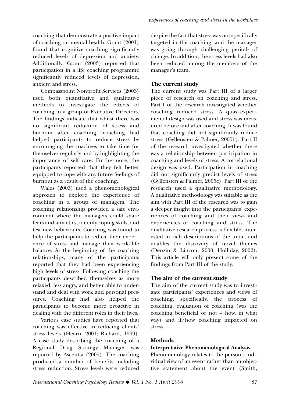coaching that demonstrate a positive impact of coaching on mental health. Grant (2001) found that cognitive coaching significantly reduced levels of depression and anxiety. Additionally, Grant (2003) reported that participation in a life coaching programme significantly reduced levels of depression, anxiety, and stress.

Compasspoint Nonprofit Services (2003) used both quantitative and qualitative methods to investigate the effects of coaching in a group of Executive Directors. The findings indicate that whilst there was no significant reduction of stress and burnout after coaching, coaching had helped participants to reduce stress by encouraging the coachees to take time for themselves regularly and by highlighting the importance of self care. Furthermore, the participants reported that they felt better equipped to cope with any future feelings of burnout as a result of the coaching.

Wales (2003) used a phenomenological approach to explore the experience of coaching in a group of managers. The coaching relationship provided a safe environment where the managers could share fears and anxieties, identify coping skills, and test new behaviours. Coaching was found to help the participants to reduce their experience of stress and manage their work/life balance. At the beginning of the coaching relationships, many of the participants reported that they had been experiencing high levels of stress. Following coaching the participants described themselves as more relaxed, less angry, and better able to understand and deal with work and personal pressures. Coaching had also helped the participants to become more proactive in dealing with the different roles in their lives.

Various case studies have reported that coaching was effective in reducing clients' stress levels (Hearn, 2001; Richard, 1999). A case study describing the coaching of a Regional Drug Strategy Manager was reported by Ascentia (2005). The coaching produced a number of benefits including stress reduction. Stress levels were reduced despite the fact that stress was not specifically targeted in the coaching, and the manager was going through challenging periods of change. In addition, the stress levels had also been reduced among the members of the manager's team.

#### **The current study**

The current study was Part III of a larger piece of research on coaching and stress. Part I of the research investigated whether coaching reduced stress. A quasi-experimental design was used and stress was measured before and after coaching. It was found that coaching did not significantly reduce stress (Gyllensten & Palmer, 2005b). Part II of the research investigated whether there was a relationship between participation in coaching and levels of stress. A correlational design was used. Participation in coaching did not significantly predict levels of stress (Gyllensten & Palmer, 2005c). Part III of the research used a qualitative methodology. A qualitative methodology was suitable as the aim with Part III of the research was to gain a deeper insight into the participants' experiences of coaching and their views and experiences of coaching and stress. The qualitative research process is flexible, interested in rich descriptions of the topic, and enables the discovery of novel themes (Denzin & Lincon, 2000; Holliday, 2002). This article will only present some of the findings from Part III of the study.

#### **The aim of the current study**

The aim of the current study was to investigate participants' experiences and views of coaching, specifically, the process of coaching, evaluation of coaching (was the coaching beneficial or not – how, in what way) and if/how coaching impacted on stress.

#### **Methods**

#### **Interpretative Phenomenological Analysis**

Phenomenology relates to the person's individual view of an event rather than an objective statement about the event (Smith,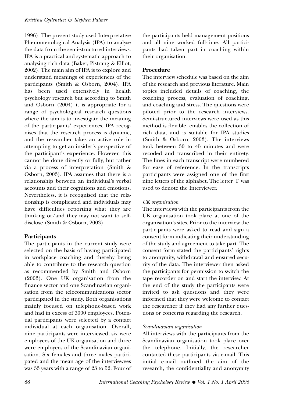1996). The present study used Interpretative Phenomenological Analysis (IPA) to analyse the data from the semi-structured interviews. IPA is a practical and systematic approach to analysing rich data (Baker, Pistrang & Elliot, 2002). The main aim of IPA is to explore and understand meanings of experiences of the participants (Smith & Osborn, 2004). IPA has been used extensively in health psychology research but according to Smith and Osborn (2004) it is appropriate for a range of psychological research questions where the aim is to investigate the meaning of the participants' experiences. IPA recognises that the research process is dynamic, and the researcher takes an active role in attempting to get an insider's perspective of the participant's experience. However, this cannot be done directly or fully, but rather via a process of interpretation (Smith & Osborn, 2003). IPA assumes that there is a relationship between an individual's verbal accounts and their cognitions and emotions. Nevertheless, it is recognised that the relationship is complicated and individuals may have difficulties reporting what they are thinking or/and they may not want to selfdisclose (Smith & Osborn, 2003).

#### **Participants**

The participants in the current study were selected on the basis of having participated in workplace coaching and thereby being able to contribute to the research question as recommended by Smith and Osborn (2003). One UK organisation from the finance sector and one Scandinavian organisation from the telecommunications sector participated in the study. Both organisations mainly focused on telephone-based work and had in excess of 3000 employees. Potential participants were selected by a contact individual at each organisation. Overall, nine participants were interviewed, six were employees of the UK organisation and three were employees of the Scandinavian organisation. Six females and three males participated and the mean age of the interviewees was 33 years with a range of 23 to 52. Four of the participants held management positions and all nine worked full-time. All participants had taken part in coaching within their organisation.

#### **Procedure**

The interview schedule was based on the aim of the research and previous literature. Main topics included details of coaching, the coaching process, evaluation of coaching, and coaching and stress. The questions were piloted prior to the research interviews. Semi-structured interviews were used as this method is flexible, enables the collection of rich data, and is suitable for IPA studies (Smith & Osborn, 2003). The interviews took between 30 to 45 minutes and were recoded and transcribed in their entirety. The lines in each transcript were numbered for ease of reference. In the transcripts participants were assigned one of the first nine letters of the alphabet. The letter 'I' was used to denote the Interviewer.

#### *UK organisation*

The interviews with the participants from the UK organisation took place at one of the organisation's sites. Prior to the interview the participants were asked to read and sign a consent form indicating their understanding of the study and agreement to take part. The consent form stated the participants' rights to anonymity, withdrawal and ensured security of the data. The interviewer then asked the participants for permission to switch the tape recorder on and start the interview. At the end of the study the participants were invited to ask questions and they were informed that they were welcome to contact the researcher if they had any further questions or concerns regarding the research.

#### *Scandinavian organisation*

All interviews with the participants from the Scandinavian organisation took place over the telephone. Initially, the researcher contacted these participants via e-mail. This initial e-mail outlined the aim of the research, the confidentiality and anonymity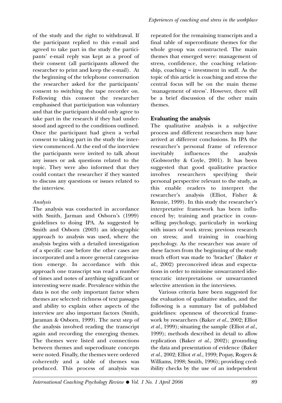of the study and the right to withdrawal. If the participant replied to this e-mail and agreed to take part in the study the participants' e-mail reply was kept as a proof of their consent (all participants allowed the researcher to print and keep the e-mail). At the beginning of the telephone conversation the researcher asked for the participants' consent to switching the tape recorder on. Following this consent the researcher emphasised that participation was voluntary and that the participant should only agree to take part in the research if they had understood and agreed to the conditions outlined. Once the participant had given a verbal consent to taking part in the study the interview commenced. At the end of the interview the participants were invited to talk about any issues or ask questions related to the topic. They were also informed that they could contact the researcher if they wanted to discuss any questions or issues related to the interview.

#### *Analysis*

The analysis was conducted in accordance with Smith, Jarman and Osborn's (1999) guidelines to doing IPA. As suggested by Smith and Osborn (2003) an ideographic approach to analysis was used, where the analysis begins with a detailed investigation of a specific case before the other cases are incorporated and a more general categorisation emerge. In accordance with this approach one transcript was read a number of times and notes of anything significant or interesting were made. Prevalence within the data is not the only important factor when themes are selected: richness of text passages and ability to explain other aspects of the interview are also important factors (Smith, Jaraman & Osborn, 1999). The next step of the analysis involved reading the transcript again and recording the emerging themes. The themes were listed and connections between themes and superodinate concepts were noted. Finally, the themes were ordered coherently and a table of themes was produced. This process of analysis was

repeated for the remaining transcripts and a final table of superordinate themes for the whole group was constructed. The main themes that emerged were: management of stress, confidence, the coaching relationship, coaching = investment in staff. As the topic of this article is coaching and stress the central focus will be on the main theme 'management of stress'. However, there will be a brief discussion of the other main themes.

#### **Evaluating the analysis**

The qualitative analysis is a subjective process and different researchers may have arrived at different conclusions. In IPA the researcher's personal frame of reference inevitably influences the analysis (Golsworthy & Coyle, 2001). It has been suggested that good qualitative practice involves researchers specifying their personal perspective relevant to the study, as this enable readers to interpret the researcher's analysis (Elliot, Fisher & Rennie, 1999). In this study the researcher's interpretative framework has been influenced by; training and practice in counselling psychology, particularly in working with issues of work stress; previous research on stress; and training in coaching psychology. As the researcher was aware of these factors from the beginning of the study much effort was made to 'bracket' (Baker *et al.*, 2002) preconceived ideas and expectations in order to minimise unwarranted idiosyncratic interpretations or unwarranted selective attention in the interviews.

Various criteria have been suggested for the evaluation of qualitative studies, and the following is a summary list of published guidelines: openness of theoretical framework by researchers (Baker *et al.*, 2002; Elliot *et al.*, 1999); situating the sample (Elliot *et al.*, 1999); methods described in detail to allow replication (Baker *et al.*, 2002); grounding the data and presentation of evidence (Baker *et al.*, 2002; Elliot *et al.*, 1999; Popay, Rogers & Williams, 1998; Smith, 1996); providing credibility checks by the use of an independent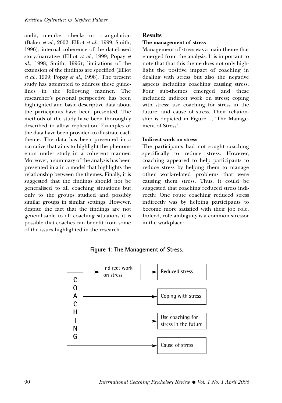audit, member checks or triangulation (Baker *et al.*, 2002; Elliot *et al.*, 1999; Smith, 1996); internal coherence of the data-based story/narrative (Elliot *et al.*, 1999; Popay *et al.*, 1998; Smith, 1996); limitations of the extension of the findings are specified (Elliot *et al.*, 1999; Popay *et al.*, 1998). The present study has attempted to address these guidelines in the following manner. The researcher's personal perspective has been highlighted and basic descriptive data about the participants have been presented. The methods of the study have been thoroughly described to allow replication. Examples of the data have been provided to illustrate each theme. The data has been presented in a narrative that aims to highlight the phenomenon under study in a coherent manner. Moreover, a summary of the analysis has been presented in a in a model that highlights the relationship between the themes. Finally, it is suggested that the findings should not be generalised to all coaching situations but only to the groups studied and possibly similar groups in similar settings. However, despite the fact that the findings are not generalisable to all coaching situations it is possible that coaches can benefit from some of the issues highlighted in the research.

#### **Results**

#### **The management of stress**

Management of stress was a main theme that emerged from the analysis. It is important to note that that this theme does not only highlight the positive impact of coaching in dealing with stress but also the negative aspects including coaching causing stress. Four sub-themes emerged and these included: indirect work on stress; coping with stress; use coaching for stress in the future; and cause of stress. Their relationship is depicted in Figure 1, 'The Management of Stress'.

#### **Indirect work on stress**

The participants had not sought coaching specifically to reduce stress. However, coaching appeared to help participants to reduce stress by helping them to manage other work-related problems that were causing them stress. Thus, it could be suggested that coaching reduced stress indirectly. One route coaching reduced stress indirectly was by helping participants to become more satisfied with their job role. Indeed, role ambiguity is a common stressor in the workplace:



**Figure 1: The Management of Stress.**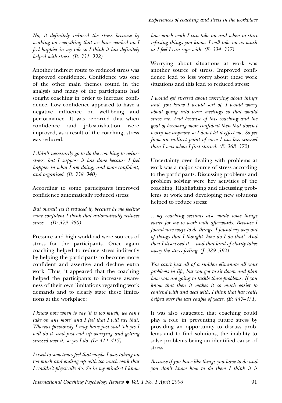*No, it definitely reduced the stress because by working on everything that we have worked on I feel happier in my role so I think it has definitely helped with stress. (B: 331–332)* 

Another indirect route to reduced stress was improved confidence. Confidence was one of the other main themes found in the analysis and many of the participants had sought coaching in order to increase confidence. Low confidence appeared to have a negative influence on well-being and performance. It was reported that when confidence and job-satisfaction were improved, as a result of the coaching, stress was reduced:

*I didn't necessarily go to do the coaching to reduce stress, but I suppose it has done because I feel happier in what I am doing, and more confident, and organised. (B: 338–340)*

According to some participants improved confidence automatically reduced stress:

*But overall yes it reduced it, because by me feeling more confident I think that automatically reduces stress… (D: 379–380)*

Pressure and high workload were sources of stress for the participants. Once again coaching helped to reduce stress indirectly by helping the participants to become more confident and assertive and decline extra work. Thus, it appeared that the coaching helped the participants to increase awareness of their own limitations regarding work demands and to clearly state these limitations at the workplace:

*I know now when to say 'it is too much, we can't take on any more' and I feel that I will say that. Whereas previously I may have just said 'oh yes I will do it' and just end up worrying and getting stressed over it, so yes I do. (D: 414–417)*

*I used to sometimes feel that maybe I was taking on too much and ending up with too much work that I couldn't physically do. So in my mindset I know* *how much work I can take on and when to start refusing things you know. I will take on as much as I feel I can cope with. (E: 334–337)* 

Worrying about situations at work was another source of stress. Improved confidence lead to less worry about these work situations and this lead to reduced stress:

*I would get stressed about worrying about things and, you know I would sort of, I would worry about going into team meetings so that would stress me. And because of this coaching and the goal of becoming more confident then that doesn't worry me anymore so I don't let it effect me. So yes from an indirect point of view I am less stressed than I was when I first started. (E: 368–372)*

Uncertainty over dealing with problems at work was a major source of stress according to the participants. Discussing problems and problem solving were key activities of the coaching. Highlighting and discussing problems at work and developing new solutions helped to reduce stress:

*…my coaching sessions also made some things easier for me to work with afterwards. Because I found new ways to do things, I found my way out of things that I thought 'how do I do that'. And then I discussed it… and that kind of clarity takes away the stress feeling. (J: 389–392)*

*You can't just all of a sudden eliminate all your problems in life, but you got to sit down and plan how you are going to tackle those problems. If you know that then it makes it so much easier to contend with and deal with. I think that has really helped over the last couple of years. (E: 447–451)*

It was also suggested that coaching could play a role in preventing future stress by providing an opportunity to discuss problems and to find solutions, the inability to solve problems being an identified cause of stress:

*Because if you have like things you have to do and you don't know how to do them I think it is*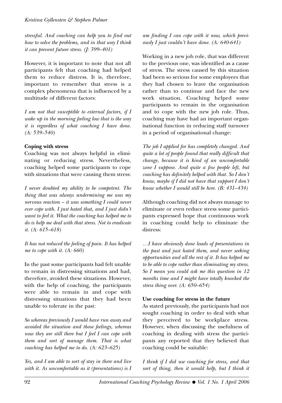*stressful. And coaching can help you to find out how to solve the problems, and in that way I think it can prevent future stress. (J: 399–401)*

However, it is important to note that not all participants felt that coaching had helped them to reduce distress. It is, therefore, important to remember that stress is a complex phenomena that is influenced by a multitude of different factors:

*I am not that susceptible to external factors, if I wake up in the morning feeling low that is the way it is regardless of what coaching I have done. (A: 539–540)*

#### **Coping with stress**

Coaching was not always helpful in eliminating or reducing stress. Nevertheless, coaching helped some participants to cope with situations that were causing them stress:

*I never doubted my ability to be competent. The thing that was always undermining me was my nervous reaction – it was something I could never ever cope with. I just hated that, and I just didn't want to feel it. What the coaching has helped me to do is help me deal with that stress. Not to eradicate it. (A: 615–618)* 

*It has not reduced the feeling of pain. It has helped me to cope with it. (A: 660)*

In the past some participants had felt unable to remain in distressing situations and had, therefore, avoided these situations. However, with the help of coaching, the participants were able to remain in and cope with distressing situations that they had been unable to tolerate in the past:

*So whereas previously I would have run away and avoided the situation and those feelings, whereas now they are still there but I feel I can cope with them and sort of manage them. That is what coaching has helped me to do. (A: 623–625)* 

*Yes, and I am able to sort of stay in there and live with it. As uncomfortable as it (presentations) is I* *am finding I can cope with it now, which previously I just couldn't have done. (A: 640-641)* 

Working in a new job role, that was different to the previous one, was identified as a cause of stress. The stress caused by this situation had been so serious for some employees that they had chosen to leave the organisation rather than to continue and face the new work situation. Coaching helped some participants to remain in the organisation and to cope with the new job role. Thus, coaching may have had an important organisational function in reducing staff turnover in a period of organisational change:

*The job I applied for has completely changed. And quite a lot of people found that really difficult that change, because it is kind of an uncomfortable zone I suppose. And quite a few people left, but coaching has definitely helped with that. So I don't know, maybe if I did not have that support I don't know whether I would still be here. (B: 431–434)*

Although coaching did not always manage to eliminate or even reduce stress some participants expressed hope that continuous work in coaching could help to eliminate the distress:

*…I have obviously done loads of presentations in the past and just hated them, and never seeking opportunities and all the rest of it. It has helped me to be able to cope rather than eliminating my stress. So I mean you could ask me this question in 12 months time and I might have totally knocked the stress thing over. (A: 650–654)*

#### **Use coaching for stress in the future**

As stated previously, the participants had not sought coaching in order to deal with what they perceived to be workplace stress. However, when discussing the usefulness of coaching in dealing with stress the participants any reported that they believed that coaching could be suitable:

*I think if I did use coaching for stress, and that sort of thing, then it would help, but I think it*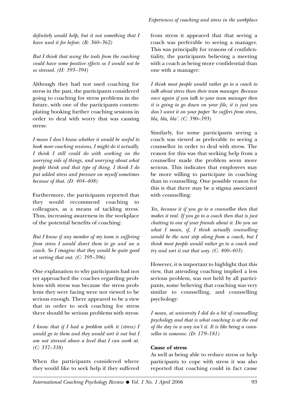#### *Experiences of coaching and stress in the workplace*

*definitely would help, but it not something that I have used it for before. (B: 360–362)*

*But I think that using the tools from the coaching could have some positive effects so I would not be so stressed. (H: 393–394)*

Although they had not used coaching for stress in the past, the participants considered going to coaching for stress problems in the future, with one of the participants contemplating booking further coaching sessions in order to deal with worry that was causing stress:

*I mean I don't know whether it would be useful to book more coaching sessions, I might do it actually. I think I still could do with working on the worrying side of things, and worrying about what people think and that type of thing. I think I do put added stress and pressure on myself sometimes because of that. (D: 404–408)*

Furthermore, the participants reported that they would recommend coaching to colleagues, as a means of tackling stress. Thus, increasing awareness in the workplace of the potential benefits of coaching:

*But I know if any member of my team is suffering from stress I would direct them to go and see a coach. So I imagine that they would be quite good at sorting that out. (C: 395–396)*

One explanation to why participants had not yet approached the coaches regarding problems with stress was because the stress problems they were facing were not viewed to be serious enough. There appeared to be a view that in order to seek coaching for stress there should be serious problems with stress:

*I know that if I had a problem with it (stress) I would go to them and they would sort it out but I am not stressed above a level that I can work at. (C: 337–338)*

When the participants considered where they would like to seek help if they suffered from stress it appeared that that seeing a coach was preferable to seeing a manager. This was principally for reasons of confidentiality, the participants believing a meeting with a coach as being more confidential than one with a manager:

*I think most people would rather go to a coach to talk about stress than their team manager. Because once again if you talk to your team manager then it is going to go down on your file, it is just you don't want it on your paper 'he suffers from stress, bla, bla, bla'. (C: 390–393)*

Similarly, for some participants seeing a coach was viewed as preferable to seeing a counsellor in order to deal with stress. The reason for this was that seeking help from a counsellor made the problem seem more serious. This indicates that employees may be more willing to participate in coaching than in counselling. One possible reason for this is that there may be a stigma associated with counselling:

*Yes, because it if you go to a counsellor then that makes it real. If you go to a coach then that is just chatting to one of your friends about it. Do you see what I mean, if, I think actually counselling would be the next step along from a coach, but I think most people would rather go to a coach and try and sort it out that way. (C: 400–403)*

However, it is important to highlight that this view, that attending coaching implied a less serious problem, was not held by all participants, some believing that coaching was very similar to counselling, and counselling psychology:

*I mean, at university I did do a bit of counselling psychology and that is what coaching is at the end of the day in a way isn't it. It is like being a counsellor to someone. (D: 179–181)*

#### **Cause of stress**

As well as being able to reduce stress or help participants to cope with stress it was also reported that coaching could in fact cause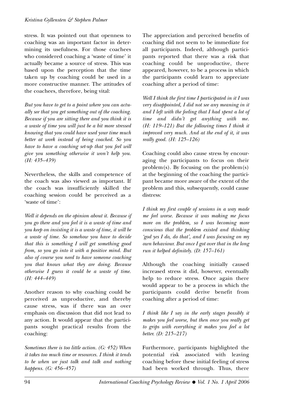stress. It was pointed out that openness to coaching was an important factor in determining its usefulness. For those coachees who considered coaching a 'waste of time' it actually became a source of stress. This was based upon the perception that the time taken up by coaching could be used in a more constructive manner. The attitudes of the coachees, therefore, being vital:

*But you have to get to a point where you can actually see that you get something out of the coaching. Because if you are sitting there and you think it is a waste of time you will just be a bit more stressed knowing that you could have used your time much better at work instead of being coached. So you have to have a coaching set-up that you feel will give you something otherwise it won't help you. (H: 435–439)*

Nevertheless, the skills and competence of the coach was also viewed as important. If the coach was insufficiently skilled the coaching session could be perceived as a 'waste of time':

*Well it depends on the opinion about it. Because if you go there and you feel it is a waste of time and you keep on insisting it is a waste of time, it will be a waste of time. So somehow you have to decide that this is something I will get something good from, so you go into it with a positive mind. But also of course you need to have someone coaching you that knows what they are doing. Because otherwise I guess it could be a waste of time. (H: 444–449)*

Another reason to why coaching could be perceived as unproductive, and thereby cause stress, was if there was an over emphasis on discussion that did not lead to any action. It would appear that the participants sought practical results from the coaching:

*Sometimes there is too little action. (G: 452) When it takes too much time or resources. I think it tends to be when we just talk and talk and nothing happens. (G: 456–457)*

The appreciation and perceived benefits of coaching did not seem to be immediate for all participants. Indeed, although participants reported that there was a risk that coaching could be unproductive, there appeared, however, to be a process in which the participants could learn to appreciate coaching after a period of time:

*Well I think the first time I participated in it I was very disappointed, I did not see any meaning in it and I left with the feeling that I had spent a lot of time and didn't get anything with me. (H: 119–121) But the following times I think it improved very much. And at the end of it, it was really good. (H: 125–126)*

Coaching could also cause stress by encouraging the participants to focus on their problem(s). By focusing on the problem(s) at the beginning of the coaching the participant became more aware of the extent of the problem and this, subsequently, could cause distress:

*I think my first couple of sessions in a way made me feel worse. Because it was making me focus more on the problem, so I was becoming more conscious that the problem existed and thinking 'god yes I do, do that', and I was focusing on my own behaviour. But once I got over that in the long run it helped definitely. (D: 157–161)*

Although the coaching initially caused increased stress it did, however, eventually help to reduce stress. Once again there would appear to be a process in which the participants could derive benefit from coaching after a period of time:

*I think like I say in the early stages possibly it makes you feel worse, but then once you really get to grips with everything it makes you feel a lot better. (D: 215–217)*

Furthermore, participants highlighted the potential risk associated with leaving coaching before these initial feeling of stress had been worked through. Thus, there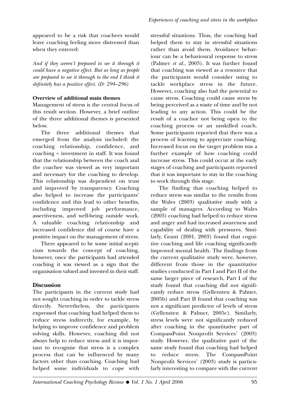appeared to be a risk that coachees would leave coaching feeling more distressed than when they entered:

*And if they weren't prepared to see it through it could have a negative effect. But as long as people are prepared to see it through to the end I think it definitely has a positive effect. (D: 294–296)*

#### **Overview of additional main themes**

Management of stress is the central focus of this result section. However, a brief outline of the three additional themes is presented below.

The three additional themes that emerged from the analysis included: the coaching relationship, confidence, and coaching = investment in staff. It was found that the relationship between the coach and the coachee was viewed as very important and necessary for the coaching to develop. This relationship was dependent on trust and improved by transparency. Coaching also helped to increase the participants' confidence and this lead to other benefits, including improved job performance, assertiveness, and well-being outside work. A valuable coaching relationship and increased confidence did of course have a positive impact on the management of stress.

There appeared to be some initial scepticism towards the concept of coaching, however, once the participants had attended coaching it was viewed as a sign that the organisation valued and invested in their staff.

### **Discussion**

The participants in the current study had not sought coaching in order to tackle stress directly. Nevertheless, the participants expressed that coaching had helped them to reduce stress indirectly, for example, by helping to improve confidence and problem solving skills. However, coaching did not always help to reduce stress and it is important to recognise that stress is a complex process that can be influenced by many factors other than coaching. Coaching had helped some individuals to cope with stressful situations. Thus, the coaching had helped them to stay in stressful situations rather than avoid them. Avoidance behaviour can be a behavioural response to stress (Palmer *et al.*, 2003). It was further found that coaching was viewed as a resource that the participants would consider using to tackle workplace stress in the future. However, coaching also had the potential to cause stress. Coaching could cause stress by being perceived as a waste of time and by not leading to any action. This could be the result of a coachee not being open to the coaching process or an unskilled coach. Some participants reported that there was a process of learning to appreciate coaching. Increased focus on the target problem was a further example of how coaching could increase stress. This could occur at the early stages of coaching and participants reported that it was important to stay in the coaching to work through this stage.

The finding that coaching helped to reduce stress was similar to the results from the Wales (2003) qualitative study with a sample of managers. According to Wales (2003) coaching had helped to reduce stress and anger and had increased awareness and capability of dealing with pressures. Similarly, Grant (2001, 2003) found that cognitive coaching and life coaching significantly improved mental health. The findings from the current qualitative study were, however, different from those in the quantitative studies conducted in Part I and Part II of the same larger piece of research. Part I of the study found that coaching did not significantly reduce stress (Gyllensten & Palmer, 2005b) and Part II found that coaching was not a significant predictor of levels of stress (Gyllensten & Palmer, 2005c). Similarly, stress levels were not significantly reduced after coaching in the quantitative part of CompassPoint Nonprofit Services' (2003) study. However, the qualitative part of the same study found that coaching had helped to reduce stress. The CompassPoint Nonprofit Services' (2003) study is particularly interesting to compare with the current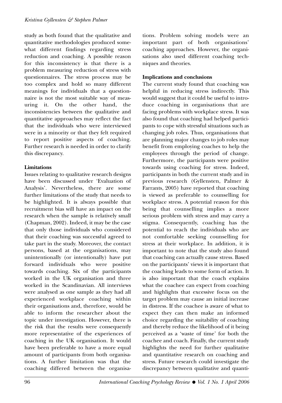study as both found that the qualitative and quantitative methodologies produced somewhat different findings regarding stress reduction and coaching. A possible reason for this inconsistency is that there is a problem measuring reduction of stress with questionnaires. The stress process may be too complex and hold so many different meanings for individuals that a questionnaire is not the most suitable way of measuring it. On the other hand, the inconsistencies between the qualitative and quantitative approaches may reflect the fact that the individuals who were interviewed were in a minority or that they felt required to report positive aspects of coaching. Further research is needed in order to clarify this discrepancy.

#### **Limitations**

Issues relating to qualitative research designs have been discussed under 'Evaluation of Analysis'. Nevertheless, there are some further limitations of the study that needs to be highlighted. It is always possible that recruitment bias will have an impact on the research when the sample is relatively small (Chapman, 2002). Indeed, it may be the case that only those individuals who considered that their coaching was successful agreed to take part in the study. Moreover, the contact persons, based at the organisations, may unintentionally (or intentionally) have put forward individuals who were positive towards coaching. Six of the participants worked in the UK organisation and three worked in the Scandinavian. All interviews were analysed as one sample as they had all experienced workplace coaching within their organisations and, therefore, would be able to inform the researcher about the topic under investigation. However, there is the risk that the results were consequently more representative of the experiences of coaching in the UK organisation. It would have been preferable to have a more equal amount of participants from both organisations. A further limitation was that the coaching differed between the organisations. Problem solving models were an important part of both organisations' coaching approaches. However, the organisations also used different coaching techniques and theories.

#### **Implications and conclusions**

The current study found that coaching was helpful in reducing stress indirectly. This would suggest that it could be useful to introduce coaching in organisations that are facing problems with workplace stress. It was also found that coaching had helped participants to cope with stressful situations such as changing job roles. Thus, organisations that are planning major changes to job roles may benefit from employing coaches to help the employees through the period of change. Furthermore, the participants were positive towards using coaching for stress. Indeed, participants in both the current study and in previous research (Gyllensten, Palmer & Farrants, 2005) have reported that coaching is viewed as preferable to counselling for workplace stress. A potential reason for this being that counselling implies a more serious problem with stress and may carry a stigma. Consequently, coaching has the potential to reach the individuals who are not comfortable seeking counselling for stress at their workplace. In addition, it is important to note that the study also found that coaching can actually cause stress. Based on the participants' views it is important that the coaching leads to some form of action. It is also important that the coach explains what the coachee can expect from coaching and highlights that excessive focus on the target problem may cause an initial increase in distress. If the coachee is aware of what to expect they can then make an informed choice regarding the suitability of coaching and thereby reduce the likelihood of it being perceived as a 'waste of time' for both the coachee and coach. Finally, the current study highlights the need for further qualitative and quantitative research on coaching and stress. Future research could investigate the discrepancy between qualitative and quanti-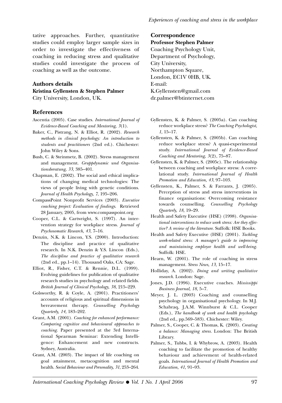tative approaches. Further, quantitative studies could employ larger sample sizes in order to investigate the effectiveness of coaching in reducing stress and qualitative studies could investigate the process of coaching as well as the outcome.

#### **Authors details**

**Kristina Gyllensten & Stephen Palmer** City University, London, UK.

#### **References**

- Ascentia (2005). Case studies. *International Journal of Evidence-Based Coaching and Mentoring, 3*(1).
- Baker, C., Pistrang, N. & Elliot, R. (2002). *Research methods in clinical psychology: An introduction to students and practitioners* (2nd ed.). Chichester: John Wiley & Sons.
- Bush, C. & Steinmetz, B. (2002). Stress management and management. *Gruppdynamic und Organisationsberatung, 33,* 385–401.
- Chapman, E. (2002). The social and ethical implications of changing medical technologies: The views of people living with genetic conditions. *Journal of Health Psychology, 7*, 195–206.
- CompassPoint Nonprofit Services (2003). *Executive coaching project: Evaluation of findings*. Retrieved 28 January, 2005, from www.compasspoint.org
- Cooper, C.L. & Cartwright, S. (1997). An intervention strategy for workplace stress. *Journal of Psychosomatic Research, 43,* 7–16.
- Denzin, N.K. & Lincon, Y.S. (2000). Introduction: The discipline and practice of qualitative research. In N.K. Denzin & Y.S. Lincon (Eds.), *The discipline and practice of qualitative research* (2nd ed., pp.1–14). Thousand Oaks, CA: Sage.
- Elliot, R., Fisher, C.T. & Rennie, D.L. (1999). Evolving guidelines for publication of qualitative research studies in psychology and related fields. *British Journal of Clinical Psychology, 38,* 215–229.
- Golsworthy, R. & Coyle, A. (2001). Practitioners' accounts of religious and spiritual dimensions in bereavement therapy. *Counselling Psychology Quarterly, 14,* 183–202.
- Grant, A.M. (2001). *Coaching for enhanced performance: Comparing cognitive and behavioural approaches to coaching.* Paper presented at the 3rd International Spearman Seminar: Extending Intelligence: Enhancement and new constructs. Sydney, Australia.
- Grant, A.M. (2003). The impact of life coaching on goal attainment, metacognition and mental health. *Social Behaviour and Personality, 31*, 253–264.

#### **Correspondence**

**Professor Stephen Palmer**

Coaching Psychology Unit, Department of Psychology, City University, Northampton Square, London, EC1V 0HB, UK. E-mail: K.Gyllensten@gmail.com dr.palmer@btinternet.com

- Gyllensten, K. & Palmer, S. (2005a). Can coaching reduce workplace stress? *The Coaching Psychologist, 1,* 15–17.
- Gyllensten, K. & Palmer, S. (2005b). Can coaching reduce workplace stress? A quasi-experimental study. *International Journal of Evidence-Based Coaching and Mentoring, 3*(2), 75–87.
- Gyllensten, K. & Palmer, S. (2005c). The relationship between coaching and workplace stress: A correlational study. *International Journal of Health Promotion and Education, 43*, 97–103.
- Gyllensten, K., Palmer, S. & Farrants, J. (2005). Perception of stress and stress interventions in finance organisations: Overcoming resistance towards counselling. *Counselling Psychology Quarterly, 18,* 19–29.
- Health and Safety Executive (HSE) (1998). *Organisational interventions to reduce work stress: Are they effective? A review of the literature*. Suffolk: HSE Books.
- Health and Safety Executive (HSE) (2001). *Tackling work-related stress: A manager's guide to improving and maintaining employee health and well-being.* Suffolk: HSE.
- Hearn, W. (2001). The role of coaching in stress management. *Stress News, 13,* 15–17.
- Holliday, A. (2002). *Doing and writing qualitative research.* London: Sage.
- Jones, J.D. (1996). Executive coaches. *Mississippi Business Journal, 18,* 5–7.
- Meyer, J. L. (2003) Coaching and counselling psychology in organisational psychology. In M.J. Schabraq, J.A.M. Winnburst & C.L. Cooper (Eds.), *The handbook of work and health psychology* (2nd ed., pp.569–583). Chichester: Wiley.
- Palmer, S., Cooper, C. & Thomas, K. (2003). *Creating a balance: Managing stress.* London: The British Library.
- Palmer, S., Tubbs, I. & Whybrow, A. (2003). Health coaching to facilitate the promotion of healthy behaviour and achievement of health-related goals. *International Journal of Health Promotion and Education, 41,* 91–93.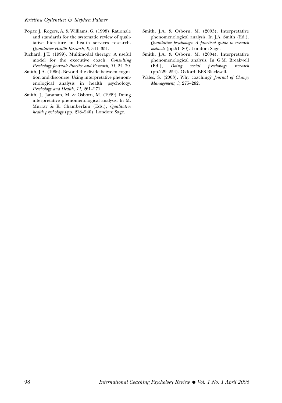#### *Kristina Gyllensten & Stephen Palmer*

- Popay, J., Rogers, A. & Williams, G. (1998). Rationale and standards for the systematic review of qualitative literature in health services research. *Qualitative Health Research, 8,* 341–351.
- Richard, J.T. (1999). Multimodal therapy: A useful model for the executive coach. *Consulting Psychology Journal: Practice and Research, 51,* 24–30.
- Smith, J.A. (1996). Beyond the divide between cognition and discourse: Using interpretative phenomenological analysis in health psychology. *Psychology and Health, 11,* 261–271.
- Smith, J., Jaraman, M. & Osborn, M. (1999) Doing interpretative phenomenological analysis. In M. Murray & K. Chamberlain (Eds.), *Qualitative health psychology* (pp. 218–240). London: Sage.
- Smith, J.A. & Osborn, M. (2003). Interpretative phenomenological analysis. In J.A. Smith (Ed.). *Qualitative psychology: A practical guide to research methods* (pp.51–80). London: Sage.
- Smith, J.A. & Osborn, M. (2004). Interpretative phenomenological analysis. In G.M. Breakwell (Ed.), *Doing social psychology research* (pp.229–254). Oxford: BPS Blackwell.
- Wales, S. (2003). Why coaching? *Journal of Change Management, 3,* 275–282.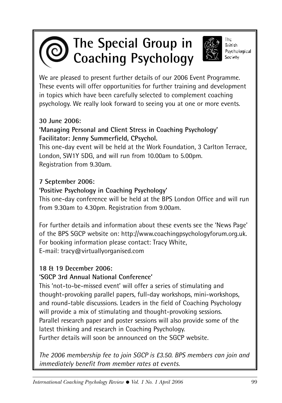# **The Special Group in Coaching Psychology**



**The** Rritish Psychological Society

We are pleased to present further details of our 2006 Event Programme. These events will offer opportunities for further training and development in topics which have been carefully selected to complement coaching psychology. We really look forward to seeing you at one or more events.

## **30 June 2006:**

## **'Managing Personal and Client Stress in Coaching Psychology' Facilitator: Jenny Summerfield, CPsychol.**

This one-day event will be held at the Work Foundation, 3 Carlton Terrace, London, SW1Y 5DG, and will run from 10.00am to 5.00pm. Registration from 9.30am.

## **7 September 2006:**

## **'Positive Psychology in Coaching Psychology'**

This one-day conference will be held at the BPS London Office and will run from 9.30am to 4.30pm. Registration from 9.00am.

For further details and information about these events see the 'News Page' of the BPS SGCP website on: http://www.coachingpsychologyforum.org.uk. For booking information please contact: Tracy White, E-mail: tracy@virtuallyorganised.com

## **18 & 19 December 2006:**

## **'SGCP 3rd Annual National Conference'**

This 'not-to-be-missed event' will offer a series of stimulating and thought-provoking parallel papers, full-day workshops, mini-workshops, and round-table discussions. Leaders in the field of Coaching Psychology will provide a mix of stimulating and thought-provoking sessions. Parallel research paper and poster sessions will also provide some of the latest thinking and research in Coaching Psychology. Further details will soon be announced on the SGCP website.

*The 2006 membership fee to join SGCP is £3.50. BPS members can join and immediately benefit from member rates at events.*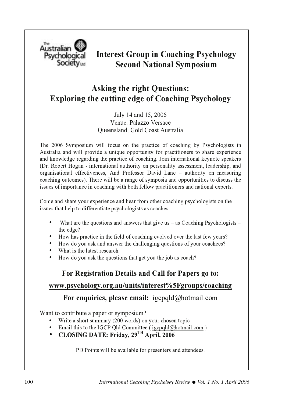

**Interest Group in Coaching Psychology Second National Symposium** 

## **Asking the right Questions: Exploring the cutting edge of Coaching Psychology**

July 14 and 15, 2006 Venue: Palazzo Versace Queensland, Gold Coast Australia

The 2006 Symposium will focus on the practice of coaching by Psychologists in Australia and will provide a unique opportunity for practitioners to share experience and knowledge regarding the practice of coaching. Join international keynote speakers (Dr. Robert Hogan - international authority on personality assessment, leadership, and organisational effectiveness, And Professor David Lane – authority on measuring coaching outcomes). There will be a range of symposia and opportunities to discuss the issues of importance in coaching with both fellow practitioners and national experts.

Come and share your experience and hear from other coaching psychologists on the issues that help to differentiate psychologists as coaches.

- What are the questions and answers that give us  $-$  as Coaching Psychologists  $$ the edge?
- How has practice in the field of coaching evolved over the last few years?
- How do you ask and answer the challenging questions of your coachees?
- What is the latest research
- How do you ask the questions that get you the job as coach?

## **For Registration Details and Call for Papers go to:**

#### **www.psychology.org.au/units/interest%5Fgroups/coaching**

## For enquiries, please email: igcpqld@hotmail.com

Want to contribute a paper or symposium?

- Write a short summary (200 words) on your chosen topic
- Email this to the IGCP Old Committee ( $i$ gcpqld@hotmail.com)
- **CLOSING DATE: Friday, 29TH April, 2006**

PD Points will be available for presenters and attendees.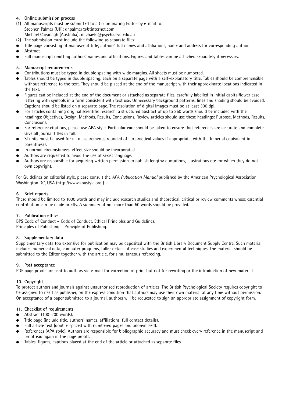#### **4. Online submission process**

- (1) All manuscripts must be submitted to a Co-ordinating Editor by e-mail to: Stephen Palmer (UK): dr.palmer@btinternet.com Michael Cavanagh (Australia): michaelc@psych.usyd.edu.au
- (2) The submission must include the following as separate files:
- Title page consisting of manuscript title, authors' full names and affiliations, name and address for corresponding author.
- Abstract.
- Full manuscript omitting authors' names and affiliations. Figures and tables can be attached separately if necessary.

#### **5. Manuscript requirements**

- Contributions must be typed in double spacing with wide margins. All sheets must be numbered.
- Tables should be typed in double spacing, each on a separate page with a self-explanatory title. Tables should be comprehensible without reference to the text. They should be placed at the end of the manuscript with their approximate locations indicated in the text.
- Figures can be included at the end of the document or attached as separate files, carefully labelled in initial capital/lower case lettering with symbols in a form consistent with text use. Unnecessary background patterns, lines and shading should be avoided. Captions should be listed on a separate page. The resolution of digital images must be at least 300 dpi.
- For articles containing original scientific research, a structured abstract of up to 250 words should be included with the headings: Objectives, Design, Methods, Results, Conclusions. Review articles should use these headings: Purpose, Methods, Results, Conclusions.
- For reference citations, please use APA style. Particular care should be taken to ensure that references are accurate and complete. Give all journal titles in full.
- SI units must be used for all measurements, rounded off to practical values if appropriate, with the Imperial equivalent in parentheses.
- In normal circumstances, effect size should be incorporated.
- Authors are requested to avoid the use of sexist language.
- Authors are responsible for acquiring written permission to publish lengthy quotations, illustrations etc for which they do not own copyright.

For Guidelines on editorial style, please consult the *APA Publication Manual* published by the American Psychological Association, Washington DC, USA (http://www.apastyle.org ).

#### **6. Brief reports**

These should be limited to 1000 words and may include research studies and theoretical, critical or review comments whose essential contribution can be made briefly. A summary of not more than 50 words should be provided.

#### **7. Publication ethics**

BPS Code of Conduct – Code of Conduct, Ethical Principles and Guidelines. Principles of Publishing – Principle of Publishing.

#### **8. Supplementary data**

Supplementary data too extensive for publication may be deposited with the British Library Document Supply Centre. Such material includes numerical data, computer programs, fuller details of case studies and experimental techniques. The material should be submitted to the Editor together with the article, for simultaneous refereeing.

#### **9. Post acceptance**

PDF page proofs are sent to authors via e-mail for correction of print but not for rewriting or the introduction of new material.

#### **10. Copyright**

To protect authors and journals against unauthorised reproduction of articles, The British Psychological Society requires copyright to be assigned to itself as publisher, on the express condition that authors may use their own material at any time without permission. On acceptance of a paper submitted to a journal, authors will be requested to sign an appropriate assignment of copyright form.

#### **11. Checklist of requirements**

- Abstract (100–200 words).
- Title page (include title, authors' names, affiliations, full contact details).
- Full article text (double-spaced with numbered pages and anonymised).
- References (APA style). Authors are responsible for bibliographic accuracy and must check every reference in the manuscript and proofread again in the page proofs.
- Tables, figures, captions placed at the end of the article or attached as separate files.